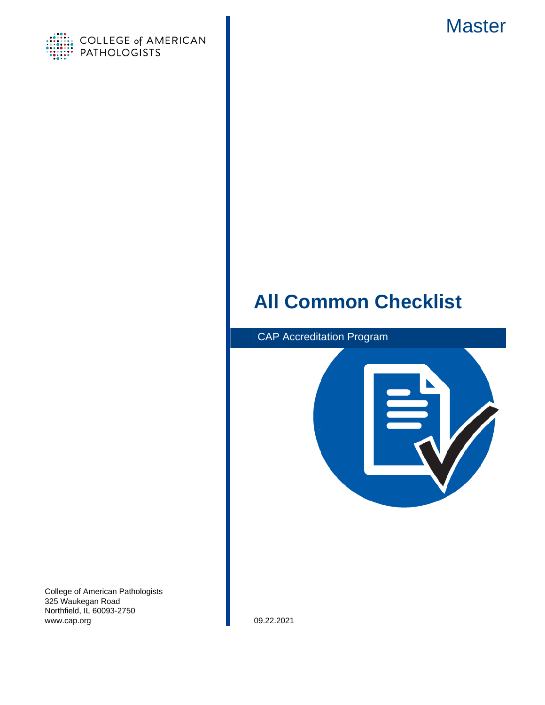

<span id="page-0-0"></span>

# **All Common Checklist**



College of American Pathologists 325 Waukegan Road Northfield, IL 60093-2750 www.cap.org 09.22.2021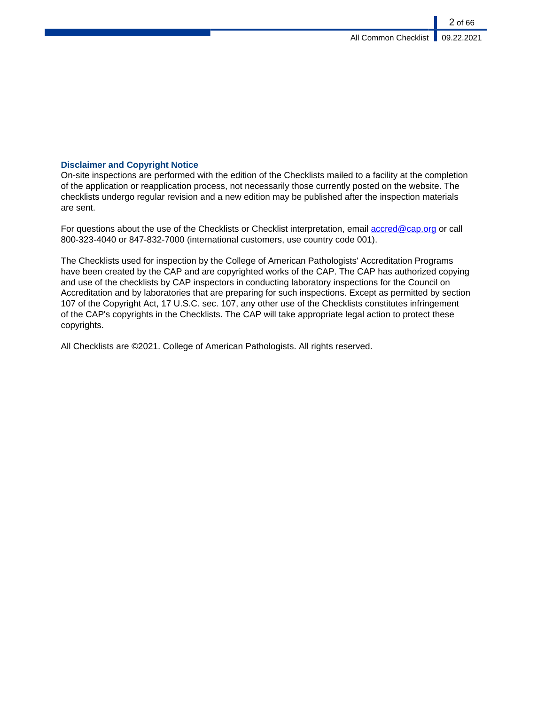# **Disclaimer and Copyright Notice**

On-site inspections are performed with the edition of the Checklists mailed to a facility at the completion of the application or reapplication process, not necessarily those currently posted on the website. The checklists undergo regular revision and a new edition may be published after the inspection materials are sent.

For questions about the use of the Checklists or Checklist interpretation, email [accred@cap.org](mailto:accred@cap.org) or call 800-323-4040 or 847-832-7000 (international customers, use country code 001).

The Checklists used for inspection by the College of American Pathologists' Accreditation Programs have been created by the CAP and are copyrighted works of the CAP. The CAP has authorized copying and use of the checklists by CAP inspectors in conducting laboratory inspections for the Council on Accreditation and by laboratories that are preparing for such inspections. Except as permitted by section 107 of the Copyright Act, 17 U.S.C. sec. 107, any other use of the Checklists constitutes infringement of the CAP's copyrights in the Checklists. The CAP will take appropriate legal action to protect these copyrights.

All Checklists are ©2021. College of American Pathologists. All rights reserved.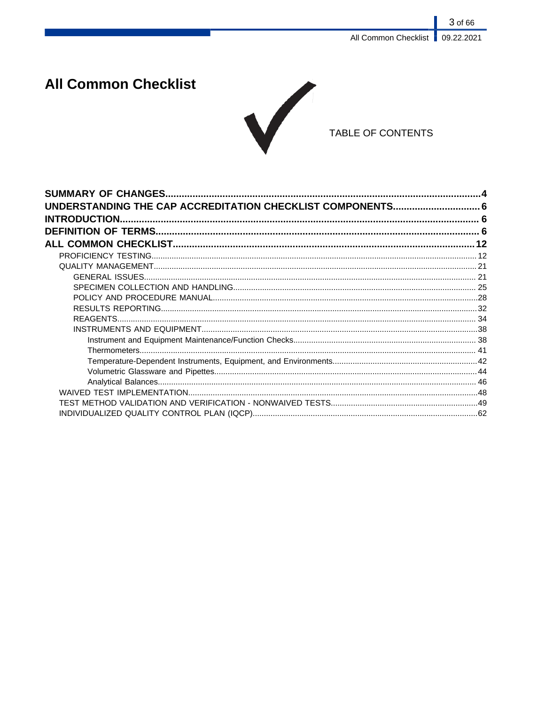3 of 66

# **All Common Checklist**



TABLE OF CONTENTS

| <b>SUMMARY OF CHANGES</b>                                  |  |
|------------------------------------------------------------|--|
| UNDERSTANDING THE CAP ACCREDITATION CHECKLIST COMPONENTS 6 |  |
| <b>INTRODUCTION.</b>                                       |  |
|                                                            |  |
|                                                            |  |
|                                                            |  |
|                                                            |  |
|                                                            |  |
|                                                            |  |
|                                                            |  |
|                                                            |  |
|                                                            |  |
|                                                            |  |
|                                                            |  |
|                                                            |  |
|                                                            |  |
|                                                            |  |
|                                                            |  |
|                                                            |  |
|                                                            |  |
|                                                            |  |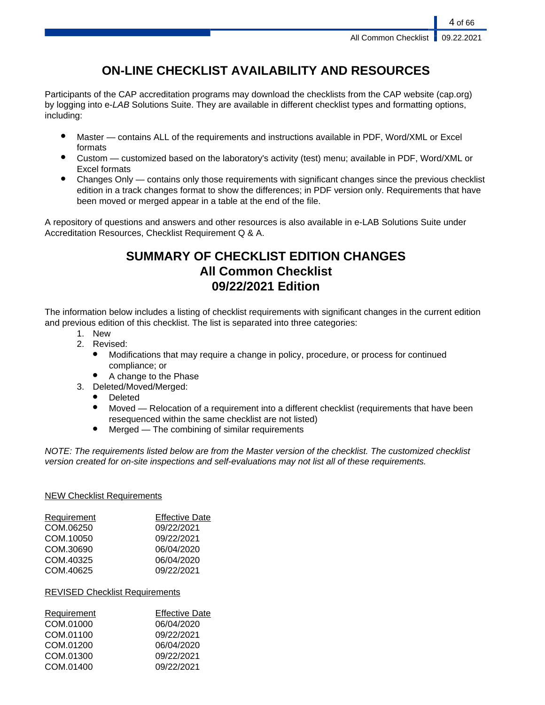# **ON-LINE CHECKLIST AVAILABILITY AND RESOURCES**

Participants of the CAP accreditation programs may download the checklists from the CAP website (cap.org) by logging into e-LAB Solutions Suite. They are available in different checklist types and formatting options, including:

- Master contains ALL of the requirements and instructions available in PDF, Word/XML or Excel formats
- Custom customized based on the laboratory's activity (test) menu; available in PDF, Word/XML or Excel formats
- Changes Only contains only those requirements with significant changes since the previous checklist edition in a track changes format to show the differences; in PDF version only. Requirements that have been moved or merged appear in a table at the end of the file.

A repository of questions and answers and other resources is also available in e-LAB Solutions Suite under Accreditation Resources, Checklist Requirement Q & A.

# **SUMMARY OF CHECKLIST EDITION CHANGES All Common Checklist 09/22/2021 Edition**

The information below includes a listing of checklist requirements with significant changes in the current edition and previous edition of this checklist. The list is separated into three categories:

- 1. New
- 2. Revised:
	- Modifications that may require a change in policy, procedure, or process for continued compliance; or
	- A change to the Phase
- 3. Deleted/Moved/Merged:
	- Deleted
	- Moved Relocation of a requirement into a different checklist (requirements that have been resequenced within the same checklist are not listed)
	- $Mered$  The combining of similar requirements

NOTE: The requirements listed below are from the Master version of the checklist. The customized checklist version created for on-site inspections and self-evaluations may not list all of these requirements.

# NEW Checklist Requirements

| Requirement | <b>Effective Date</b> |
|-------------|-----------------------|
| COM.06250   | 09/22/2021            |
| COM.10050   | 09/22/2021            |
| COM.30690   | 06/04/2020            |
| COM.40325   | 06/04/2020            |
| COM.40625   | 09/22/2021            |

# REVISED Checklist Requirements

| Requirement | <b>Effective Date</b> |
|-------------|-----------------------|
| COM.01000   | 06/04/2020            |
| COM.01100   | 09/22/2021            |
| COM.01200   | 06/04/2020            |
| COM.01300   | 09/22/2021            |
| COM.01400   | 09/22/2021            |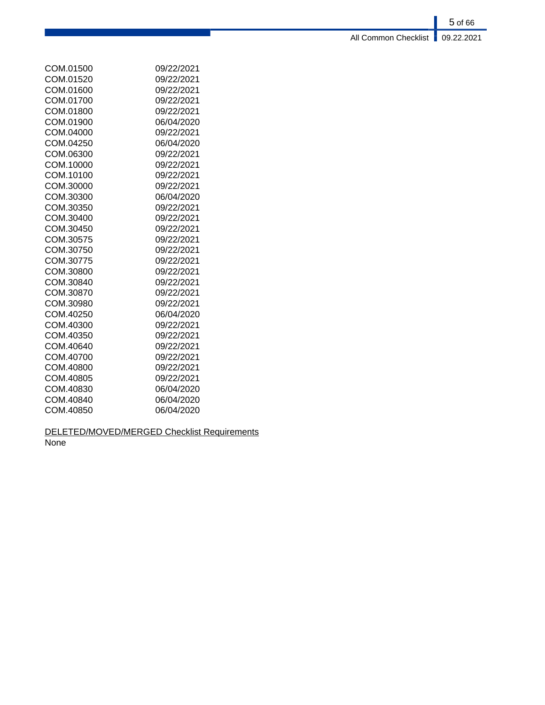5 of 66 All Common Checklist **09.22.2021** 

| COM.01500 | 09/22/2021 |
|-----------|------------|
| COM.01520 | 09/22/2021 |
| COM.01600 | 09/22/2021 |
| COM.01700 | 09/22/2021 |
| COM.01800 | 09/22/2021 |
| COM.01900 | 06/04/2020 |
| COM.04000 | 09/22/2021 |
| COM.04250 | 06/04/2020 |
| COM.06300 | 09/22/2021 |
| COM.10000 | 09/22/2021 |
| COM.10100 | 09/22/2021 |
| COM.30000 | 09/22/2021 |
| COM.30300 | 06/04/2020 |
| COM.30350 | 09/22/2021 |
| COM.30400 | 09/22/2021 |
| COM.30450 | 09/22/2021 |
| COM.30575 | 09/22/2021 |
| COM.30750 | 09/22/2021 |
| COM.30775 | 09/22/2021 |
| COM.30800 | 09/22/2021 |
| COM.30840 | 09/22/2021 |
| COM.30870 | 09/22/2021 |
| COM.30980 | 09/22/2021 |
| COM.40250 | 06/04/2020 |
| COM.40300 | 09/22/2021 |
| COM.40350 | 09/22/2021 |
| COM.40640 | 09/22/2021 |
| COM.40700 | 09/22/2021 |
| COM.40800 | 09/22/2021 |
| COM.40805 | 09/22/2021 |
| COM.40830 | 06/04/2020 |
| COM.40840 | 06/04/2020 |
| COM.40850 | 06/04/2020 |

# DELETED/MOVED/MERGED Checklist Requirements None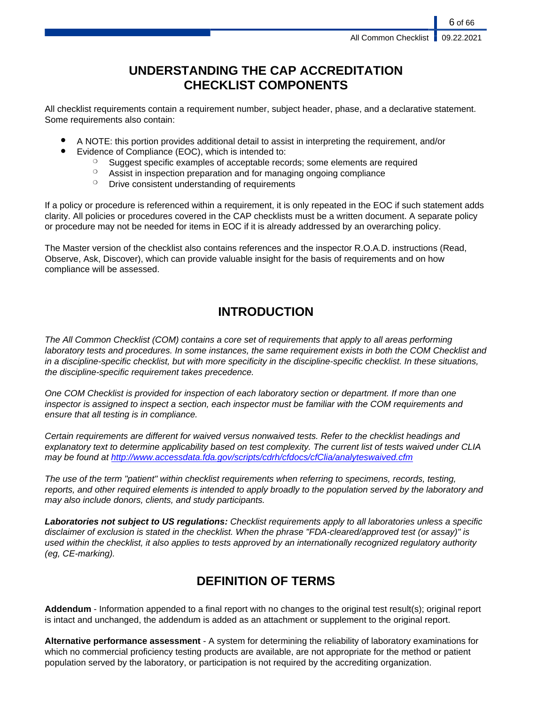# **UNDERSTANDING THE CAP ACCREDITATION CHECKLIST COMPONENTS**

All checklist requirements contain a requirement number, subject header, phase, and a declarative statement. Some requirements also contain:

- A NOTE: this portion provides additional detail to assist in interpreting the requirement, and/or
- Evidence of Compliance (EOC), which is intended to:
	- ❍ Suggest specific examples of acceptable records; some elements are required
	- ❍ Assist in inspection preparation and for managing ongoing compliance
	- **O** Drive consistent understanding of requirements

If a policy or procedure is referenced within a requirement, it is only repeated in the EOC if such statement adds clarity. All policies or procedures covered in the CAP checklists must be a written document. A separate policy or procedure may not be needed for items in EOC if it is already addressed by an overarching policy.

The Master version of the checklist also contains references and the inspector R.O.A.D. instructions (Read, Observe, Ask, Discover), which can provide valuable insight for the basis of requirements and on how compliance will be assessed.

# **INTRODUCTION**

The All Common Checklist (COM) contains a core set of requirements that apply to all areas performing laboratory tests and procedures. In some instances, the same requirement exists in both the COM Checklist and in a discipline-specific checklist, but with more specificity in the discipline-specific checklist. In these situations, the discipline-specific requirement takes precedence.

One COM Checklist is provided for inspection of each laboratory section or department. If more than one inspector is assigned to inspect a section, each inspector must be familiar with the COM requirements and ensure that all testing is in compliance.

Certain requirements are different for waived versus nonwaived tests. Refer to the checklist headings and explanatory text to determine applicability based on test complexity. The current list of tests waived under CLIA may be found at <http://www.accessdata.fda.gov/scripts/cdrh/cfdocs/cfClia/analyteswaived.cfm>

The use of the term "patient" within checklist requirements when referring to specimens, records, testing, reports, and other required elements is intended to apply broadly to the population served by the laboratory and may also include donors, clients, and study participants.

**Laboratories not subject to US regulations:** Checklist requirements apply to all laboratories unless a specific disclaimer of exclusion is stated in the checklist. When the phrase "FDA-cleared/approved test (or assay)" is used within the checklist, it also applies to tests approved by an internationally recognized regulatory authority (eg, CE-marking).

# **DEFINITION OF TERMS**

**Addendum** - Information appended to a final report with no changes to the original test result(s); original report is intact and unchanged, the addendum is added as an attachment or supplement to the original report.

**Alternative performance assessment** - A system for determining the reliability of laboratory examinations for which no commercial proficiency testing products are available, are not appropriate for the method or patient population served by the laboratory, or participation is not required by the accrediting organization.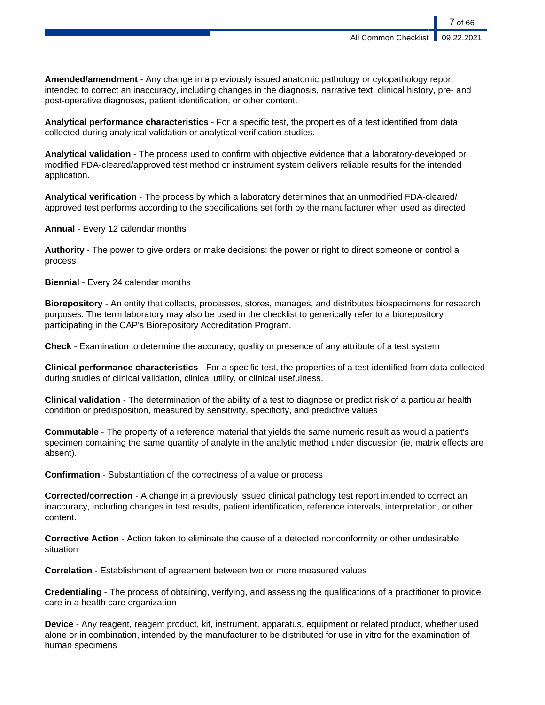**Amended/amendment** - Any change in a previously issued anatomic pathology or cytopathology report intended to correct an inaccuracy, including changes in the diagnosis, narrative text, clinical history, pre- and post-operative diagnoses, patient identification, or other content.

**Analytical performance characteristics** - For a specific test, the properties of a test identified from data collected during analytical validation or analytical verification studies.

**Analytical validation** - The process used to confirm with objective evidence that a laboratory-developed or modified FDA-cleared/approved test method or instrument system delivers reliable results for the intended application.

**Analytical verification** - The process by which a laboratory determines that an unmodified FDA-cleared/ approved test performs according to the specifications set forth by the manufacturer when used as directed.

**Annual** - Every 12 calendar months

**Authority** - The power to give orders or make decisions: the power or right to direct someone or control a process

**Biennial** - Every 24 calendar months

**Biorepository** - An entity that collects, processes, stores, manages, and distributes biospecimens for research purposes. The term laboratory may also be used in the checklist to generically refer to a biorepository participating in the CAP's Biorepository Accreditation Program.

**Check** - Examination to determine the accuracy, quality or presence of any attribute of a test system

**Clinical performance characteristics** - For a specific test, the properties of a test identified from data collected during studies of clinical validation, clinical utility, or clinical usefulness.

**Clinical validation** - The determination of the ability of a test to diagnose or predict risk of a particular health condition or predisposition, measured by sensitivity, specificity, and predictive values

**Commutable** - The property of a reference material that yields the same numeric result as would a patient's specimen containing the same quantity of analyte in the analytic method under discussion (ie, matrix effects are absent).

**Confirmation** - Substantiation of the correctness of a value or process

**Corrected/correction** - A change in a previously issued clinical pathology test report intended to correct an inaccuracy, including changes in test results, patient identification, reference intervals, interpretation, or other content.

**Corrective Action** - Action taken to eliminate the cause of a detected nonconformity or other undesirable situation

**Correlation** - Establishment of agreement between two or more measured values

**Credentialing** - The process of obtaining, verifying, and assessing the qualifications of a practitioner to provide care in a health care organization

**Device** - Any reagent, reagent product, kit, instrument, apparatus, equipment or related product, whether used alone or in combination, intended by the manufacturer to be distributed for use in vitro for the examination of human specimens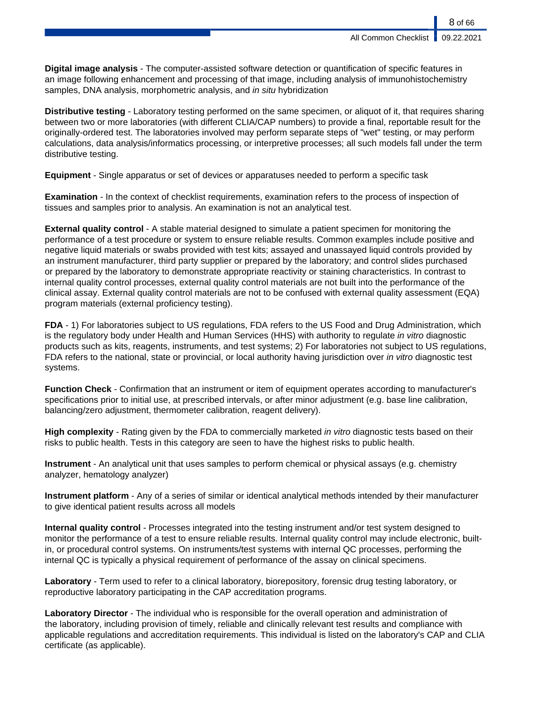**Digital image analysis** - The computer-assisted software detection or quantification of specific features in an image following enhancement and processing of that image, including analysis of immunohistochemistry samples, DNA analysis, morphometric analysis, and in situ hybridization

**Distributive testing** - Laboratory testing performed on the same specimen, or aliquot of it, that requires sharing between two or more laboratories (with different CLIA/CAP numbers) to provide a final, reportable result for the originally-ordered test. The laboratories involved may perform separate steps of "wet" testing, or may perform calculations, data analysis/informatics processing, or interpretive processes; all such models fall under the term distributive testing.

**Equipment** - Single apparatus or set of devices or apparatuses needed to perform a specific task

**Examination** - In the context of checklist requirements, examination refers to the process of inspection of tissues and samples prior to analysis. An examination is not an analytical test.

**External quality control** - A stable material designed to simulate a patient specimen for monitoring the performance of a test procedure or system to ensure reliable results. Common examples include positive and negative liquid materials or swabs provided with test kits; assayed and unassayed liquid controls provided by an instrument manufacturer, third party supplier or prepared by the laboratory; and control slides purchased or prepared by the laboratory to demonstrate appropriate reactivity or staining characteristics. In contrast to internal quality control processes, external quality control materials are not built into the performance of the clinical assay. External quality control materials are not to be confused with external quality assessment (EQA) program materials (external proficiency testing).

**FDA** - 1) For laboratories subject to US regulations, FDA refers to the US Food and Drug Administration, which is the regulatory body under Health and Human Services (HHS) with authority to regulate in vitro diagnostic products such as kits, reagents, instruments, and test systems; 2) For laboratories not subject to US regulations, FDA refers to the national, state or provincial, or local authority having jurisdiction over in vitro diagnostic test systems.

**Function Check** - Confirmation that an instrument or item of equipment operates according to manufacturer's specifications prior to initial use, at prescribed intervals, or after minor adjustment (e.g. base line calibration, balancing/zero adjustment, thermometer calibration, reagent delivery).

**High complexity** - Rating given by the FDA to commercially marketed in vitro diagnostic tests based on their risks to public health. Tests in this category are seen to have the highest risks to public health.

**Instrument** - An analytical unit that uses samples to perform chemical or physical assays (e.g. chemistry analyzer, hematology analyzer)

**Instrument platform** - Any of a series of similar or identical analytical methods intended by their manufacturer to give identical patient results across all models

**Internal quality control** - Processes integrated into the testing instrument and/or test system designed to monitor the performance of a test to ensure reliable results. Internal quality control may include electronic, builtin, or procedural control systems. On instruments/test systems with internal QC processes, performing the internal QC is typically a physical requirement of performance of the assay on clinical specimens.

**Laboratory** - Term used to refer to a clinical laboratory, biorepository, forensic drug testing laboratory, or reproductive laboratory participating in the CAP accreditation programs.

**Laboratory Director** - The individual who is responsible for the overall operation and administration of the laboratory, including provision of timely, reliable and clinically relevant test results and compliance with applicable regulations and accreditation requirements. This individual is listed on the laboratory's CAP and CLIA certificate (as applicable).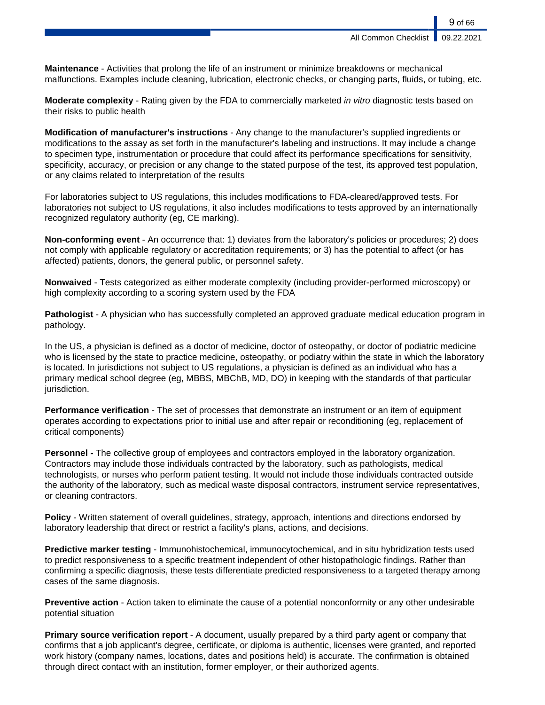**All Common Checklist** 

9 of 66

**Maintenance** - Activities that prolong the life of an instrument or minimize breakdowns or mechanical malfunctions. Examples include cleaning, lubrication, electronic checks, or changing parts, fluids, or tubing, etc.

**Moderate complexity** - Rating given by the FDA to commercially marketed in vitro diagnostic tests based on their risks to public health

**Modification of manufacturer's instructions** - Any change to the manufacturer's supplied ingredients or modifications to the assay as set forth in the manufacturer's labeling and instructions. It may include a change to specimen type, instrumentation or procedure that could affect its performance specifications for sensitivity, specificity, accuracy, or precision or any change to the stated purpose of the test, its approved test population, or any claims related to interpretation of the results

For laboratories subject to US regulations, this includes modifications to FDA-cleared/approved tests. For laboratories not subject to US regulations, it also includes modifications to tests approved by an internationally recognized regulatory authority (eg, CE marking).

**Non-conforming event** - An occurrence that: 1) deviates from the laboratory's policies or procedures; 2) does not comply with applicable regulatory or accreditation requirements; or 3) has the potential to affect (or has affected) patients, donors, the general public, or personnel safety.

**Nonwaived** - Tests categorized as either moderate complexity (including provider-performed microscopy) or high complexity according to a scoring system used by the FDA

**Pathologist** - A physician who has successfully completed an approved graduate medical education program in pathology.

In the US, a physician is defined as a doctor of medicine, doctor of osteopathy, or doctor of podiatric medicine who is licensed by the state to practice medicine, osteopathy, or podiatry within the state in which the laboratory is located. In jurisdictions not subject to US regulations, a physician is defined as an individual who has a primary medical school degree (eg, MBBS, MBChB, MD, DO) in keeping with the standards of that particular jurisdiction.

**Performance verification** - The set of processes that demonstrate an instrument or an item of equipment operates according to expectations prior to initial use and after repair or reconditioning (eg, replacement of critical components)

**Personnel -** The collective group of employees and contractors employed in the laboratory organization. Contractors may include those individuals contracted by the laboratory, such as pathologists, medical technologists, or nurses who perform patient testing. It would not include those individuals contracted outside the authority of the laboratory, such as medical waste disposal contractors, instrument service representatives, or cleaning contractors.

**Policy** - Written statement of overall guidelines, strategy, approach, intentions and directions endorsed by laboratory leadership that direct or restrict a facility's plans, actions, and decisions.

**Predictive marker testing** - Immunohistochemical, immunocytochemical, and in situ hybridization tests used to predict responsiveness to a specific treatment independent of other histopathologic findings. Rather than confirming a specific diagnosis, these tests differentiate predicted responsiveness to a targeted therapy among cases of the same diagnosis.

**Preventive action** - Action taken to eliminate the cause of a potential nonconformity or any other undesirable potential situation

**Primary source verification report** - A document, usually prepared by a third party agent or company that confirms that a job applicant's degree, certificate, or diploma is authentic, licenses were granted, and reported work history (company names, locations, dates and positions held) is accurate. The confirmation is obtained through direct contact with an institution, former employer, or their authorized agents.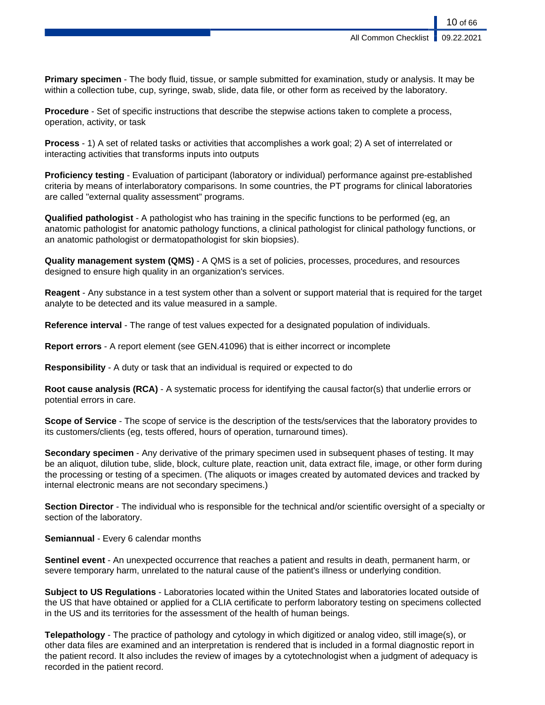**Primary specimen** - The body fluid, tissue, or sample submitted for examination, study or analysis. It may be within a collection tube, cup, syringe, swab, slide, data file, or other form as received by the laboratory.

**Procedure** - Set of specific instructions that describe the stepwise actions taken to complete a process, operation, activity, or task

**Process** - 1) A set of related tasks or activities that accomplishes a work goal; 2) A set of interrelated or interacting activities that transforms inputs into outputs

**Proficiency testing** - Evaluation of participant (laboratory or individual) performance against pre-established criteria by means of interlaboratory comparisons. In some countries, the PT programs for clinical laboratories are called "external quality assessment" programs.

**Qualified pathologist** - A pathologist who has training in the specific functions to be performed (eg, an anatomic pathologist for anatomic pathology functions, a clinical pathologist for clinical pathology functions, or an anatomic pathologist or dermatopathologist for skin biopsies).

**Quality management system (QMS)** - A QMS is a set of policies, processes, procedures, and resources designed to ensure high quality in an organization's services.

**Reagent** - Any substance in a test system other than a solvent or support material that is required for the target analyte to be detected and its value measured in a sample.

**Reference interval** - The range of test values expected for a designated population of individuals.

**Report errors** - A report element (see GEN.41096) that is either incorrect or incomplete

**Responsibility** - A duty or task that an individual is required or expected to do

**Root cause analysis (RCA)** - A systematic process for identifying the causal factor(s) that underlie errors or potential errors in care.

**Scope of Service** - The scope of service is the description of the tests/services that the laboratory provides to its customers/clients (eg, tests offered, hours of operation, turnaround times).

**Secondary specimen** - Any derivative of the primary specimen used in subsequent phases of testing. It may be an aliquot, dilution tube, slide, block, culture plate, reaction unit, data extract file, image, or other form during the processing or testing of a specimen. (The aliquots or images created by automated devices and tracked by internal electronic means are not secondary specimens.)

**Section Director** - The individual who is responsible for the technical and/or scientific oversight of a specialty or section of the laboratory.

**Semiannual** - Every 6 calendar months

**Sentinel event** - An unexpected occurrence that reaches a patient and results in death, permanent harm, or severe temporary harm, unrelated to the natural cause of the patient's illness or underlying condition.

**Subject to US Regulations** - Laboratories located within the United States and laboratories located outside of the US that have obtained or applied for a CLIA certificate to perform laboratory testing on specimens collected in the US and its territories for the assessment of the health of human beings.

**Telepathology** - The practice of pathology and cytology in which digitized or analog video, still image(s), or other data files are examined and an interpretation is rendered that is included in a formal diagnostic report in the patient record. It also includes the review of images by a cytotechnologist when a judgment of adequacy is recorded in the patient record.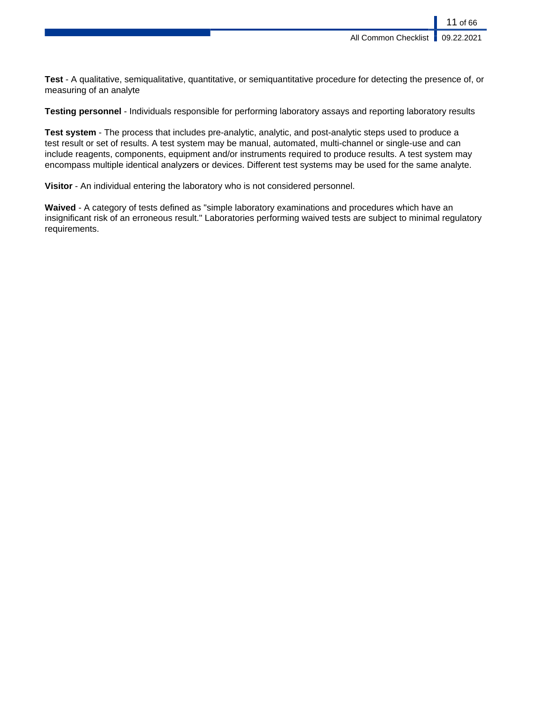**Test** - A qualitative, semiqualitative, quantitative, or semiquantitative procedure for detecting the presence of, or measuring of an analyte

**Testing personnel** - Individuals responsible for performing laboratory assays and reporting laboratory results

**Test system** - The process that includes pre-analytic, analytic, and post-analytic steps used to produce a test result or set of results. A test system may be manual, automated, multi-channel or single-use and can include reagents, components, equipment and/or instruments required to produce results. A test system may encompass multiple identical analyzers or devices. Different test systems may be used for the same analyte.

**Visitor** - An individual entering the laboratory who is not considered personnel.

**Waived** - A category of tests defined as "simple laboratory examinations and procedures which have an insignificant risk of an erroneous result." Laboratories performing waived tests are subject to minimal regulatory requirements.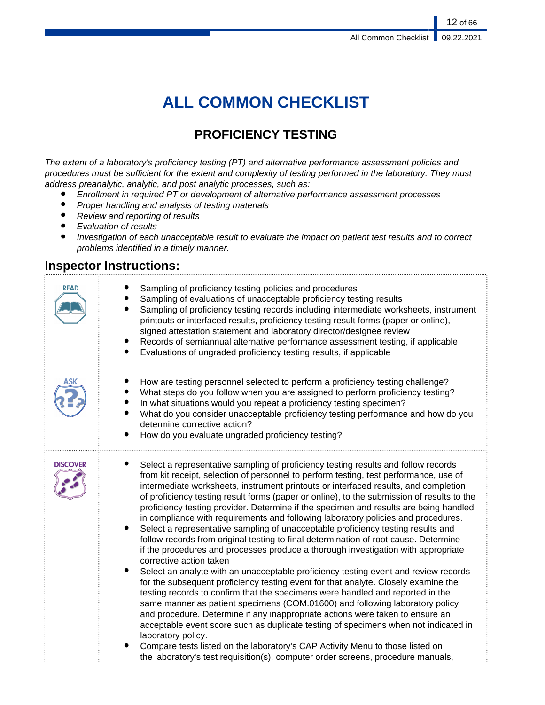# **ALL COMMON CHECKLIST**

# **PROFICIENCY TESTING**

The extent of a laboratory's proficiency testing (PT) and alternative performance assessment policies and procedures must be sufficient for the extent and complexity of testing performed in the laboratory. They must address preanalytic, analytic, and post analytic processes, such as:

- Enrollment in required PT or development of alternative performance assessment processes
- Proper handling and analysis of testing materials<br>• Review and reporting of results
- Review and reporting of results
- Evaluation of results
- Investigation of each unacceptable result to evaluate the impact on patient test results and to correct problems identified in a timely manner.

# **Inspector Instructions:**

| <b>READ</b>     | Sampling of proficiency testing policies and procedures<br>Sampling of evaluations of unacceptable proficiency testing results<br>Sampling of proficiency testing records including intermediate worksheets, instrument<br>printouts or interfaced results, proficiency testing result forms (paper or online),<br>signed attestation statement and laboratory director/designee review<br>Records of semiannual alternative performance assessment testing, if applicable<br>$\bullet$<br>Evaluations of ungraded proficiency testing results, if applicable                                                                                                                                                                                                                                                                                                                                                                                                                                                                                                                                                                                                                                                                                                                                                                                                                                                                                                                                                                                                             |
|-----------------|---------------------------------------------------------------------------------------------------------------------------------------------------------------------------------------------------------------------------------------------------------------------------------------------------------------------------------------------------------------------------------------------------------------------------------------------------------------------------------------------------------------------------------------------------------------------------------------------------------------------------------------------------------------------------------------------------------------------------------------------------------------------------------------------------------------------------------------------------------------------------------------------------------------------------------------------------------------------------------------------------------------------------------------------------------------------------------------------------------------------------------------------------------------------------------------------------------------------------------------------------------------------------------------------------------------------------------------------------------------------------------------------------------------------------------------------------------------------------------------------------------------------------------------------------------------------------|
| ASK             | How are testing personnel selected to perform a proficiency testing challenge?<br>What steps do you follow when you are assigned to perform proficiency testing?<br>In what situations would you repeat a proficiency testing specimen?<br>$\bullet$<br>What do you consider unacceptable proficiency testing performance and how do you<br>determine corrective action?<br>How do you evaluate ungraded proficiency testing?                                                                                                                                                                                                                                                                                                                                                                                                                                                                                                                                                                                                                                                                                                                                                                                                                                                                                                                                                                                                                                                                                                                                             |
| <b>DISCOVER</b> | Select a representative sampling of proficiency testing results and follow records<br>from kit receipt, selection of personnel to perform testing, test performance, use of<br>intermediate worksheets, instrument printouts or interfaced results, and completion<br>of proficiency testing result forms (paper or online), to the submission of results to the<br>proficiency testing provider. Determine if the specimen and results are being handled<br>in compliance with requirements and following laboratory policies and procedures.<br>Select a representative sampling of unacceptable proficiency testing results and<br>follow records from original testing to final determination of root cause. Determine<br>if the procedures and processes produce a thorough investigation with appropriate<br>corrective action taken<br>$\bullet$<br>Select an analyte with an unacceptable proficiency testing event and review records<br>for the subsequent proficiency testing event for that analyte. Closely examine the<br>testing records to confirm that the specimens were handled and reported in the<br>same manner as patient specimens (COM.01600) and following laboratory policy<br>and procedure. Determine if any inappropriate actions were taken to ensure an<br>acceptable event score such as duplicate testing of specimens when not indicated in<br>laboratory policy.<br>Compare tests listed on the laboratory's CAP Activity Menu to those listed on<br>the laboratory's test requisition(s), computer order screens, procedure manuals, |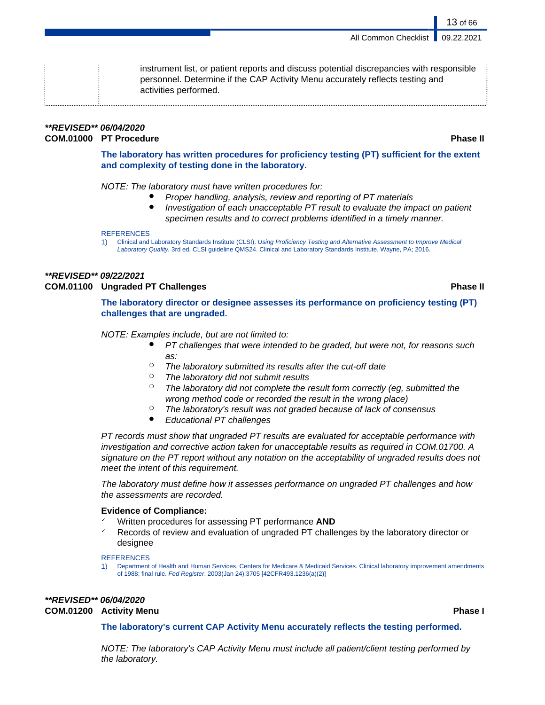instrument list, or patient reports and discuss potential discrepancies with responsible personnel. Determine if the CAP Activity Menu accurately reflects testing and activities performed.

# **\*\*REVISED\*\* 06/04/2020 COM.01000 PT Procedure Phase II**

**The laboratory has written procedures for proficiency testing (PT) sufficient for the extent and complexity of testing done in the laboratory.**

NOTE: The laboratory must have written procedures for:

- Proper handling, analysis, review and reporting of PT materials
- Investigation of each unacceptable PT result to evaluate the impact on patient specimen results and to correct problems identified in a timely manner.

### **REFERENCES**

1) Clinical and Laboratory Standards Institute (CLSI). Using Proficiency Testing and Alternative Assessment to Improve Medical Laboratory Quality. 3rd ed. CLSI guideline QMS24. Clinical and Laboratory Standards Institute. Wayne, PA; 2016.

# **\*\*REVISED\*\* 09/22/2021 COM.01100 Ungraded PT Challenges Phase II**

# **The laboratory director or designee assesses its performance on proficiency testing (PT) challenges that are ungraded.**

# NOTE: Examples include, but are not limited to:

- PT challenges that were intended to be graded, but were not, for reasons such as:
- $\degree$  The laboratory submitted its results after the cut-off date
- $\circ$  The laboratory did not submit results
- $\degree$  The laboratory did not complete the result form correctly (eg, submitted the wrong method code or recorded the result in the wrong place)
- $\degree$  The laboratory's result was not graded because of lack of consensus
	- **Educational PT challenges**

PT records must show that ungraded PT results are evaluated for acceptable performance with investigation and corrective action taken for unacceptable results as required in COM.01700. A signature on the PT report without any notation on the acceptability of ungraded results does not meet the intent of this requirement.

The laboratory must define how it assesses performance on ungraded PT challenges and how the assessments are recorded.

# **Evidence of Compliance:**

- ✓ Written procedures for assessing PT performance **AND**
- Records of review and evaluation of ungraded PT challenges by the laboratory director or designee

#### REFERENCES

1) Department of Health and Human Services, Centers for Medicare & Medicaid Services. Clinical laboratory improvement amendments of 1988; final rule. Fed Register. 2003(Jan 24):3705 [42CFR493.1236(a)(2)]

# **\*\*REVISED\*\* 06/04/2020 COM.01200 Activity Menu Phase I**

# **The laboratory's current CAP Activity Menu accurately reflects the testing performed.**

NOTE: The laboratory's CAP Activity Menu must include all patient/client testing performed by the laboratory.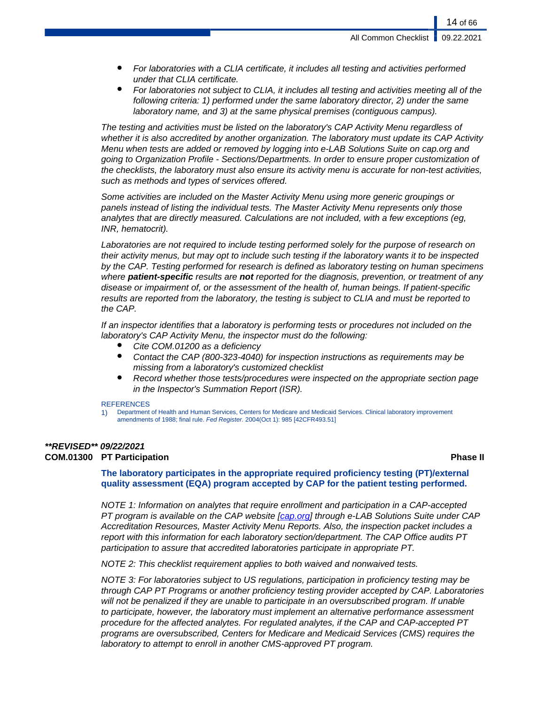**All Common Checklist** 

14 of 66

- For laboratories with a CLIA certificate, it includes all testing and activities performed under that CLIA certificate.
- For laboratories not subject to CLIA, it includes all testing and activities meeting all of the following criteria: 1) performed under the same laboratory director, 2) under the same laboratory name, and 3) at the same physical premises (contiguous campus).

The testing and activities must be listed on the laboratory's CAP Activity Menu regardless of whether it is also accredited by another organization. The laboratory must update its CAP Activity Menu when tests are added or removed by logging into e-LAB Solutions Suite on cap.org and going to Organization Profile - Sections/Departments. In order to ensure proper customization of the checklists, the laboratory must also ensure its activity menu is accurate for non-test activities, such as methods and types of services offered.

Some activities are included on the Master Activity Menu using more generic groupings or panels instead of listing the individual tests. The Master Activity Menu represents only those analytes that are directly measured. Calculations are not included, with a few exceptions (eg, INR, hematocrit).

Laboratories are not required to include testing performed solely for the purpose of research on their activity menus, but may opt to include such testing if the laboratory wants it to be inspected by the CAP. Testing performed for research is defined as laboratory testing on human specimens where **patient-specific** results are **not** reported for the diagnosis, prevention, or treatment of any disease or impairment of, or the assessment of the health of, human beings. If patient-specific results are reported from the laboratory, the testing is subject to CLIA and must be reported to the CAP.

If an inspector identifies that a laboratory is performing tests or procedures not included on the laboratory's CAP Activity Menu, the inspector must do the following:

- Cite COM.01200 as a deficiency
- Contact the CAP (800-323-4040) for inspection instructions as requirements may be missing from a laboratory's customized checklist
- Record whether those tests/procedures were inspected on the appropriate section page in the Inspector's Summation Report (ISR).

#### **REFERENCES**

1) Department of Health and Human Services, Centers for Medicare and Medicaid Services. Clinical laboratory improvement amendments of 1988; final rule. Fed Register. 2004(Oct 1): 985 [42CFR493.51]

# **\*\*REVISED\*\* 09/22/2021**

# **COM.01300 PT Participation Phase II**

# **The laboratory participates in the appropriate required proficiency testing (PT)/external quality assessment (EQA) program accepted by CAP for the patient testing performed.**

NOTE 1: Information on analytes that require enrollment and participation in a CAP-accepted PT program is available on the CAP website [[cap.org](http://www.cap.org/)] through e-LAB Solutions Suite under CAP Accreditation Resources, Master Activity Menu Reports. Also, the inspection packet includes a report with this information for each laboratory section/department. The CAP Office audits PT participation to assure that accredited laboratories participate in appropriate PT.

NOTE 2: This checklist requirement applies to both waived and nonwaived tests.

NOTE 3: For laboratories subject to US regulations, participation in proficiency testing may be through CAP PT Programs or another proficiency testing provider accepted by CAP. Laboratories will not be penalized if they are unable to participate in an oversubscribed program. If unable to participate, however, the laboratory must implement an alternative performance assessment procedure for the affected analytes. For regulated analytes, if the CAP and CAP-accepted PT programs are oversubscribed, Centers for Medicare and Medicaid Services (CMS) requires the laboratory to attempt to enroll in another CMS-approved PT program.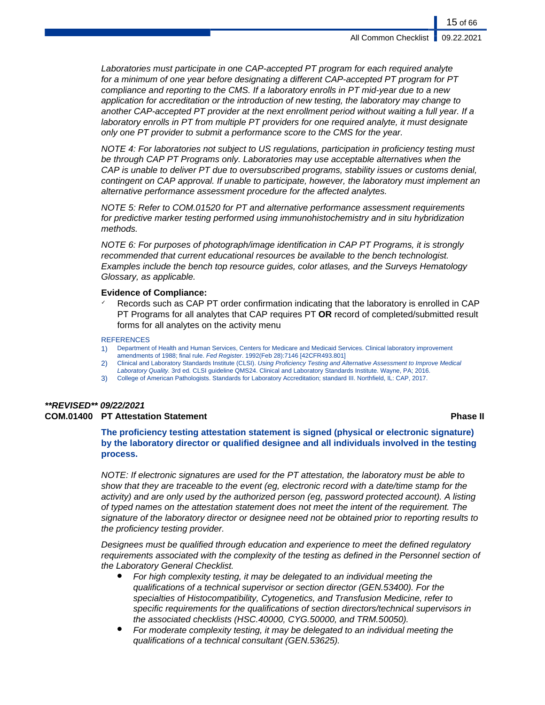Laboratories must participate in one CAP-accepted PT program for each required analyte for a minimum of one year before designating a different CAP-accepted PT program for PT compliance and reporting to the CMS. If a laboratory enrolls in PT mid-year due to a new application for accreditation or the introduction of new testing, the laboratory may change to another CAP-accepted PT provider at the next enrollment period without waiting a full year. If a laboratory enrolls in PT from multiple PT providers for one required analyte, it must designate only one PT provider to submit a performance score to the CMS for the year.

NOTE 4: For laboratories not subject to US regulations, participation in proficiency testing must be through CAP PT Programs only. Laboratories may use acceptable alternatives when the CAP is unable to deliver PT due to oversubscribed programs, stability issues or customs denial, contingent on CAP approval. If unable to participate, however, the laboratory must implement an alternative performance assessment procedure for the affected analytes.

NOTE 5: Refer to COM.01520 for PT and alternative performance assessment requirements for predictive marker testing performed using immunohistochemistry and in situ hybridization methods.

NOTE 6: For purposes of photograph/image identification in CAP PT Programs, it is strongly recommended that current educational resources be available to the bench technologist. Examples include the bench top resource guides, color atlases, and the Surveys Hematology Glossary, as applicable.

### **Evidence of Compliance:**

Records such as CAP PT order confirmation indicating that the laboratory is enrolled in CAP PT Programs for all analytes that CAP requires PT **OR** record of completed/submitted result forms for all analytes on the activity menu

#### **REFERENCES**

- 1) Department of Health and Human Services, Centers for Medicare and Medicaid Services. Clinical laboratory improvement amendments of 1988; final rule. Fed Register. 1992(Feb 28):7146 [42CFR493.801]
- 2) Clinical and Laboratory Standards Institute (CLSI). Using Proficiency Testing and Alternative Assessment to Improve Medical
- Laboratory Quality. 3rd ed. CLSI guideline QMS24. Clinical and Laboratory Standards Institute. Wayne, PA; 2016.
- 3) College of American Pathologists. Standards for Laboratory Accreditation; standard III. Northfield, IL: CAP, 2017.

# **\*\*REVISED\*\* 09/22/2021**

# **COM.01400 PT Attestation Statement Phase II**

**The proficiency testing attestation statement is signed (physical or electronic signature) by the laboratory director or qualified designee and all individuals involved in the testing process.**

NOTE: If electronic signatures are used for the PT attestation, the laboratory must be able to show that they are traceable to the event (eg, electronic record with a date/time stamp for the activity) and are only used by the authorized person (eg, password protected account). A listing of typed names on the attestation statement does not meet the intent of the requirement. The signature of the laboratory director or designee need not be obtained prior to reporting results to the proficiency testing provider.

Designees must be qualified through education and experience to meet the defined regulatory requirements associated with the complexity of the testing as defined in the Personnel section of the Laboratory General Checklist.

- For high complexity testing, it may be delegated to an individual meeting the qualifications of a technical supervisor or section director (GEN.53400). For the specialties of Histocompatibility, Cytogenetics, and Transfusion Medicine, refer to specific requirements for the qualifications of section directors/technical supervisors in the associated checklists (HSC.40000, CYG.50000, and TRM.50050).
- For moderate complexity testing, it may be delegated to an individual meeting the qualifications of a technical consultant (GEN.53625).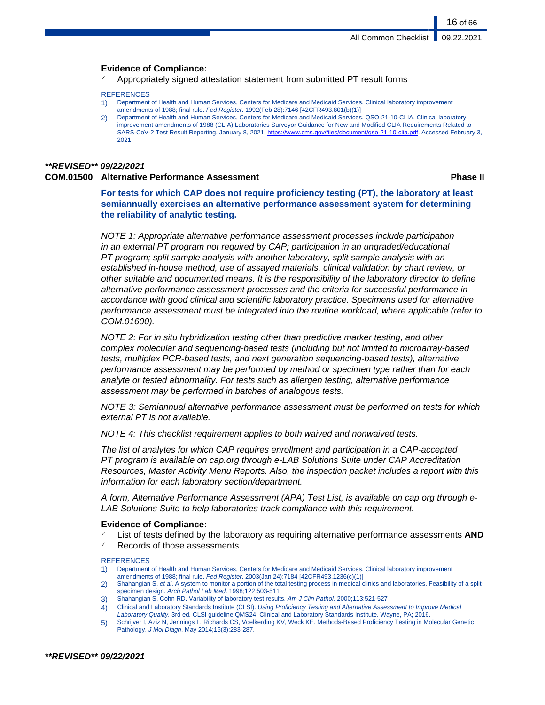# **Evidence of Compliance:**

Appropriately signed attestation statement from submitted PT result forms

#### **REFERENCES**

- 1) Department of Health and Human Services, Centers for Medicare and Medicaid Services. Clinical laboratory improvement amendments of 1988; final rule. Fed Register. 1992(Feb 28):7146 [42CFR493.801(b)(1)]
- 2) Department of Health and Human Services, Centers for Medicare and Medicaid Services. QSO-21-10-CLIA. Clinical laboratory improvement amendments of 1988 (CLIA) Laboratories Surveyor Guidance for New and Modified CLIA Requirements Related to SARS-CoV-2 Test Result Reporting. January 8, 2021. [https://www.cms.gov/files/document/qso-21-10-clia.pdf.](#page-0-0) Accessed February 3, 2021.

# **\*\*REVISED\*\* 09/22/2021 COM.01500 Alternative Performance Assessment Phase II**

16 of 66

**For tests for which CAP does not require proficiency testing (PT), the laboratory at least semiannually exercises an alternative performance assessment system for determining the reliability of analytic testing.**

NOTE 1: Appropriate alternative performance assessment processes include participation in an external PT program not required by CAP; participation in an ungraded/educational PT program; split sample analysis with another laboratory, split sample analysis with an established in-house method, use of assayed materials, clinical validation by chart review, or other suitable and documented means. It is the responsibility of the laboratory director to define alternative performance assessment processes and the criteria for successful performance in accordance with good clinical and scientific laboratory practice. Specimens used for alternative performance assessment must be integrated into the routine workload, where applicable (refer to COM.01600).

NOTE 2: For in situ hybridization testing other than predictive marker testing, and other complex molecular and sequencing-based tests (including but not limited to microarray-based tests, multiplex PCR-based tests, and next generation sequencing-based tests), alternative performance assessment may be performed by method or specimen type rather than for each analyte or tested abnormality. For tests such as allergen testing, alternative performance assessment may be performed in batches of analogous tests.

NOTE 3: Semiannual alternative performance assessment must be performed on tests for which external PT is not available.

NOTE 4: This checklist requirement applies to both waived and nonwaived tests.

The list of analytes for which CAP requires enrollment and participation in a CAP-accepted PT program is available on cap.org through e-LAB Solutions Suite under CAP Accreditation Resources, Master Activity Menu Reports. Also, the inspection packet includes a report with this information for each laboratory section/department.

A form, Alternative Performance Assessment (APA) Test List, is available on cap.org through e-LAB Solutions Suite to help laboratories track compliance with this requirement.

# **Evidence of Compliance:**

- List of tests defined by the laboratory as requiring alternative performance assessments **AND**
- Records of those assessments

#### **REFERENCES**

- 1) Department of Health and Human Services, Centers for Medicare and Medicaid Services. Clinical laboratory improvement amendments of 1988; final rule. Fed Register. 2003(Jan 24):7184 [42CFR493.1236(c)(1)]
- 2) Shahangian S, et al. A system to monitor a portion of the total testing process in medical clinics and laboratories. Feasibility of a splitspecimen design. Arch Pathol Lab Med. 1998;122:503-511
- 3) Shahangian S, Cohn RD. Variability of laboratory test results. Am J Clin Pathol. 2000;113:521-527
- 4) Clinical and Laboratory Standards Institute (CLSI). Using Proficiency Testing and Alternative Assessment to Improve Medical Laboratory Quality. 3rd ed. CLSI guideline QMS24. Clinical and Laboratory Standards Institute. Wayne, PA; 2016.
- 5) Schrijver I, Aziz N, Jennings L, Richards CS, Voelkerding KV, Weck KE. Methods-Based Proficiency Testing in Molecular Genetic Pathology. J Mol Diagn. May 2014;16(3):283-287.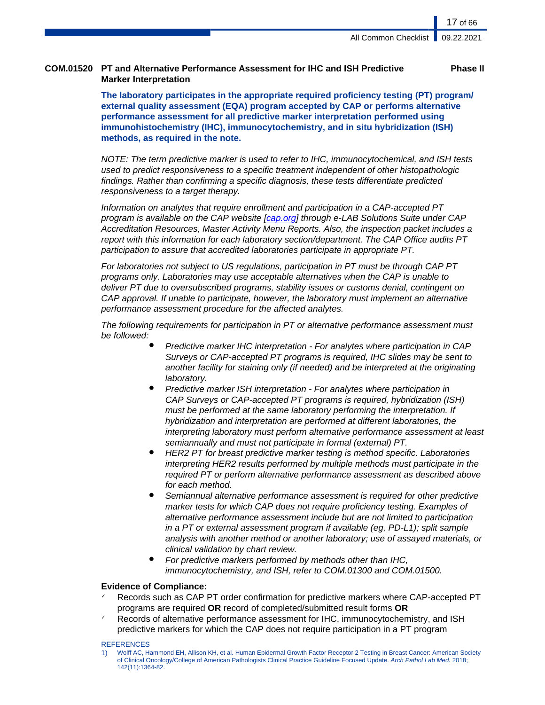# **COM.01520 PT and Alternative Performance Assessment for IHC and ISH Predictive Marker Interpretation**

**Phase II**

**The laboratory participates in the appropriate required proficiency testing (PT) program/ external quality assessment (EQA) program accepted by CAP or performs alternative performance assessment for all predictive marker interpretation performed using immunohistochemistry (IHC), immunocytochemistry, and in situ hybridization (ISH) methods, as required in the note.**

NOTE: The term predictive marker is used to refer to IHC, immunocytochemical, and ISH tests used to predict responsiveness to a specific treatment independent of other histopathologic findings. Rather than confirming a specific diagnosis, these tests differentiate predicted responsiveness to a target therapy.

Information on analytes that require enrollment and participation in a CAP-accepted PT program is available on the CAP website [\[cap.org\]](http://www.cap.org/) through e-LAB Solutions Suite under CAP Accreditation Resources, Master Activity Menu Reports. Also, the inspection packet includes a report with this information for each laboratory section/department. The CAP Office audits PT participation to assure that accredited laboratories participate in appropriate PT.

For laboratories not subject to US regulations, participation in PT must be through CAP PT programs only. Laboratories may use acceptable alternatives when the CAP is unable to deliver PT due to oversubscribed programs, stability issues or customs denial, contingent on CAP approval. If unable to participate, however, the laboratory must implement an alternative performance assessment procedure for the affected analytes.

The following requirements for participation in PT or alternative performance assessment must be followed:

- Predictive marker IHC interpretation For analytes where participation in CAP Surveys or CAP-accepted PT programs is required, IHC slides may be sent to another facility for staining only (if needed) and be interpreted at the originating laboratory.
- Predictive marker ISH interpretation For analytes where participation in CAP Surveys or CAP-accepted PT programs is required, hybridization (ISH) must be performed at the same laboratory performing the interpretation. If hybridization and interpretation are performed at different laboratories, the interpreting laboratory must perform alternative performance assessment at least semiannually and must not participate in formal (external) PT.
- HER2 PT for breast predictive marker testing is method specific. Laboratories interpreting HER2 results performed by multiple methods must participate in the required PT or perform alternative performance assessment as described above for each method.
- Semiannual alternative performance assessment is required for other predictive marker tests for which CAP does not require proficiency testing. Examples of alternative performance assessment include but are not limited to participation in a PT or external assessment program if available (eg, PD-L1); split sample analysis with another method or another laboratory; use of assayed materials, or clinical validation by chart review.
- For predictive markers performed by methods other than IHC, immunocytochemistry, and ISH, refer to COM.01300 and COM.01500.

# **Evidence of Compliance:**

- Records such as CAP PT order confirmation for predictive markers where CAP-accepted PT programs are required **OR** record of completed/submitted result forms **OR**
- Records of alternative performance assessment for IHC, immunocytochemistry, and ISH predictive markers for which the CAP does not require participation in a PT program

#### **REFERENCES**

1) Wolff AC, Hammond EH, Allison KH, et al. Human Epidermal Growth Factor Receptor 2 Testing in Breast Cancer: American Society of Clinical Oncology/College of American Pathologists Clinical Practice Guideline Focused Update. Arch Pathol Lab Med. 2018; 142(11):1364-82.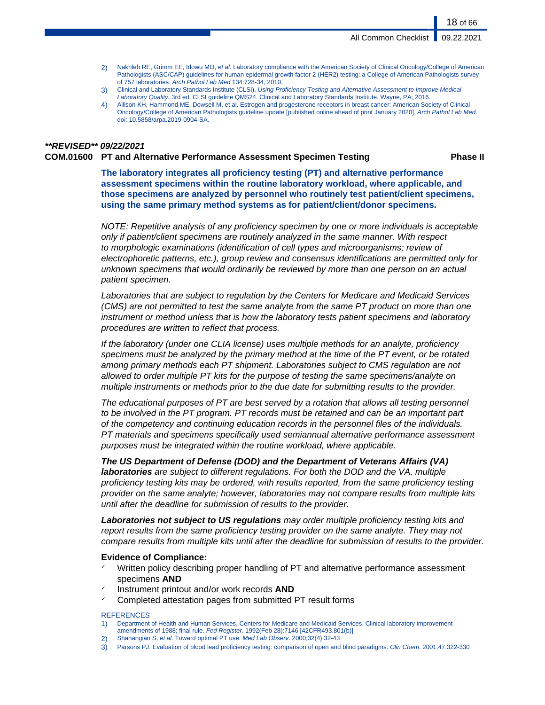- 2) Nakhleh RE, Grimm EE, Idowu MO, et al. Laboratory compliance with the American Society of Clinical Oncology/College of American Pathologists (ASC/CAP) guidelines for human epidermal growth factor 2 (HER2) testing: a College of American Pathologists survey of 757 laboratories. Arch Pathol Lab Med 134:728-34, 2010.
- 3) Clinical and Laboratory Standards Institute (CLSI). Using Proficiency Testing and Alternative Assessment to Improve Medical Laboratory Quality. 3rd ed. CLSI guideline QMS24. Clinical and Laboratory Standards Institute. Wayne, PA; 2016.
- 4) Allison KH, Hammond ME, Dowsell M, et al. Estrogen and progesterone receptors in breast cancer: American Society of Clinical Oncology/College of American Pathologists guideline update [published online ahead of print January 2020]. Arch Pathol Lab Med. doi: 10.5858/arpa.2019-0904-SA.

# **\*\*REVISED\*\* 09/22/2021**

#### **COM.01600 PT and Alternative Performance Assessment Specimen Testing Phase II**

**The laboratory integrates all proficiency testing (PT) and alternative performance assessment specimens within the routine laboratory workload, where applicable, and those specimens are analyzed by personnel who routinely test patient/client specimens, using the same primary method systems as for patient/client/donor specimens.**

NOTE: Repetitive analysis of any proficiency specimen by one or more individuals is acceptable only if patient/client specimens are routinely analyzed in the same manner. With respect to morphologic examinations (identification of cell types and microorganisms; review of electrophoretic patterns, etc.), group review and consensus identifications are permitted only for unknown specimens that would ordinarily be reviewed by more than one person on an actual patient specimen.

Laboratories that are subject to regulation by the Centers for Medicare and Medicaid Services (CMS) are not permitted to test the same analyte from the same PT product on more than one instrument or method unless that is how the laboratory tests patient specimens and laboratory procedures are written to reflect that process.

If the laboratory (under one CLIA license) uses multiple methods for an analyte, proficiency specimens must be analyzed by the primary method at the time of the PT event, or be rotated among primary methods each PT shipment. Laboratories subject to CMS regulation are not allowed to order multiple PT kits for the purpose of testing the same specimens/analyte on multiple instruments or methods prior to the due date for submitting results to the provider.

The educational purposes of PT are best served by a rotation that allows all testing personnel to be involved in the PT program. PT records must be retained and can be an important part of the competency and continuing education records in the personnel files of the individuals. PT materials and specimens specifically used semiannual alternative performance assessment purposes must be integrated within the routine workload, where applicable.

**The US Department of Defense (DOD) and the Department of Veterans Affairs (VA) laboratories** are subject to different regulations. For both the DOD and the VA, multiple proficiency testing kits may be ordered, with results reported, from the same proficiency testing provider on the same analyte; however, laboratories may not compare results from multiple kits until after the deadline for submission of results to the provider.

**Laboratories not subject to US regulations** may order multiple proficiency testing kits and report results from the same proficiency testing provider on the same analyte. They may not compare results from multiple kits until after the deadline for submission of results to the provider.

# **Evidence of Compliance:**

- ✓ Written policy describing proper handling of PT and alternative performance assessment specimens **AND**
- Instrument printout and/or work records **AND**
- ✓ Completed attestation pages from submitted PT result forms

#### **REFERENCES**

- 1) Department of Health and Human Services, Centers for Medicare and Medicaid Services. Clinical laboratory improvement amendments of 1988; final rule. Fed Register. 1992(Feb 28):7146 [42CFR493.801(b)]
- 2) Shahangian S, et al. Toward optimal PT use. Med Lab Observ. 2000;32(4):32-43
- 3) Parsons PJ. Evaluation of blood lead proficiency testing: comparison of open and blind paradigms. Clin Chem. 2001;47:322-330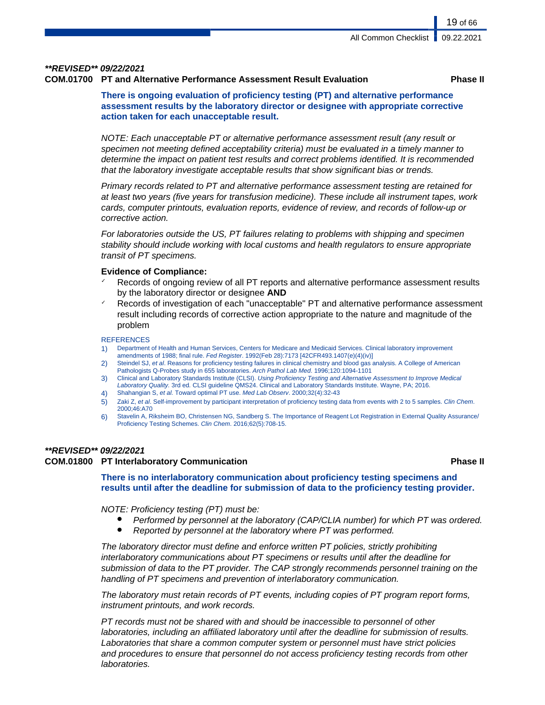# **\*\*REVISED\*\* 09/22/2021**

# **COM.01700 PT and Alternative Performance Assessment Result Evaluation Phase II**

19 of 66

**There is ongoing evaluation of proficiency testing (PT) and alternative performance assessment results by the laboratory director or designee with appropriate corrective action taken for each unacceptable result.**

NOTE: Each unacceptable PT or alternative performance assessment result (any result or specimen not meeting defined acceptability criteria) must be evaluated in a timely manner to determine the impact on patient test results and correct problems identified. It is recommended that the laboratory investigate acceptable results that show significant bias or trends.

Primary records related to PT and alternative performance assessment testing are retained for at least two years (five years for transfusion medicine). These include all instrument tapes, work cards, computer printouts, evaluation reports, evidence of review, and records of follow-up or corrective action.

For laboratories outside the US, PT failures relating to problems with shipping and specimen stability should include working with local customs and health regulators to ensure appropriate transit of PT specimens.

# **Evidence of Compliance:**

- Records of ongoing review of all PT reports and alternative performance assessment results by the laboratory director or designee **AND**
- Records of investigation of each "unacceptable" PT and alternative performance assessment result including records of corrective action appropriate to the nature and magnitude of the problem

#### **REFERENCES**

- 1) Department of Health and Human Services, Centers for Medicare and Medicaid Services. Clinical laboratory improvement amendments of 1988; final rule. Fed Register. 1992(Feb 28):7173 [42CFR493.1407(e)(4)(iv)]
- 2) Steindel SJ, et al. Reasons for proficiency testing failures in clinical chemistry and blood gas analysis. A College of American Pathologists Q-Probes study in 655 laboratories. Arch Pathol Lab Med. 1996;120:1094-1101
- 3) Clinical and Laboratory Standards Institute (CLSI). Using Proficiency Testing and Alternative Assessment to Improve Medical Laboratory Quality. 3rd ed. CLSI guideline QMS24. Clinical and Laboratory Standards Institute. Wayne, PA; 2016.
- 4) Shahangian S, et al. Toward optimal PT use. Med Lab Observ. 2000;32(4):32-43
- 5) Zaki Z, et al. Self-improvement by participant interpretation of proficiency testing data from events with 2 to 5 samples. Clin Chem. 2000;46:A70
- 6) Stavelin A, Riksheim BO, Christensen NG, Sandberg S. The Importance of Reagent Lot Registration in External Quality Assurance/ Proficiency Testing Schemes. Clin Chem. 2016;62(5):708-15.

#### **\*\*REVISED\*\* 09/22/2021**

# **COM.01800 PT Interlaboratory Communication Phase II**

**There is no interlaboratory communication about proficiency testing specimens and results until after the deadline for submission of data to the proficiency testing provider.**

#### NOTE: Proficiency testing (PT) must be:

- Performed by personnel at the laboratory (CAP/CLIA number) for which PT was ordered.
- Reported by personnel at the laboratory where PT was performed.

The laboratory director must define and enforce written PT policies, strictly prohibiting interlaboratory communications about PT specimens or results until after the deadline for submission of data to the PT provider. The CAP strongly recommends personnel training on the handling of PT specimens and prevention of interlaboratory communication.

The laboratory must retain records of PT events, including copies of PT program report forms, instrument printouts, and work records.

PT records must not be shared with and should be inaccessible to personnel of other laboratories, including an affiliated laboratory until after the deadline for submission of results. Laboratories that share a common computer system or personnel must have strict policies and procedures to ensure that personnel do not access proficiency testing records from other laboratories.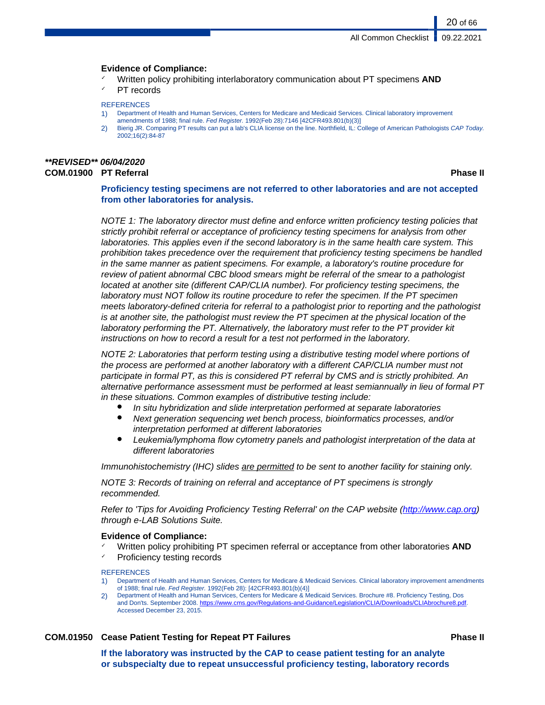# **Evidence of Compliance:**

- ✓ Written policy prohibiting interlaboratory communication about PT specimens **AND**
- PT records

# **REFERENCES**

- 1) Department of Health and Human Services, Centers for Medicare and Medicaid Services. Clinical laboratory improvement
- amendments of 1988; final rule. Fed Register. 1992(Feb 28):7146 [42CFR493.801(b)(3)]
- 2) Bierig JR. Comparing PT results can put a lab's CLIA license on the line. Northfield, IL: College of American Pathologists CAP Today. 2002;16(2):84-87

# **\*\*REVISED\*\* 06/04/2020 COM.01900 PT Referral Phase II**

20 of 66

**Proficiency testing specimens are not referred to other laboratories and are not accepted from other laboratories for analysis.**

NOTE 1: The laboratory director must define and enforce written proficiency testing policies that strictly prohibit referral or acceptance of proficiency testing specimens for analysis from other laboratories. This applies even if the second laboratory is in the same health care system. This prohibition takes precedence over the requirement that proficiency testing specimens be handled in the same manner as patient specimens. For example, a laboratory's routine procedure for review of patient abnormal CBC blood smears might be referral of the smear to a pathologist located at another site (different CAP/CLIA number). For proficiency testing specimens, the laboratory must NOT follow its routine procedure to refer the specimen. If the PT specimen meets laboratory-defined criteria for referral to a pathologist prior to reporting and the pathologist is at another site, the pathologist must review the PT specimen at the physical location of the laboratory performing the PT. Alternatively, the laboratory must refer to the PT provider kit instructions on how to record a result for a test not performed in the laboratory.

NOTE 2: Laboratories that perform testing using a distributive testing model where portions of the process are performed at another laboratory with a different CAP/CLIA number must not participate in formal PT, as this is considered PT referral by CMS and is strictly prohibited. An alternative performance assessment must be performed at least semiannually in lieu of formal PT in these situations. Common examples of distributive testing include:

- In situ hybridization and slide interpretation performed at separate laboratories
- Next generation sequencing wet bench process, bioinformatics processes, and/or interpretation performed at different laboratories
- Leukemia/lymphoma flow cytometry panels and pathologist interpretation of the data at different laboratories

Immunohistochemistry (IHC) slides are permitted to be sent to another facility for staining only.

NOTE 3: Records of training on referral and acceptance of PT specimens is strongly recommended.

Refer to 'Tips for Avoiding Proficiency Testing Referral' on the CAP website ([http://www.cap.org\)](http://www.cap.org) through e-LAB Solutions Suite.

# **Evidence of Compliance:**

Written policy prohibiting PT specimen referral or acceptance from other laboratories **AND** ✓ Proficiency testing records

**REFERENCES** 

- 1) Department of Health and Human Services, Centers for Medicare & Medicaid Services. Clinical laboratory improvement amendments of 1988; final rule. Fed Register. 1992(Feb 28): [42CFR493.801(b)(4)]
- 2) Department of Health and Human Services, Centers for Medicare & Medicaid Services. Brochure #8. Proficiency Testing, Dos and Don'ts. September 2008. [https://www.cms.gov/Regulations-and-Guidance/Legislation/CLIA/Downloads/CLIAbrochure8.pdf](#page-0-0). Accessed December 23, 2015.

# **COM.01950 Cease Patient Testing for Repeat PT Failures Phase II**

**If the laboratory was instructed by the CAP to cease patient testing for an analyte or subspecialty due to repeat unsuccessful proficiency testing, laboratory records**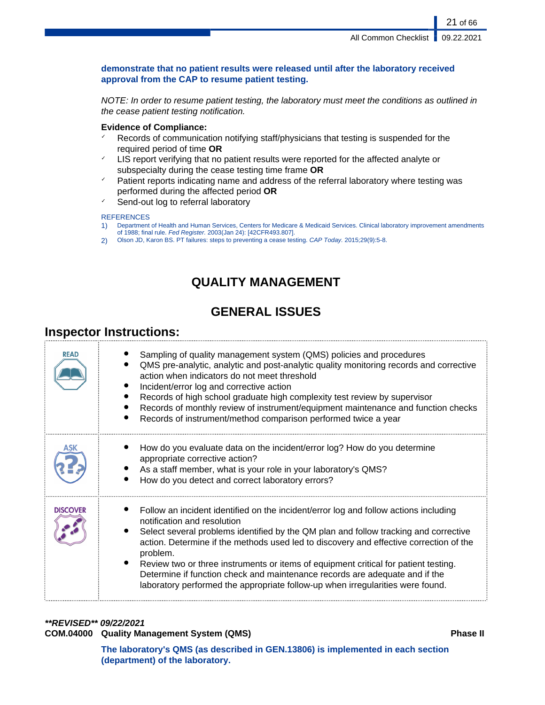# **demonstrate that no patient results were released until after the laboratory received approval from the CAP to resume patient testing.**

NOTE: In order to resume patient testing, the laboratory must meet the conditions as outlined in the cease patient testing notification.

# **Evidence of Compliance:**

- $\checkmark$  Records of communication notifying staff/physicians that testing is suspended for the required period of time **OR**
- $\leq$  LIS report verifying that no patient results were reported for the affected analyte or subspecialty during the cease testing time frame **OR**
- ✓ Patient reports indicating name and address of the referral laboratory where testing was performed during the affected period **OR**
- Send-out log to referral laboratory

# **REFERENCES**

- 1) Department of Health and Human Services, Centers for Medicare & Medicaid Services. Clinical laboratory improvement amendments of 1988; final rule. Fed Register. 2003(Jan 24): [42CFR493.807].
- 2) Olson JD, Karon BS. PT failures: steps to preventing a cease testing. CAP Today. 2015;29(9):5-8.

# **QUALITY MANAGEMENT**

# **GENERAL ISSUES**

# **Inspector Instructions:**

| READ            | Sampling of quality management system (QMS) policies and procedures<br>QMS pre-analytic, analytic and post-analytic quality monitoring records and corrective<br>action when indicators do not meet threshold<br>Incident/error log and corrective action<br>Records of high school graduate high complexity test review by supervisor<br>Records of monthly review of instrument/equipment maintenance and function checks<br>Records of instrument/method comparison performed twice a year                                                                             |
|-----------------|---------------------------------------------------------------------------------------------------------------------------------------------------------------------------------------------------------------------------------------------------------------------------------------------------------------------------------------------------------------------------------------------------------------------------------------------------------------------------------------------------------------------------------------------------------------------------|
|                 | How do you evaluate data on the incident/error log? How do you determine<br>appropriate corrective action?<br>As a staff member, what is your role in your laboratory's QMS?<br>How do you detect and correct laboratory errors?                                                                                                                                                                                                                                                                                                                                          |
| <b>DISCOVER</b> | Follow an incident identified on the incident/error log and follow actions including<br>notification and resolution<br>Select several problems identified by the QM plan and follow tracking and corrective<br>action. Determine if the methods used led to discovery and effective correction of the<br>problem.<br>Review two or three instruments or items of equipment critical for patient testing.<br>Determine if function check and maintenance records are adequate and if the<br>laboratory performed the appropriate follow-up when irregularities were found. |

# **\*\*REVISED\*\* 09/22/2021**

# **COM.04000 Quality Management System (QMS) Phase II**

**The laboratory's QMS (as described in GEN.13806) is implemented in each section (department) of the laboratory.**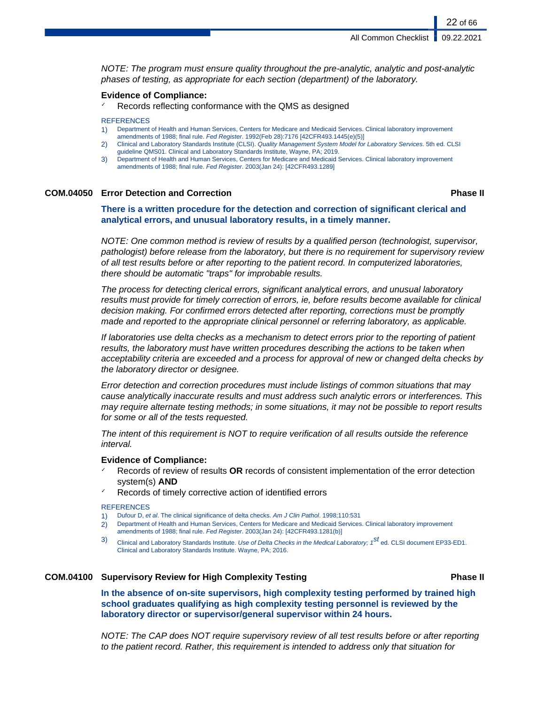NOTE: The program must ensure quality throughout the pre-analytic, analytic and post-analytic phases of testing, as appropriate for each section (department) of the laboratory.

### **Evidence of Compliance:**

Records reflecting conformance with the QMS as designed

#### **REFERENCES**

- 1) Department of Health and Human Services, Centers for Medicare and Medicaid Services. Clinical laboratory improvement
- amendments of 1988; final rule. Fed Register. 1992(Feb 28):7176 [42CFR493.1445(e)(5)]
- 2) Clinical and Laboratory Standards Institute (CLSI). Quality Management System Model for Laboratory Services. 5th ed. CLSI guideline QMS01. Clinical and Laboratory Standards Institute, Wayne, PA; 2019.
- 3) Department of Health and Human Services, Centers for Medicare and Medicaid Services. Clinical laboratory improvement amendments of 1988; final rule. Fed Register. 2003(Jan 24): [42CFR493.1289]

# **COM.04050 Error Detection and Correction Phase II**

22 of 66

**There is a written procedure for the detection and correction of significant clerical and analytical errors, and unusual laboratory results, in a timely manner.**

NOTE: One common method is review of results by a qualified person (technologist, supervisor, pathologist) before release from the laboratory, but there is no requirement for supervisory review of all test results before or after reporting to the patient record. In computerized laboratories, there should be automatic "traps" for improbable results.

The process for detecting clerical errors, significant analytical errors, and unusual laboratory results must provide for timely correction of errors, ie, before results become available for clinical decision making. For confirmed errors detected after reporting, corrections must be promptly made and reported to the appropriate clinical personnel or referring laboratory, as applicable.

If laboratories use delta checks as a mechanism to detect errors prior to the reporting of patient results, the laboratory must have written procedures describing the actions to be taken when acceptability criteria are exceeded and a process for approval of new or changed delta checks by the laboratory director or designee.

Error detection and correction procedures must include listings of common situations that may cause analytically inaccurate results and must address such analytic errors or interferences. This may require alternate testing methods; in some situations, it may not be possible to report results for some or all of the tests requested.

The intent of this requirement is NOT to require verification of all results outside the reference interval.

#### **Evidence of Compliance:**

- ✓ Records of review of results **OR** records of consistent implementation of the error detection system(s) **AND**
- Records of timely corrective action of identified errors

#### **REFERENCES**

- Dufour D, et al. The clinical significance of delta checks. Am J Clin Pathol. 1998;110:531
- 2) Department of Health and Human Services, Centers for Medicare and Medicaid Services. Clinical laboratory improvement amendments of 1988; final rule. Fed Register. 2003(Jan 24): [42CFR493.1281(b)]
- 3) Clinical and Laboratory Standards Institute. Use of Delta Checks in the Medical Laboratory;  $1^{st}$  ed. CLSI document EP33-ED1. Clinical and Laboratory Standards Institute. Wayne, PA; 2016.

# **COM.04100 Supervisory Review for High Complexity Testing Phase II**

**In the absence of on-site supervisors, high complexity testing performed by trained high school graduates qualifying as high complexity testing personnel is reviewed by the laboratory director or supervisor/general supervisor within 24 hours.**

NOTE: The CAP does NOT require supervisory review of all test results before or after reporting to the patient record. Rather, this requirement is intended to address only that situation for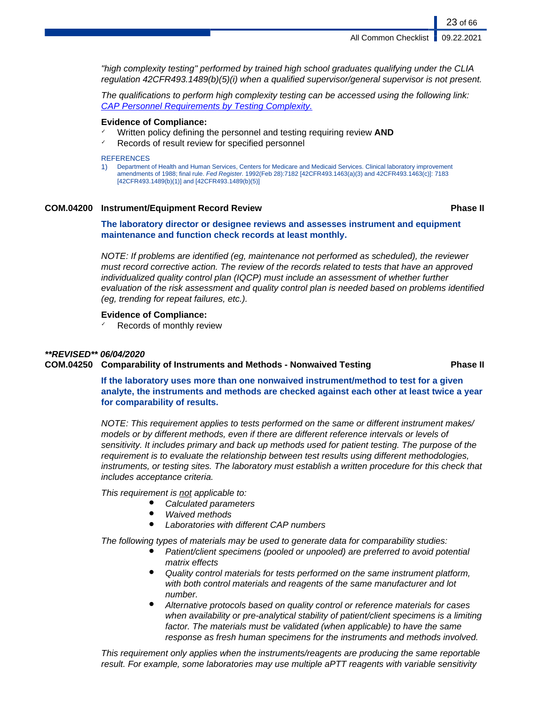"high complexity testing" performed by trained high school graduates qualifying under the CLIA regulation 42CFR493.1489(b)(5)(i) when a qualified supervisor/general supervisor is not present.

The qualifications to perform high complexity testing can be accessed using the following link: [CAP Personnel Requirements by Testing Complexity](http://www.cap.org/apps/docs/laboratory_accreditation/build/pdf/personnel_requirements_by_testing_complexity.pdf).

# **Evidence of Compliance:**

- Written policy defining the personnel and testing requiring review **AND**
- Records of result review for specified personnel

#### **REFERENCES**

1) Department of Health and Human Services, Centers for Medicare and Medicaid Services. Clinical laboratory improvement amendments of 1988; final rule. Fed Register. 1992(Feb 28):7182 [42CFR493.1463(a)(3) and 42CFR493.1463(c)]: 7183 [42CFR493.1489(b)(1)] and [42CFR493.1489(b)(5)]

# **COM.04200 Instrument/Equipment Record Review Phase II**

23 of 66

**The laboratory director or designee reviews and assesses instrument and equipment maintenance and function check records at least monthly.**

NOTE: If problems are identified (eg, maintenance not performed as scheduled), the reviewer must record corrective action. The review of the records related to tests that have an approved individualized quality control plan (IQCP) must include an assessment of whether further evaluation of the risk assessment and quality control plan is needed based on problems identified (eg, trending for repeat failures, etc.).

### **Evidence of Compliance:**

 $\checkmark$  Records of monthly review

### **\*\*REVISED\*\* 06/04/2020**

# **COM.04250 Comparability of Instruments and Methods - Nonwaived Testing Phase II**

**If the laboratory uses more than one nonwaived instrument/method to test for a given analyte, the instruments and methods are checked against each other at least twice a year for comparability of results.**

NOTE: This requirement applies to tests performed on the same or different instrument makes/ models or by different methods, even if there are different reference intervals or levels of sensitivity. It includes primary and back up methods used for patient testing. The purpose of the requirement is to evaluate the relationship between test results using different methodologies, instruments, or testing sites. The laboratory must establish a written procedure for this check that includes acceptance criteria.

This requirement is not applicable to:

- Calculated parameters
- **Waived methods**
- **Laboratories with different CAP numbers**

The following types of materials may be used to generate data for comparability studies:

- Patient/client specimens (pooled or unpooled) are preferred to avoid potential matrix effects
- Quality control materials for tests performed on the same instrument platform, with both control materials and reagents of the same manufacturer and lot number.
- Alternative protocols based on quality control or reference materials for cases when availability or pre-analytical stability of patient/client specimens is a limiting factor. The materials must be validated (when applicable) to have the same response as fresh human specimens for the instruments and methods involved.

This requirement only applies when the instruments/reagents are producing the same reportable result. For example, some laboratories may use multiple aPTT reagents with variable sensitivity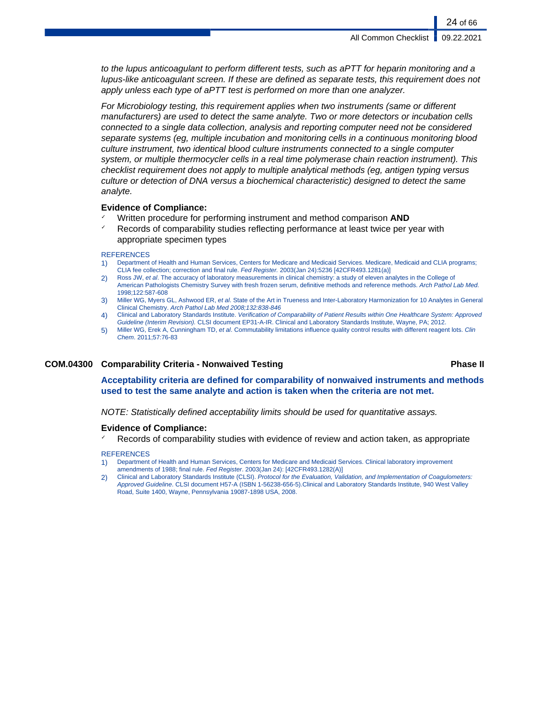to the lupus anticoagulant to perform different tests, such as aPTT for heparin monitoring and a lupus-like anticoagulant screen. If these are defined as separate tests, this requirement does not apply unless each type of aPTT test is performed on more than one analyzer.

For Microbiology testing, this requirement applies when two instruments (same or different manufacturers) are used to detect the same analyte. Two or more detectors or incubation cells connected to a single data collection, analysis and reporting computer need not be considered separate systems (eg, multiple incubation and monitoring cells in a continuous monitoring blood culture instrument, two identical blood culture instruments connected to a single computer system, or multiple thermocycler cells in a real time polymerase chain reaction instrument). This checklist requirement does not apply to multiple analytical methods (eg, antigen typing versus culture or detection of DNA versus a biochemical characteristic) designed to detect the same analyte.

#### **Evidence of Compliance:**

- ✓ Written procedure for performing instrument and method comparison **AND**
- Records of comparability studies reflecting performance at least twice per year with appropriate specimen types

#### **REFERENCES**

- 1) Department of Health and Human Services, Centers for Medicare and Medicaid Services. Medicare, Medicaid and CLIA programs; CLIA fee collection; correction and final rule. Fed Register. 2003(Jan 24):5236 [42CFR493.1281(a)]
- 2) Ross JW, et al. The accuracy of laboratory measurements in clinical chemistry: a study of eleven analytes in the College of American Pathologists Chemistry Survey with fresh frozen serum, definitive methods and reference methods. Arch Pathol Lab Med. 1998;122:587-608
- 3) Miller WG, Myers GL, Ashwood ER, et al. State of the Art in Trueness and Inter-Laboratory Harmonization for 10 Analytes in General Clinical Chemistry. Arch Pathol Lab Med 2008;132:838-846
- 4) Clinical and Laboratory Standards Institute. Verification of Comparability of Patient Results within One Healthcare System: Approved Guideline (Interim Revision). CLSI document EP31-A-IR. Clinical and Laboratory Standards Institute, Wayne, PA; 2012.
- 5) Miller WG, Erek A, Cunningham TD, et al. Commutability limitations influence quality control results with different reagent lots. Clin Chem. 2011;57:76-83

# **COM.04300 Comparability Criteria - Nonwaived Testing Phase II**

**Acceptability criteria are defined for comparability of nonwaived instruments and methods used to test the same analyte and action is taken when the criteria are not met.**

NOTE: Statistically defined acceptability limits should be used for quantitative assays.

#### **Evidence of Compliance:**

Records of comparability studies with evidence of review and action taken, as appropriate

# **REFERENCES**

- 1) Department of Health and Human Services, Centers for Medicare and Medicaid Services. Clinical laboratory improvement amendments of 1988; final rule. Fed Register. 2003(Jan 24): [42CFR493.1282(A)]
- 2) Clinical and Laboratory Standards Institute (CLSI). Protocol for the Evaluation, Validation, and Implementation of Coagulometers: Approved Guideline. CLSI document H57-A (ISBN 1-56238-656-5).Clinical and Laboratory Standards Institute, 940 West Valley Road, Suite 1400, Wayne, Pennsylvania 19087-1898 USA, 2008.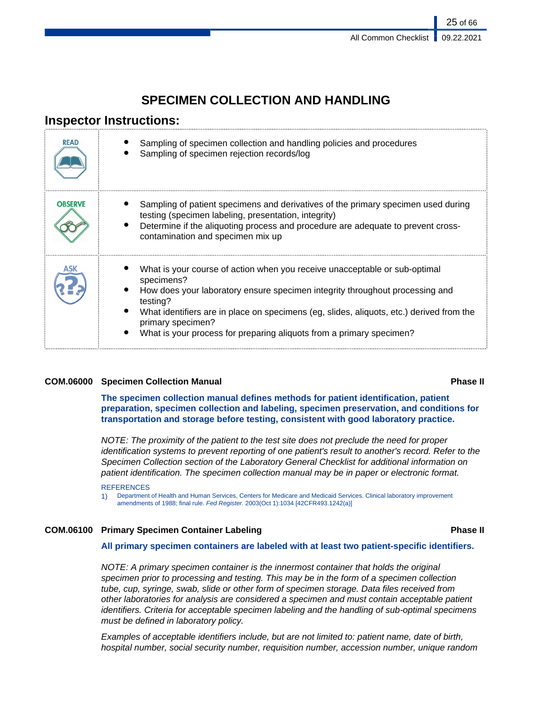# **SPECIMEN COLLECTION AND HANDLING**

# **Inspector Instructions:**

| <b>READ</b>    | Sampling of specimen collection and handling policies and procedures<br>Sampling of specimen rejection records/log                                                                                                                                                                                                                                                            |
|----------------|-------------------------------------------------------------------------------------------------------------------------------------------------------------------------------------------------------------------------------------------------------------------------------------------------------------------------------------------------------------------------------|
| <b>OBSERVE</b> | Sampling of patient specimens and derivatives of the primary specimen used during<br>testing (specimen labeling, presentation, integrity)<br>Determine if the aliquoting process and procedure are adequate to prevent cross-<br>contamination and specimen mix up                                                                                                            |
| ASK            | What is your course of action when you receive unacceptable or sub-optimal<br>specimens?<br>How does your laboratory ensure specimen integrity throughout processing and<br>testing?<br>What identifiers are in place on specimens (eg, slides, aliquots, etc.) derived from the<br>primary specimen?<br>What is your process for preparing aliquots from a primary specimen? |

# **COM.06000 Specimen Collection Manual Phase II**

**The specimen collection manual defines methods for patient identification, patient preparation, specimen collection and labeling, specimen preservation, and conditions for transportation and storage before testing, consistent with good laboratory practice.**

NOTE: The proximity of the patient to the test site does not preclude the need for proper identification systems to prevent reporting of one patient's result to another's record. Refer to the Specimen Collection section of the Laboratory General Checklist for additional information on patient identification. The specimen collection manual may be in paper or electronic format.

#### **REFERENCES**

1) Department of Health and Human Services, Centers for Medicare and Medicaid Services. Clinical laboratory improvement amendments of 1988; final rule. Fed Register. 2003(Oct 1):1034 [42CFR493.1242(a)]

# **COM.06100 Primary Specimen Container Labeling Phase II**

# **All primary specimen containers are labeled with at least two patient-specific identifiers.**

NOTE: A primary specimen container is the innermost container that holds the original specimen prior to processing and testing. This may be in the form of a specimen collection tube, cup, syringe, swab, slide or other form of specimen storage. Data files received from other laboratories for analysis are considered a specimen and must contain acceptable patient identifiers. Criteria for acceptable specimen labeling and the handling of sub-optimal specimens must be defined in laboratory policy.

Examples of acceptable identifiers include, but are not limited to: patient name, date of birth, hospital number, social security number, requisition number, accession number, unique random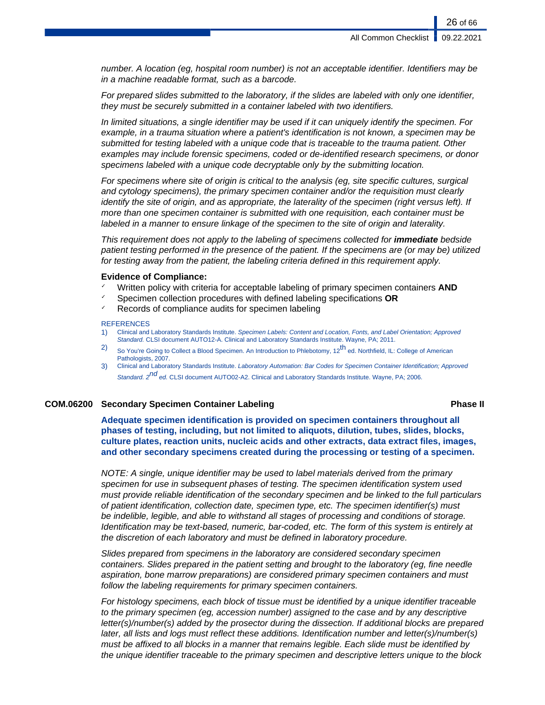number. A location (eg, hospital room number) is not an acceptable identifier. Identifiers may be in a machine readable format, such as a barcode.

For prepared slides submitted to the laboratory, if the slides are labeled with only one identifier, they must be securely submitted in a container labeled with two identifiers.

In limited situations, a single identifier may be used if it can uniquely identify the specimen. For example, in a trauma situation where a patient's identification is not known, a specimen may be submitted for testing labeled with a unique code that is traceable to the trauma patient. Other examples may include forensic specimens, coded or de-identified research specimens, or donor specimens labeled with a unique code decryptable only by the submitting location.

For specimens where site of origin is critical to the analysis (eg, site specific cultures, surgical and cytology specimens), the primary specimen container and/or the requisition must clearly identify the site of origin, and as appropriate, the laterality of the specimen (right versus left). If more than one specimen container is submitted with one requisition, each container must be labeled in a manner to ensure linkage of the specimen to the site of origin and laterality.

This requirement does not apply to the labeling of specimens collected for **immediate** bedside patient testing performed in the presence of the patient. If the specimens are (or may be) utilized for testing away from the patient, the labeling criteria defined in this requirement apply.

#### **Evidence of Compliance:**

- Written policy with criteria for acceptable labeling of primary specimen containers **AND**
- ✓ Specimen collection procedures with defined labeling specifications **OR**
- Records of compliance audits for specimen labeling

#### **REFERENCES**

- 1) Clinical and Laboratory Standards Institute. Specimen Labels: Content and Location, Fonts, and Label Orientation; Approved Standard. CLSI document AUTO12-A. Clinical and Laboratory Standards Institute. Wayne, PA; 2011.
- 2) So You're Going to Collect a Blood Specimen. An Introduction to Phlebotomy,  $12^{\text{th}}$  ed. Northfield, IL: College of American Pathologists, 2007.
- 3) Clinical and Laboratory Standards Institute. Laboratory Automation: Bar Codes for Specimen Container Identification; Approved Standard. 2<sup>nd</sup> ed. CLSI document AUTO02-A2. Clinical and Laboratory Standards Institute. Wayne, PA; 2006.

#### **COM.06200 Secondary Specimen Container Labeling Phase II**

**Adequate specimen identification is provided on specimen containers throughout all phases of testing, including, but not limited to aliquots, dilution, tubes, slides, blocks, culture plates, reaction units, nucleic acids and other extracts, data extract files, images, and other secondary specimens created during the processing or testing of a specimen.**

NOTE: A single, unique identifier may be used to label materials derived from the primary specimen for use in subsequent phases of testing. The specimen identification system used must provide reliable identification of the secondary specimen and be linked to the full particulars of patient identification, collection date, specimen type, etc. The specimen identifier(s) must be indelible, legible, and able to withstand all stages of processing and conditions of storage. Identification may be text-based, numeric, bar-coded, etc. The form of this system is entirely at the discretion of each laboratory and must be defined in laboratory procedure.

Slides prepared from specimens in the laboratory are considered secondary specimen containers. Slides prepared in the patient setting and brought to the laboratory (eg, fine needle aspiration, bone marrow preparations) are considered primary specimen containers and must follow the labeling requirements for primary specimen containers.

For histology specimens, each block of tissue must be identified by a unique identifier traceable to the primary specimen (eg, accession number) assigned to the case and by any descriptive letter(s)/number(s) added by the prosector during the dissection. If additional blocks are prepared later, all lists and logs must reflect these additions. Identification number and letter(s)/number(s) must be affixed to all blocks in a manner that remains legible. Each slide must be identified by the unique identifier traceable to the primary specimen and descriptive letters unique to the block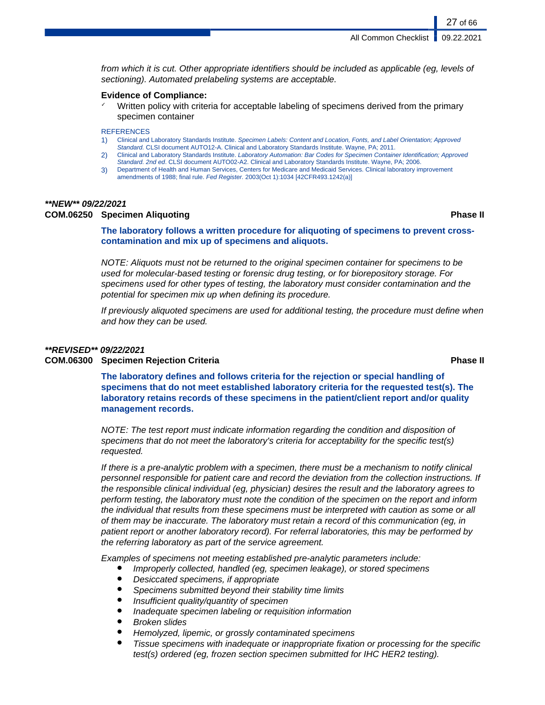**All Common Checklist** 

from which it is cut. Other appropriate identifiers should be included as applicable (eg, levels of sectioning). Automated prelabeling systems are acceptable.

### **Evidence of Compliance:**

Written policy with criteria for acceptable labeling of specimens derived from the primary specimen container

**REFERENCES** 

- 1) Clinical and Laboratory Standards Institute. Specimen Labels: Content and Location, Fonts, and Label Orientation; Approved Standard. CLSI document AUTO12-A. Clinical and Laboratory Standards Institute. Wayne, PA; 2011.
- 2) Clinical and Laboratory Standards Institute. Laboratory Automation: Bar Codes for Specimen Container Identification; Approved Standard. 2nd ed. CLSI document AUTO02-A2. Clinical and Laboratory Standards Institute. Wayne, PA; 2006.
- 3) Department of Health and Human Services, Centers for Medicare and Medicaid Services. Clinical laboratory improvement amendments of 1988; final rule. Fed Register. 2003(Oct 1):1034 [42CFR493.1242(a)]

### **\*\*NEW\*\* 09/22/2021**

### **COM.06250 Specimen Aliquoting Phase II**

27 of 66

**The laboratory follows a written procedure for aliquoting of specimens to prevent crosscontamination and mix up of specimens and aliquots.**

NOTE: Aliquots must not be returned to the original specimen container for specimens to be used for molecular-based testing or forensic drug testing, or for biorepository storage. For specimens used for other types of testing, the laboratory must consider contamination and the potential for specimen mix up when defining its procedure.

If previously aliquoted specimens are used for additional testing, the procedure must define when and how they can be used.

# **\*\*REVISED\*\* 09/22/2021**

# **COM.06300 Specimen Rejection Criteria Phase II**

**The laboratory defines and follows criteria for the rejection or special handling of specimens that do not meet established laboratory criteria for the requested test(s). The laboratory retains records of these specimens in the patient/client report and/or quality management records.**

NOTE: The test report must indicate information regarding the condition and disposition of specimens that do not meet the laboratory's criteria for acceptability for the specific test(s) requested.

If there is a pre-analytic problem with a specimen, there must be a mechanism to notify clinical personnel responsible for patient care and record the deviation from the collection instructions. If the responsible clinical individual (eg, physician) desires the result and the laboratory agrees to perform testing, the laboratory must note the condition of the specimen on the report and inform the individual that results from these specimens must be interpreted with caution as some or all of them may be inaccurate. The laboratory must retain a record of this communication (eg, in patient report or another laboratory record). For referral laboratories, this may be performed by the referring laboratory as part of the service agreement.

Examples of specimens not meeting established pre-analytic parameters include:

- Improperly collected, handled (eg, specimen leakage), or stored specimens
- Desiccated specimens, if appropriate
- Specimens submitted beyond their stability time limits
- Insufficient quality/quantity of specimen
- Inadequate specimen labeling or requisition information
- **Broken slides**
- Hemolyzed, lipemic, or grossly contaminated specimens
- Tissue specimens with inadequate or inappropriate fixation or processing for the specific test(s) ordered (eg, frozen section specimen submitted for IHC HER2 testing).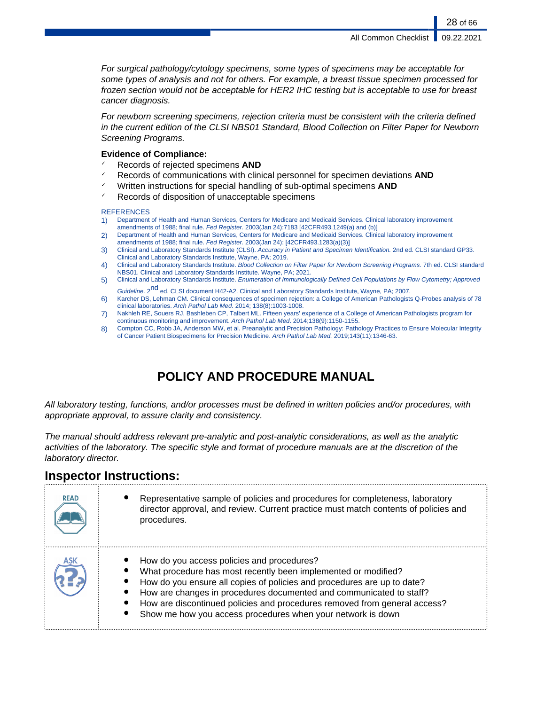For surgical pathology/cytology specimens, some types of specimens may be acceptable for some types of analysis and not for others. For example, a breast tissue specimen processed for frozen section would not be acceptable for HER2 IHC testing but is acceptable to use for breast cancer diagnosis.

For newborn screening specimens, rejection criteria must be consistent with the criteria defined in the current edition of the CLSI NBS01 Standard, Blood Collection on Filter Paper for Newborn Screening Programs.

# **Evidence of Compliance:**

- ✓ Records of rejected specimens **AND**
- Records of communications with clinical personnel for specimen deviations **AND**
- ✓ Written instructions for special handling of sub-optimal specimens **AND**
- ✓ Records of disposition of unacceptable specimens

#### **REFERENCES**

- 1) Department of Health and Human Services, Centers for Medicare and Medicaid Services. Clinical laboratory improvement amendments of 1988; final rule. Fed Register. 2003(Jan 24):7183 [42CFR493.1249(a) and (b)]
- 2) Department of Health and Human Services, Centers for Medicare and Medicaid Services. Clinical laboratory improvement amendments of 1988; final rule. Fed Register. 2003(Jan 24): [42CFR493.1283(a)(3)]
- 3) Clinical and Laboratory Standards Institute (CLSI). Accuracy in Patient and Specimen Identification. 2nd ed. CLSI standard GP33. Clinical and Laboratory Standards Institute, Wayne, PA; 2019.
- 4) Clinical and Laboratory Standards Institute. Blood Collection on Filter Paper for Newborn Screening Programs. 7th ed. CLSI standard NBS01. Clinical and Laboratory Standards Institute. Wayne, PA; 2021.
- 5) Clinical and Laboratory Standards Institute. Enumeration of Immunologically Defined Cell Populations by Flow Cytometry; Approved Guideline. 2<sup>nd</sup> ed. CLSI document H42-A2. Clinical and Laboratory Standards Institute, Wayne, PA; 2007.
- 6) Karcher DS, Lehman CM. Clinical consequences of specimen rejection: a College of American Pathologists Q-Probes analysis of 78 clinical laboratories. Arch Pathol Lab Med. 2014; 138(8):1003-1008.
- 7) Nakhleh RE, Souers RJ, Bashleben CP, Talbert ML. Fifteen years' experience of a College of American Pathologists program for continuous monitoring and improvement. Arch Pathol Lab Med. 2014;138(9):1150-1155.
- 8) Compton CC, Robb JA, Anderson MW, et al. Preanalytic and Precision Pathology: Pathology Practices to Ensure Molecular Integrity of Cancer Patient Biospecimens for Precision Medicine. Arch Pathol Lab Med. 2019;143(11):1346-63.

# **POLICY AND PROCEDURE MANUAL**

All laboratory testing, functions, and/or processes must be defined in written policies and/or procedures, with appropriate approval, to assure clarity and consistency.

The manual should address relevant pre-analytic and post-analytic considerations, as well as the analytic activities of the laboratory. The specific style and format of procedure manuals are at the discretion of the laboratory director.

# **Inspector Instructions:**

| <b>READ</b> | Representative sample of policies and procedures for completeness, laboratory<br>director approval, and review. Current practice must match contents of policies and<br>procedures.                                                                                                                                                                                                                        |
|-------------|------------------------------------------------------------------------------------------------------------------------------------------------------------------------------------------------------------------------------------------------------------------------------------------------------------------------------------------------------------------------------------------------------------|
| ASK         | How do you access policies and procedures?<br>What procedure has most recently been implemented or modified?<br>How do you ensure all copies of policies and procedures are up to date?<br>How are changes in procedures documented and communicated to staff?<br>How are discontinued policies and procedures removed from general access?<br>Show me how you access procedures when your network is down |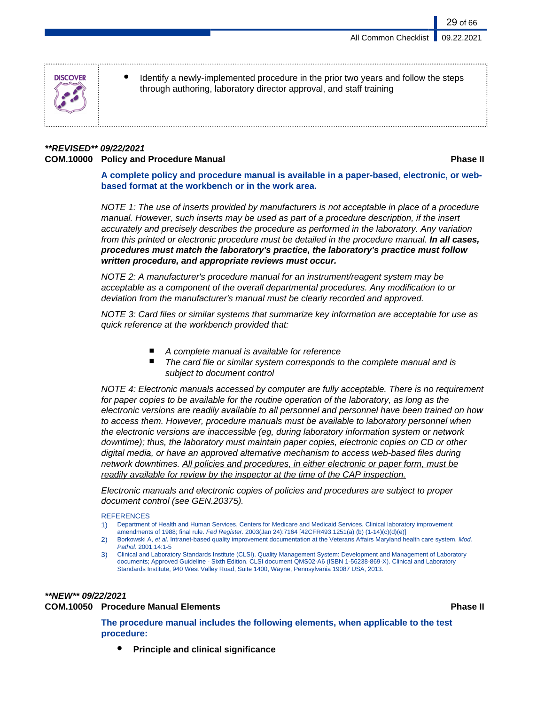

Identify a newly-implemented procedure in the prior two years and follow the steps through authoring, laboratory director approval, and staff training

# **\*\*REVISED\*\* 09/22/2021 COM.10000 Policy and Procedure Manual Phase II**

29 of 66

**A complete policy and procedure manual is available in a paper-based, electronic, or webbased format at the workbench or in the work area.**

NOTE 1: The use of inserts provided by manufacturers is not acceptable in place of a procedure manual. However, such inserts may be used as part of a procedure description, if the insert accurately and precisely describes the procedure as performed in the laboratory. Any variation from this printed or electronic procedure must be detailed in the procedure manual. **In all cases, procedures must match the laboratory's practice, the laboratory's practice must follow written procedure, and appropriate reviews must occur.**

NOTE 2: A manufacturer's procedure manual for an instrument/reagent system may be acceptable as a component of the overall departmental procedures. Any modification to or deviation from the manufacturer's manual must be clearly recorded and approved.

NOTE 3: Card files or similar systems that summarize key information are acceptable for use as quick reference at the workbench provided that:

- A complete manual is available for reference
- The card file or similar system corresponds to the complete manual and is subject to document control

NOTE 4: Electronic manuals accessed by computer are fully acceptable. There is no requirement for paper copies to be available for the routine operation of the laboratory, as long as the electronic versions are readily available to all personnel and personnel have been trained on how to access them. However, procedure manuals must be available to laboratory personnel when the electronic versions are inaccessible (eg, during laboratory information system or network downtime); thus, the laboratory must maintain paper copies, electronic copies on CD or other digital media, or have an approved alternative mechanism to access web-based files during network downtimes. All policies and procedures, in either electronic or paper form, must be readily available for review by the inspector at the time of the CAP inspection.

Electronic manuals and electronic copies of policies and procedures are subject to proper document control (see GEN.20375).

#### **REFERENCES**

- 1) Department of Health and Human Services, Centers for Medicare and Medicaid Services. Clinical laboratory improvement amendments of 1988; final rule. Fed Register. 2003(Jan 24):7164 [42CFR493.1251(a) (b) (1-14)(c)(d)(e)]
- 2) Borkowski A, et al. Intranet-based quality improvement documentation at the Veterans Affairs Maryland health care system. Mod. Pathol. 2001;14:1-5
- 3) Clinical and Laboratory Standards Institute (CLSI). Quality Management System: Development and Management of Laboratory documents; Approved Guideline - Sixth Edition. CLSI document QMS02-A6 (ISBN 1-56238-869-X). Clinical and Laboratory Standards Institute, 940 West Valley Road, Suite 1400, Wayne, Pennsylvania 19087 USA, 2013.

# **\*\*NEW\*\* 09/22/2021**

# **COM.10050 Procedure Manual Elements Phase II**

**The procedure manual includes the following elements, when applicable to the test procedure:**

**Principle and clinical significance**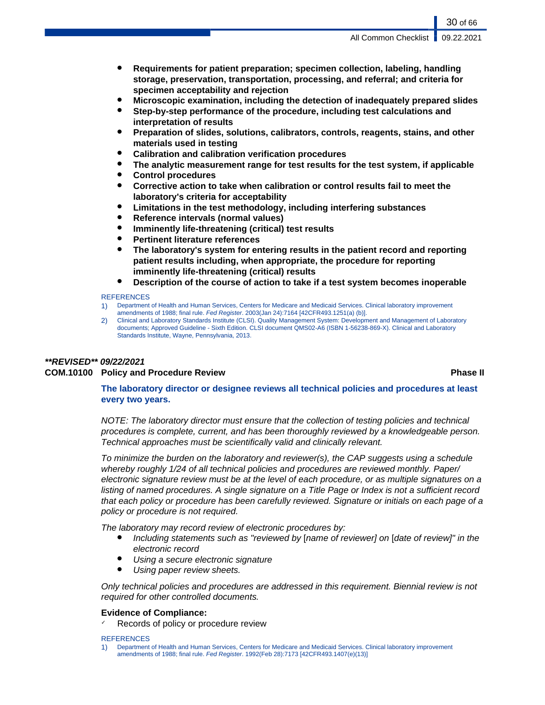- **Requirements for patient preparation; specimen collection, labeling, handling storage, preservation, transportation, processing, and referral; and criteria for specimen acceptability and rejection**
- **Microscopic examination, including the detection of inadequately prepared slides**
- **Step-by-step performance of the procedure, including test calculations and interpretation of results**
- **Preparation of slides, solutions, calibrators, controls, reagents, stains, and other materials used in testing**
- **Calibration and calibration verification procedures**
- The analytic measurement range for test results for the test system, if applicable
- **Control procedures**
- **Corrective action to take when calibration or control results fail to meet the laboratory's criteria for acceptability**
- **Limitations in the test methodology, including interfering substances**
- **Reference intervals (normal values)**
- **Imminently life-threatening (critical) test results**
- **Pertinent literature references**
- The laboratory's system for entering results in the patient record and reporting **patient results including, when appropriate, the procedure for reporting imminently life-threatening (critical) results**
- **Description of the course of action to take if a test system becomes inoperable**

#### **REFERENCES**

- 1) Department of Health and Human Services, Centers for Medicare and Medicaid Services. Clinical laboratory improvement amendments of 1988; final rule. Fed Register. 2003(Jan 24):7164 [42CFR493.1251(a) (b)].
- 2) Clinical and Laboratory Standards Institute (CLSI). Quality Management System: Development and Management of Laboratory documents; Approved Guideline - Sixth Edition. CLSI document QMS02-A6 (ISBN 1-56238-869-X). Clinical and Laboratory Standards Institute, Wayne, Pennsylvania, 2013.

# **\*\*REVISED\*\* 09/22/2021 COM.10100 Policy and Procedure Review Phase II**

**The laboratory director or designee reviews all technical policies and procedures at least every two years.**

NOTE: The laboratory director must ensure that the collection of testing policies and technical procedures is complete, current, and has been thoroughly reviewed by a knowledgeable person. Technical approaches must be scientifically valid and clinically relevant.

To minimize the burden on the laboratory and reviewer(s), the CAP suggests using a schedule whereby roughly 1/24 of all technical policies and procedures are reviewed monthly. Paper/ electronic signature review must be at the level of each procedure, or as multiple signatures on a listing of named procedures. A single signature on a Title Page or Index is not a sufficient record that each policy or procedure has been carefully reviewed. Signature or initials on each page of a policy or procedure is not required.

The laboratory may record review of electronic procedures by:

- Including statements such as "reviewed by [name of reviewer] on [date of review]" in the electronic record
- Using a secure electronic signature
- Using paper review sheets.

Only technical policies and procedures are addressed in this requirement. Biennial review is not required for other controlled documents.

# **Evidence of Compliance:**

Records of policy or procedure review

#### **REFERENCES**

1) Department of Health and Human Services, Centers for Medicare and Medicaid Services. Clinical laboratory improvement amendments of 1988; final rule. Fed Register. 1992(Feb 28):7173 [42CFR493.1407(e)(13)]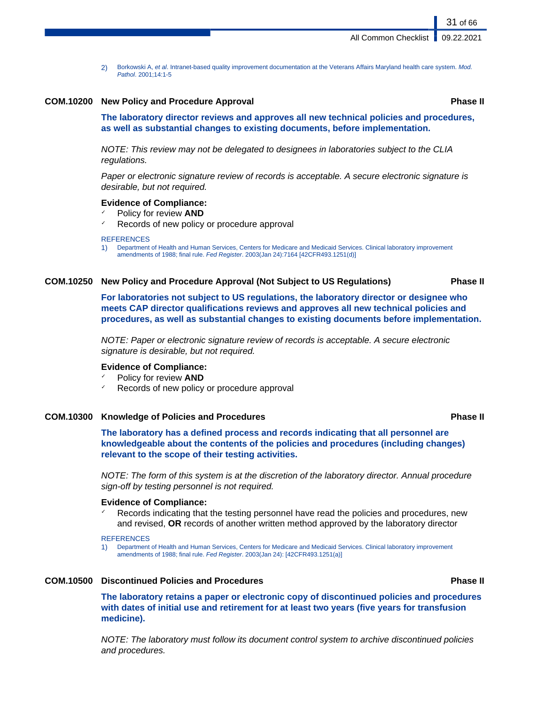2) Borkowski A, et al. Intranet-based quality improvement documentation at the Veterans Affairs Maryland health care system. Mod. Pathol. 2001;14:1-5

# **COM.10200 New Policy and Procedure Approval Phase II**

31 of 66

**The laboratory director reviews and approves all new technical policies and procedures, as well as substantial changes to existing documents, before implementation.**

NOTE: This review may not be delegated to designees in laboratories subject to the CLIA regulations.

Paper or electronic signature review of records is acceptable. A secure electronic signature is desirable, but not required.

#### **Evidence of Compliance:**

- ✓ Policy for review **AND**
- Records of new policy or procedure approval

#### **REFERENCES**

1) Department of Health and Human Services, Centers for Medicare and Medicaid Services. Clinical laboratory improvement amendments of 1988; final rule. Fed Register. 2003(Jan 24):7164 [42CFR493.1251(d)]

# **COM.10250 New Policy and Procedure Approval (Not Subject to US Regulations) Phase II**

**For laboratories not subject to US regulations, the laboratory director or designee who meets CAP director qualifications reviews and approves all new technical policies and procedures, as well as substantial changes to existing documents before implementation.**

NOTE: Paper or electronic signature review of records is acceptable. A secure electronic signature is desirable, but not required.

# **Evidence of Compliance:**

Policy for review **AND** 

Records of new policy or procedure approval

# **COM.10300 Knowledge of Policies and Procedures Phase II**

**The laboratory has a defined process and records indicating that all personnel are knowledgeable about the contents of the policies and procedures (including changes) relevant to the scope of their testing activities.**

NOTE: The form of this system is at the discretion of the laboratory director. Annual procedure sign-off by testing personnel is not required.

#### **Evidence of Compliance:**

Records indicating that the testing personnel have read the policies and procedures, new and revised, **OR** records of another written method approved by the laboratory director

#### **REFERENCES**

1) Department of Health and Human Services, Centers for Medicare and Medicaid Services. Clinical laboratory improvement amendments of 1988; final rule. Fed Register. 2003(Jan 24): [42CFR493.1251(a)]

#### **COM.10500 Discontinued Policies and Procedures Phase II**

**The laboratory retains a paper or electronic copy of discontinued policies and procedures with dates of initial use and retirement for at least two years (five years for transfusion medicine).**

NOTE: The laboratory must follow its document control system to archive discontinued policies and procedures.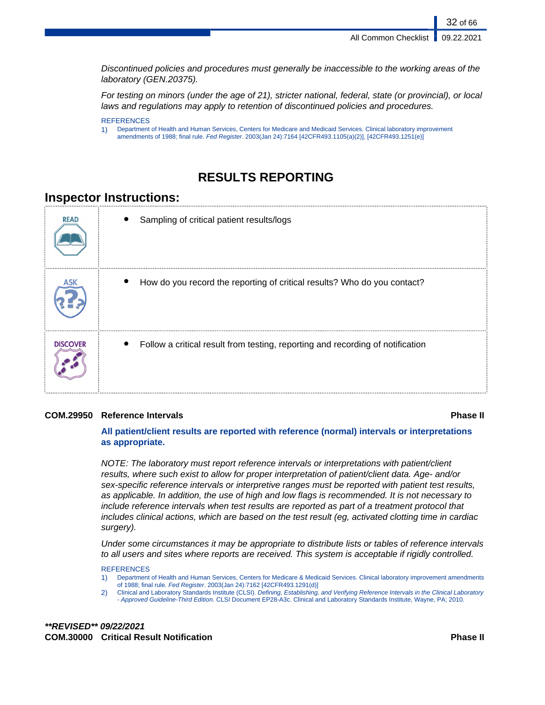32 of 66

Discontinued policies and procedures must generally be inaccessible to the working areas of the laboratory (GEN.20375).

For testing on minors (under the age of 21), stricter national, federal, state (or provincial), or local laws and regulations may apply to retention of discontinued policies and procedures.

#### **REFERENCES**

1) Department of Health and Human Services, Centers for Medicare and Medicaid Services. Clinical laboratory improvement amendments of 1988; final rule. Fed Register. 2003(Jan 24):7164 [42CFR493.1105(a)(2)], [42CFR493.1251(e)]

# **RESULTS REPORTING**

# **Inspector Instructions:**

| <b>READ</b>     | Sampling of critical patient results/logs                                      |
|-----------------|--------------------------------------------------------------------------------|
|                 | How do you record the reporting of critical results? Who do you contact?       |
| <b>DISCOVER</b> | Follow a critical result from testing, reporting and recording of notification |

# **COM.29950 Reference Intervals Phase II**

**All patient/client results are reported with reference (normal) intervals or interpretations as appropriate.**

NOTE: The laboratory must report reference intervals or interpretations with patient/client results, where such exist to allow for proper interpretation of patient/client data. Age- and/or sex-specific reference intervals or interpretive ranges must be reported with patient test results, as applicable. In addition, the use of high and low flags is recommended. It is not necessary to include reference intervals when test results are reported as part of a treatment protocol that includes clinical actions, which are based on the test result (eg, activated clotting time in cardiac surgery).

Under some circumstances it may be appropriate to distribute lists or tables of reference intervals to all users and sites where reports are received. This system is acceptable if rigidly controlled.

**REFERENCES** 

- 1) Department of Health and Human Services, Centers for Medicare & Medicaid Services. Clinical laboratory improvement amendments of 1988; final rule. Fed Register. 2003(Jan 24):7162 [42CFR493.1291(d)]
- 2) Clinical and Laboratory Standards Institute (CLSI). Defining, Establishing, and Verifying Reference Intervals in the Clinical Laboratory - Approved Guideline-Third Edition. CLSI Document EP28-A3c. Clinical and Laboratory Standards Institute, Wayne, PA; 2010.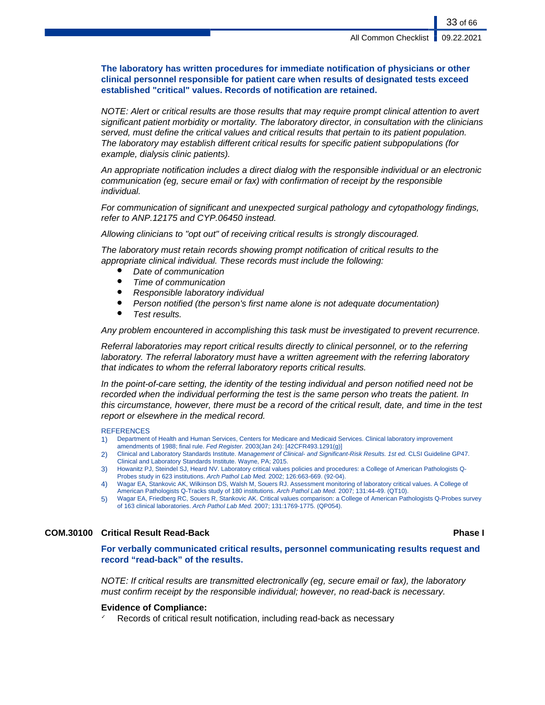**The laboratory has written procedures for immediate notification of physicians or other clinical personnel responsible for patient care when results of designated tests exceed established "critical" values. Records of notification are retained.**

NOTE: Alert or critical results are those results that may require prompt clinical attention to avert significant patient morbidity or mortality. The laboratory director, in consultation with the clinicians served, must define the critical values and critical results that pertain to its patient population. The laboratory may establish different critical results for specific patient subpopulations (for example, dialysis clinic patients).

An appropriate notification includes a direct dialog with the responsible individual or an electronic communication (eg, secure email or fax) with confirmation of receipt by the responsible individual.

For communication of significant and unexpected surgical pathology and cytopathology findings, refer to ANP.12175 and CYP.06450 instead.

Allowing clinicians to "opt out" of receiving critical results is strongly discouraged.

The laboratory must retain records showing prompt notification of critical results to the appropriate clinical individual. These records must include the following:

- Date of communication
- Time of communication
- Responsible laboratory individual
- Person notified (the person's first name alone is not adequate documentation)
- Test results.

Any problem encountered in accomplishing this task must be investigated to prevent recurrence.

Referral laboratories may report critical results directly to clinical personnel, or to the referring laboratory. The referral laboratory must have a written agreement with the referring laboratory that indicates to whom the referral laboratory reports critical results.

In the point-of-care setting, the identity of the testing individual and person notified need not be recorded when the individual performing the test is the same person who treats the patient. In this circumstance, however, there must be a record of the critical result, date, and time in the test report or elsewhere in the medical record.

#### **REFERENCES**

- 1) Department of Health and Human Services, Centers for Medicare and Medicaid Services. Clinical laboratory improvement
- amendments of 1988; final rule. Fed Register. 2003(Jan 24): [42CFR493.1291(g)] 2) Clinical and Laboratory Standards Institute. Management of Clinical- and Significant-Risk Results. 1st ed. CLSI Guideline GP47. Clinical and Laboratory Standards Institute. Wayne, PA; 2015.
- 3) Howanitz PJ, Steindel SJ, Heard NV. Laboratory critical values policies and procedures: a College of American Pathologists Q-Probes study in 623 institutions. Arch Pathol Lab Med. 2002; 126:663-669. (92-04).
- 4) Wagar EA, Stankovic AK, Wilkinson DS, Walsh M, Souers RJ. Assessment monitoring of laboratory critical values. A College of American Pathologists Q-Tracks study of 180 institutions. Arch Pathol Lab Med. 2007; 131:44-49. (QT10).
- 5) Wagar EA, Friedberg RC, Souers R, Stankovic AK. Critical values comparison: a College of American Pathologists Q-Probes survey of 163 clinical laboratories. Arch Pathol Lab Med. 2007; 131:1769-1775. (QP054).

# **COM.30100 Critical Result Read-Back Phase I**

**For verbally communicated critical results, personnel communicating results request and record "read-back" of the results.**

NOTE: If critical results are transmitted electronically (eg, secure email or fax), the laboratory must confirm receipt by the responsible individual; however, no read-back is necessary.

### **Evidence of Compliance:**

Records of critical result notification, including read-back as necessary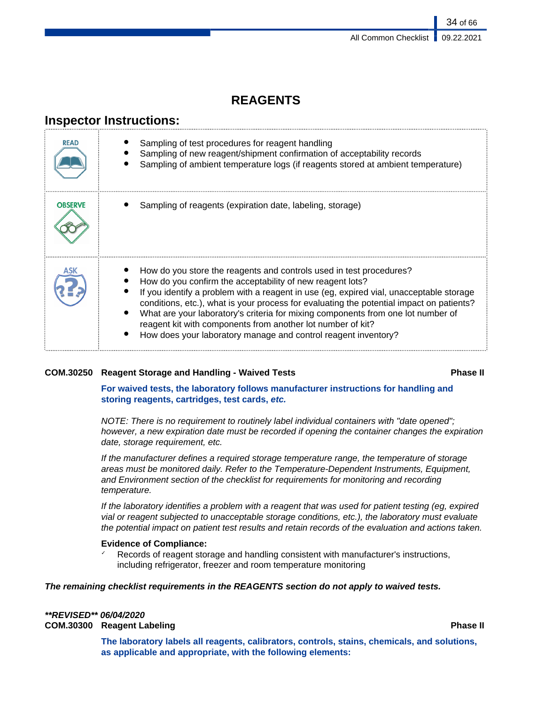# **REAGENTS**

# **Inspector Instructions:**

| READ           | Sampling of test procedures for reagent handling<br>Sampling of new reagent/shipment confirmation of acceptability records<br>Sampling of ambient temperature logs (if reagents stored at ambient temperature)                                                                                                                                                                                                                                                                                                                               |
|----------------|----------------------------------------------------------------------------------------------------------------------------------------------------------------------------------------------------------------------------------------------------------------------------------------------------------------------------------------------------------------------------------------------------------------------------------------------------------------------------------------------------------------------------------------------|
| <b>OBSERVE</b> | Sampling of reagents (expiration date, labeling, storage)                                                                                                                                                                                                                                                                                                                                                                                                                                                                                    |
|                | How do you store the reagents and controls used in test procedures?<br>How do you confirm the acceptability of new reagent lots?<br>If you identify a problem with a reagent in use (eg, expired vial, unacceptable storage<br>conditions, etc.), what is your process for evaluating the potential impact on patients?<br>What are your laboratory's criteria for mixing components from one lot number of<br>reagent kit with components from another lot number of kit?<br>How does your laboratory manage and control reagent inventory? |

# **COM.30250 Reagent Storage and Handling - Waived Tests Phase II**

# **For waived tests, the laboratory follows manufacturer instructions for handling and storing reagents, cartridges, test cards, etc.**

NOTE: There is no requirement to routinely label individual containers with "date opened"; however, a new expiration date must be recorded if opening the container changes the expiration date, storage requirement, etc.

If the manufacturer defines a required storage temperature range, the temperature of storage areas must be monitored daily. Refer to the Temperature-Dependent Instruments, Equipment, and Environment section of the checklist for requirements for monitoring and recording temperature.

If the laboratory identifies a problem with a reagent that was used for patient testing (eg, expired vial or reagent subjected to unacceptable storage conditions, etc.), the laboratory must evaluate the potential impact on patient test results and retain records of the evaluation and actions taken.

# **Evidence of Compliance:**

Records of reagent storage and handling consistent with manufacturer's instructions, including refrigerator, freezer and room temperature monitoring

# **The remaining checklist requirements in the REAGENTS section do not apply to waived tests.**

# **\*\*REVISED\*\* 06/04/2020**

**COM.30300 Reagent Labeling Phase II**

**The laboratory labels all reagents, calibrators, controls, stains, chemicals, and solutions, as applicable and appropriate, with the following elements:**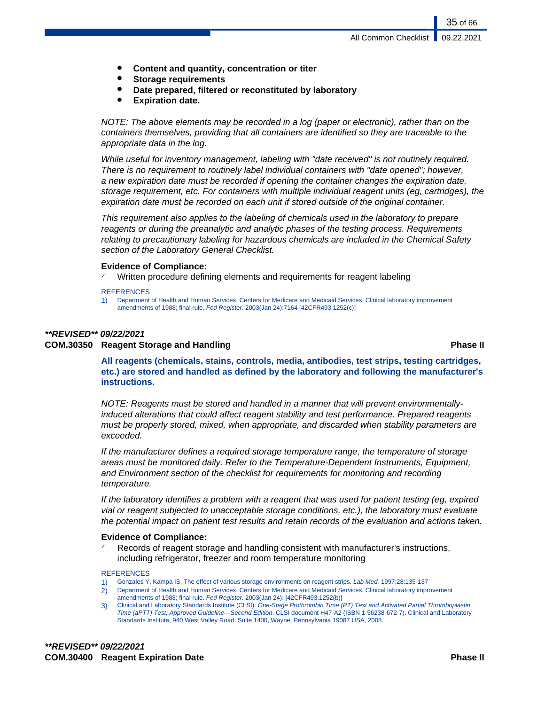- **Content and quantity, concentration or titer**
- **Storage requirements**
- Date prepared, filtered or reconstituted by laboratory
- **Expiration date.**

NOTE: The above elements may be recorded in a log (paper or electronic), rather than on the containers themselves, providing that all containers are identified so they are traceable to the appropriate data in the log.

While useful for inventory management, labeling with "date received" is not routinely required. There is no requirement to routinely label individual containers with "date opened"; however, a new expiration date must be recorded if opening the container changes the expiration date, storage requirement, etc. For containers with multiple individual reagent units (eg, cartridges), the expiration date must be recorded on each unit if stored outside of the original container.

This requirement also applies to the labeling of chemicals used in the laboratory to prepare reagents or during the preanalytic and analytic phases of the testing process. Requirements relating to precautionary labeling for hazardous chemicals are included in the Chemical Safety section of the Laboratory General Checklist.

### **Evidence of Compliance:**

Written procedure defining elements and requirements for reagent labeling

#### **REFERENCES**

1) Department of Health and Human Services, Centers for Medicare and Medicaid Services. Clinical laboratory improvement amendments of 1988; final rule. Fed Register. 2003(Jan 24):7164 [42CFR493.1252(c)]

### **\*\*REVISED\*\* 09/22/2021**

# **COM.30350 Reagent Storage and Handling Phase II**

**All reagents (chemicals, stains, controls, media, antibodies, test strips, testing cartridges, etc.) are stored and handled as defined by the laboratory and following the manufacturer's instructions.**

NOTE: Reagents must be stored and handled in a manner that will prevent environmentallyinduced alterations that could affect reagent stability and test performance. Prepared reagents must be properly stored, mixed, when appropriate, and discarded when stability parameters are exceeded.

If the manufacturer defines a required storage temperature range, the temperature of storage areas must be monitored daily. Refer to the Temperature-Dependent Instruments, Equipment, and Environment section of the checklist for requirements for monitoring and recording temperature.

If the laboratory identifies a problem with a reagent that was used for patient testing (eg, expired vial or reagent subjected to unacceptable storage conditions, etc.), the laboratory must evaluate the potential impact on patient test results and retain records of the evaluation and actions taken.

#### **Evidence of Compliance:**

Records of reagent storage and handling consistent with manufacturer's instructions, including refrigerator, freezer and room temperature monitoring

#### **REFERENCES**

- Gonzales Y, Kampa IS. The effect of various storage environments on reagent strips. Lab Med. 1997;28:135-137
- 2) Department of Health and Human Services, Centers for Medicare and Medicaid Services. Clinical laboratory improvement amendments of 1988; final rule. Fed Register. 2003(Jan 24): [42CFR493.1252(b)]
- 3) Clinical and Laboratory Standards Institute (CLSI). One-Stage Prothrombin Time (PT) Test and Activated Partial Thromboplastin Time (aPTT) Test; Approved Guideline—Second Edition. CLSI document H47-A2 (ISBN 1-56238-672-7). Clinical and Laboratory Standards Institute, 940 West Valley Road, Suite 1400, Wayne, Pennsylvania 19087 USA, 2008.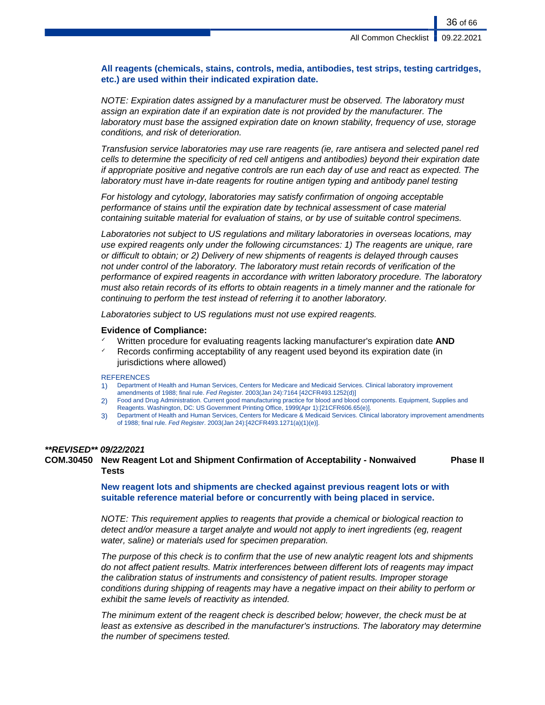# **All reagents (chemicals, stains, controls, media, antibodies, test strips, testing cartridges, etc.) are used within their indicated expiration date.**

NOTE: Expiration dates assigned by a manufacturer must be observed. The laboratory must assign an expiration date if an expiration date is not provided by the manufacturer. The laboratory must base the assigned expiration date on known stability, frequency of use, storage conditions, and risk of deterioration.

Transfusion service laboratories may use rare reagents (ie, rare antisera and selected panel red cells to determine the specificity of red cell antigens and antibodies) beyond their expiration date if appropriate positive and negative controls are run each day of use and react as expected. The laboratory must have in-date reagents for routine antigen typing and antibody panel testing

For histology and cytology, laboratories may satisfy confirmation of ongoing acceptable performance of stains until the expiration date by technical assessment of case material containing suitable material for evaluation of stains, or by use of suitable control specimens.

Laboratories not subject to US regulations and military laboratories in overseas locations, may use expired reagents only under the following circumstances: 1) The reagents are unique, rare or difficult to obtain; or 2) Delivery of new shipments of reagents is delayed through causes not under control of the laboratory. The laboratory must retain records of verification of the performance of expired reagents in accordance with written laboratory procedure. The laboratory must also retain records of its efforts to obtain reagents in a timely manner and the rationale for continuing to perform the test instead of referring it to another laboratory.

Laboratories subject to US regulations must not use expired reagents.

### **Evidence of Compliance:**

- ✓ Written procedure for evaluating reagents lacking manufacturer's expiration date **AND**
- $\checkmark$  Records confirming acceptability of any reagent used beyond its expiration date (in jurisdictions where allowed)

#### **REFERENCES**

- 1) Department of Health and Human Services, Centers for Medicare and Medicaid Services. Clinical laboratory improvement amendments of 1988; final rule. Fed Register. 2003(Jan 24):7164 [42CFR493.1252(d)]
- 2) Food and Drug Administration. Current good manufacturing practice for blood and blood components. Equipment, Supplies and Reagents. Washington, DC: US Government Printing Office, 1999(Apr 1):[21CFR606.65(e)].
- 3) Department of Health and Human Services, Centers for Medicare & Medicaid Services. Clinical laboratory improvement amendments of 1988; final rule. Fed Register. 2003(Jan 24):[42CFR493.1271(a)(1)(e)].

#### **\*\*REVISED\*\* 09/22/2021**

**COM.30450 New Reagent Lot and Shipment Confirmation of Acceptability - Nonwaived Tests Phase II**

> **New reagent lots and shipments are checked against previous reagent lots or with suitable reference material before or concurrently with being placed in service.**

NOTE: This requirement applies to reagents that provide a chemical or biological reaction to detect and/or measure a target analyte and would not apply to inert ingredients (eg, reagent water, saline) or materials used for specimen preparation.

The purpose of this check is to confirm that the use of new analytic reagent lots and shipments do not affect patient results. Matrix interferences between different lots of reagents may impact the calibration status of instruments and consistency of patient results. Improper storage conditions during shipping of reagents may have a negative impact on their ability to perform or exhibit the same levels of reactivity as intended.

The minimum extent of the reagent check is described below; however, the check must be at least as extensive as described in the manufacturer's instructions. The laboratory may determine the number of specimens tested.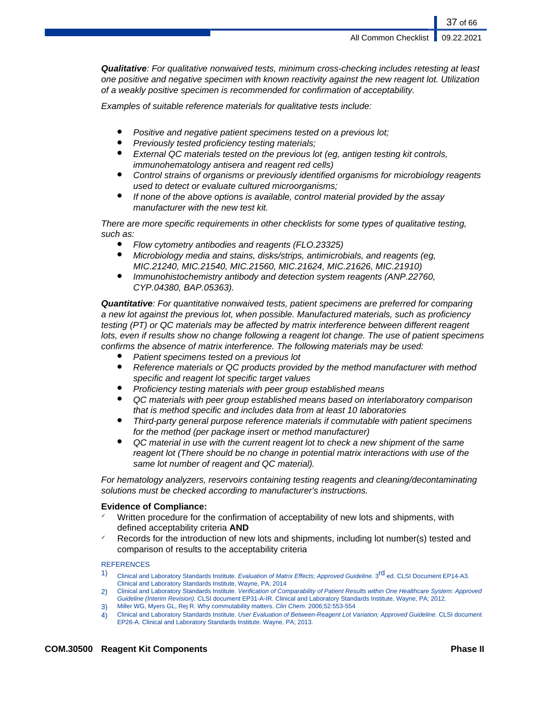37 of 66

**Qualitative**: For qualitative nonwaived tests, minimum cross-checking includes retesting at least one positive and negative specimen with known reactivity against the new reagent lot. Utilization of a weakly positive specimen is recommended for confirmation of acceptability.

Examples of suitable reference materials for qualitative tests include:

- Positive and negative patient specimens tested on a previous lot;
- Previously tested proficiency testing materials;
- External QC materials tested on the previous lot (eq, antigen testing kit controls, immunohematology antisera and reagent red cells)
- Control strains of organisms or previously identified organisms for microbiology reagents used to detect or evaluate cultured microorganisms;
- If none of the above options is available, control material provided by the assay manufacturer with the new test kit.

There are more specific requirements in other checklists for some types of qualitative testing, such as:

- Flow cytometry antibodies and reagents (FLO.23325)
- Microbiology media and stains, disks/strips, antimicrobials, and reagents (eg, MIC.21240, MIC.21540, MIC.21560, MIC.21624, MIC.21626, MIC.21910)
- Immunohistochemistry antibody and detection system reagents (ANP.22760, CYP.04380, BAP.05363).

**Quantitative**: For quantitative nonwaived tests, patient specimens are preferred for comparing a new lot against the previous lot, when possible. Manufactured materials, such as proficiency testing (PT) or QC materials may be affected by matrix interference between different reagent lots, even if results show no change following a reagent lot change. The use of patient specimens confirms the absence of matrix interference. The following materials may be used:

- Patient specimens tested on a previous lot
- Reference materials or QC products provided by the method manufacturer with method specific and reagent lot specific target values
- Proficiency testing materials with peer group established means
- QC materials with peer group established means based on interlaboratory comparison that is method specific and includes data from at least 10 laboratories
- Third-party general purpose reference materials if commutable with patient specimens for the method (per package insert or method manufacturer)
- QC material in use with the current reagent lot to check a new shipment of the same reagent lot (There should be no change in potential matrix interactions with use of the same lot number of reagent and QC material).

For hematology analyzers, reservoirs containing testing reagents and cleaning/decontaminating solutions must be checked according to manufacturer's instructions.

# **Evidence of Compliance:**

- Written procedure for the confirmation of acceptability of new lots and shipments, with defined acceptability criteria **AND**
- Records for the introduction of new lots and shipments, including lot number(s) tested and comparison of results to the acceptability criteria

# **REFERENCES**

- 1) Clinical and Laboratory Standards Institute. Evaluation of Matrix Effects; Approved Guideline. 3<sup>rd</sup> ed. CLSI Document EP14-A3. Clinical and Laboratory Standards Institute, Wayne, PA; 2014
- 2) Clinical and Laboratory Standards Institute. Verification of Comparability of Patient Results within One Healthcare System: Approved Guideline (Interim Revision). CLSI document EP31-A-IR. Clinical and Laboratory Standards Institute, Wayne, PA; 2012.
- 3) Miller WG, Myers GL, Rej R. Why commutability matters. Clin Chem. 2006;52:553-554
- 4) Clinical and Laboratory Standards Institute. User Evaluation of Between-Reagent Lot Variation; Approved Guideline. CLSI document EP26-A. Clinical and Laboratory Standards Institute. Wayne, PA; 2013.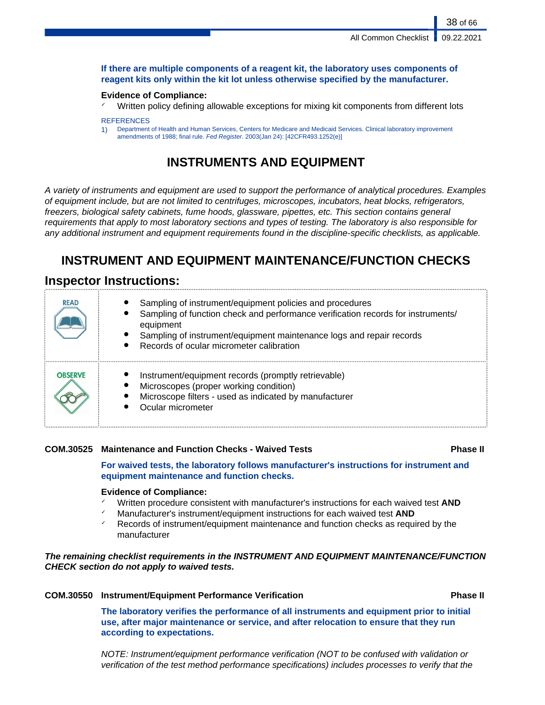# **If there are multiple components of a reagent kit, the laboratory uses components of reagent kits only within the kit lot unless otherwise specified by the manufacturer.**

### **Evidence of Compliance:**

Written policy defining allowable exceptions for mixing kit components from different lots

#### **REFERENCES**

1) Department of Health and Human Services, Centers for Medicare and Medicaid Services. Clinical laboratory improvement amendments of 1988; final rule. Fed Register. 2003(Jan 24): [42CFR493.1252(e)]

# **INSTRUMENTS AND EQUIPMENT**

A variety of instruments and equipment are used to support the performance of analytical procedures. Examples of equipment include, but are not limited to centrifuges, microscopes, incubators, heat blocks, refrigerators, freezers, biological safety cabinets, fume hoods, glassware, pipettes, etc. This section contains general requirements that apply to most laboratory sections and types of testing. The laboratory is also responsible for any additional instrument and equipment requirements found in the discipline-specific checklists, as applicable.

# **INSTRUMENT AND EQUIPMENT MAINTENANCE/FUNCTION CHECKS**

# **Inspector Instructions:**

| <b>READ</b>    | Sampling of instrument/equipment policies and procedures<br>Sampling of function check and performance verification records for instruments/<br>equipment<br>Sampling of instrument/equipment maintenance logs and repair records<br>Records of ocular micrometer calibration |
|----------------|-------------------------------------------------------------------------------------------------------------------------------------------------------------------------------------------------------------------------------------------------------------------------------|
| <b>OBSERVE</b> | Instrument/equipment records (promptly retrievable)<br>Microscopes (proper working condition)<br>Microscope filters - used as indicated by manufacturer<br>Ocular micrometer                                                                                                  |

# **COM.30525 Maintenance and Function Checks - Waived Tests Phase II**

**For waived tests, the laboratory follows manufacturer's instructions for instrument and equipment maintenance and function checks.**

# **Evidence of Compliance:**

- ✓ Written procedure consistent with manufacturer's instructions for each waived test **AND**
- Manufacturer's instrument/equipment instructions for each waived test **AND**
- $\checkmark$  Records of instrument/equipment maintenance and function checks as required by the manufacturer

# **The remaining checklist requirements in the INSTRUMENT AND EQUIPMENT MAINTENANCE/FUNCTION CHECK section do not apply to waived tests.**

# **COM.30550 Instrument/Equipment Performance Verification Phase II**

**The laboratory verifies the performance of all instruments and equipment prior to initial use, after major maintenance or service, and after relocation to ensure that they run according to expectations.**

NOTE: Instrument/equipment performance verification (NOT to be confused with validation or verification of the test method performance specifications) includes processes to verify that the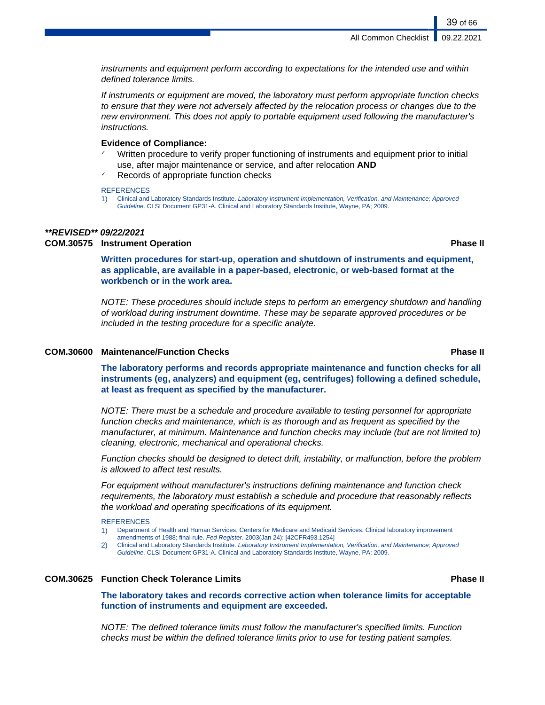instruments and equipment perform according to expectations for the intended use and within defined tolerance limits.

If instruments or equipment are moved, the laboratory must perform appropriate function checks to ensure that they were not adversely affected by the relocation process or changes due to the new environment. This does not apply to portable equipment used following the manufacturer's instructions.

### **Evidence of Compliance:**

- Written procedure to verify proper functioning of instruments and equipment prior to initial use, after major maintenance or service, and after relocation **AND**
- Records of appropriate function checks

**REFERENCES** 

1) Clinical and Laboratory Standards Institute. Laboratory Instrument Implementation, Verification, and Maintenance; Approved Guideline. CLSI Document GP31-A. Clinical and Laboratory Standards Institute, Wayne, PA; 2009.

### **\*\*REVISED\*\* 09/22/2021**

# **COM.30575 Instrument Operation Phase II**

**Written procedures for start-up, operation and shutdown of instruments and equipment, as applicable, are available in a paper-based, electronic, or web-based format at the workbench or in the work area.**

NOTE: These procedures should include steps to perform an emergency shutdown and handling of workload during instrument downtime. These may be separate approved procedures or be included in the testing procedure for a specific analyte.

# **COM.30600 Maintenance/Function Checks Phase II**

**The laboratory performs and records appropriate maintenance and function checks for all instruments (eg, analyzers) and equipment (eg, centrifuges) following a defined schedule, at least as frequent as specified by the manufacturer.**

NOTE: There must be a schedule and procedure available to testing personnel for appropriate function checks and maintenance, which is as thorough and as frequent as specified by the manufacturer, at minimum. Maintenance and function checks may include (but are not limited to) cleaning, electronic, mechanical and operational checks.

Function checks should be designed to detect drift, instability, or malfunction, before the problem is allowed to affect test results.

For equipment without manufacturer's instructions defining maintenance and function check requirements, the laboratory must establish a schedule and procedure that reasonably reflects the workload and operating specifications of its equipment.

#### **REFERENCES**

- 1) Department of Health and Human Services, Centers for Medicare and Medicaid Services. Clinical laboratory improvement amendments of 1988; final rule. Fed Register. 2003(Jan 24): [42CFR493.1254]
- 2) Clinical and Laboratory Standards Institute. Laboratory Instrument Implementation, Verification, and Maintenance; Approved Guideline. CLSI Document GP31-A. Clinical and Laboratory Standards Institute, Wayne, PA; 2009.

# **COM.30625 Function Check Tolerance Limits Phase II**

**The laboratory takes and records corrective action when tolerance limits for acceptable function of instruments and equipment are exceeded.**

NOTE: The defined tolerance limits must follow the manufacturer's specified limits. Function checks must be within the defined tolerance limits prior to use for testing patient samples.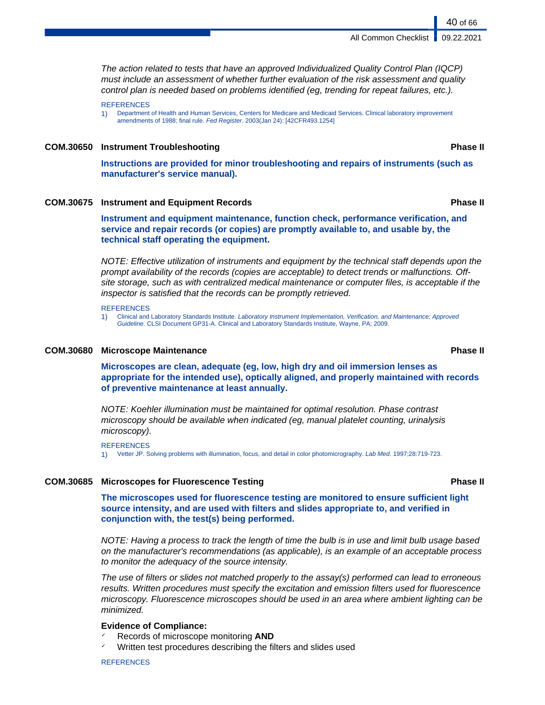The action related to tests that have an approved Individualized Quality Control Plan (IQCP) must include an assessment of whether further evaluation of the risk assessment and quality control plan is needed based on problems identified (eg, trending for repeat failures, etc.).

**REFERENCES** 

1) Department of Health and Human Services, Centers for Medicare and Medicaid Services. Clinical laboratory improvement amendments of 1988; final rule. Fed Register. 2003(Jan 24): [42CFR493.1254]

# **COM.30650 Instrument Troubleshooting Phase II**

**Instructions are provided for minor troubleshooting and repairs of instruments (such as manufacturer's service manual).**

# **COM.30675 Instrument and Equipment Records Phase II**

**Instrument and equipment maintenance, function check, performance verification, and service and repair records (or copies) are promptly available to, and usable by, the technical staff operating the equipment.**

NOTE: Effective utilization of instruments and equipment by the technical staff depends upon the prompt availability of the records (copies are acceptable) to detect trends or malfunctions. Offsite storage, such as with centralized medical maintenance or computer files, is acceptable if the inspector is satisfied that the records can be promptly retrieved.

**REFERENCES** 

1) Clinical and Laboratory Standards Institute. Laboratory Instrument Implementation, Verification, and Maintenance; Approved Guideline. CLSI Document GP31-A. Clinical and Laboratory Standards Institute, Wayne, PA; 2009.

#### **COM.30680 Microscope Maintenance Phase II**

**Microscopes are clean, adequate (eg, low, high dry and oil immersion lenses as appropriate for the intended use), optically aligned, and properly maintained with records of preventive maintenance at least annually.**

NOTE: Koehler illumination must be maintained for optimal resolution. Phase contrast microscopy should be available when indicated (eg, manual platelet counting, urinalysis microscopy).

REFERENCES 1) Vetter JP. Solving problems with illumination, focus, and detail in color photomicrography. Lab Med. 1997;28:719-723.

#### **COM.30685 Microscopes for Fluorescence Testing Phase II**

**The microscopes used for fluorescence testing are monitored to ensure sufficient light source intensity, and are used with filters and slides appropriate to, and verified in conjunction with, the test(s) being performed.**

NOTE: Having a process to track the length of time the bulb is in use and limit bulb usage based on the manufacturer's recommendations (as applicable), is an example of an acceptable process to monitor the adequacy of the source intensity.

The use of filters or slides not matched properly to the assay(s) performed can lead to erroneous results. Written procedures must specify the excitation and emission filters used for fluorescence microscopy. Fluorescence microscopes should be used in an area where ambient lighting can be minimized.

# **Evidence of Compliance:**

- ✓ Records of microscope monitoring **AND**
- Written test procedures describing the filters and slides used

REFERENCES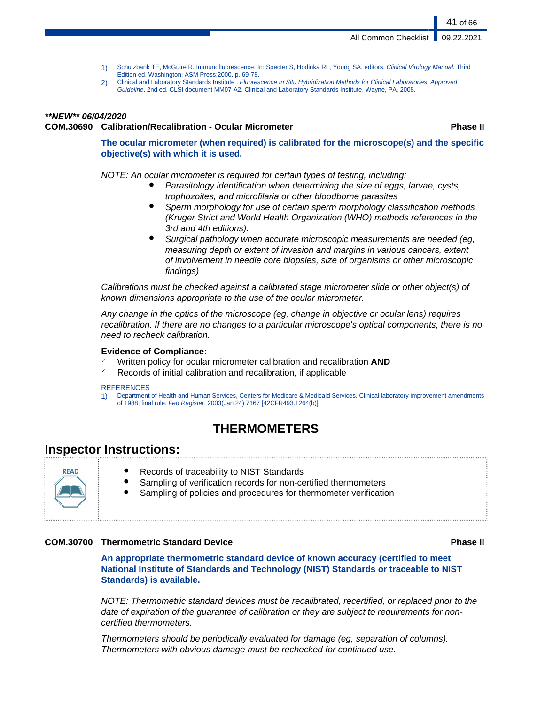- 1) Schutzbank TE, McGuire R. Immunofluorescence. In: Specter S, Hodinka RL, Young SA, editors. Clinical Virology Manual. Third Edition ed. Washington: ASM Press;2000. p. 69-78.
- 2) Clinical and Laboratory Standards Institute . Fluorescence In Situ Hybridization Methods for Clinical Laboratories; Approved Guideline. 2nd ed. CLSI document MM07-A2. Clinical and Laboratory Standards Institute, Wayne, PA, 2008.

# **\*\*NEW\*\* 06/04/2020 COM.30690 Calibration/Recalibration - Ocular Micrometer Phase II**

**The ocular micrometer (when required) is calibrated for the microscope(s) and the specific objective(s) with which it is used.**

NOTE: An ocular micrometer is required for certain types of testing, including:

- Parasitology identification when determining the size of eggs, larvae, cysts, trophozoites, and microfilaria or other bloodborne parasites
- Sperm morphology for use of certain sperm morphology classification methods (Kruger Strict and World Health Organization (WHO) methods references in the 3rd and 4th editions).
- Surgical pathology when accurate microscopic measurements are needed (eg, measuring depth or extent of invasion and margins in various cancers, extent of involvement in needle core biopsies, size of organisms or other microscopic findings)

Calibrations must be checked against a calibrated stage micrometer slide or other object(s) of known dimensions appropriate to the use of the ocular micrometer.

Any change in the optics of the microscope (eg, change in objective or ocular lens) requires recalibration. If there are no changes to a particular microscope's optical components, there is no need to recheck calibration.

# **Evidence of Compliance:**

- ✓ Written policy for ocular micrometer calibration and recalibration **AND**
- Records of initial calibration and recalibration, if applicable

#### **REFERENCES**

1) Department of Health and Human Services, Centers for Medicare & Medicaid Services. Clinical laboratory improvement amendments of 1988; final rule. Fed Register. 2003(Jan 24):7167 [42CFR493.1264(b)]

# **THERMOMETERS**

# **Inspector Instructions:**



- Records of traceability to NIST Standards
- Sampling of verification records for non-certified thermometers
- Sampling of policies and procedures for thermometer verification

# **COM.30700 Thermometric Standard Device Phase II**

**An appropriate thermometric standard device of known accuracy (certified to meet National Institute of Standards and Technology (NIST) Standards or traceable to NIST Standards) is available.**

NOTE: Thermometric standard devices must be recalibrated, recertified, or replaced prior to the date of expiration of the guarantee of calibration or they are subject to requirements for noncertified thermometers.

Thermometers should be periodically evaluated for damage (eg, separation of columns). Thermometers with obvious damage must be rechecked for continued use.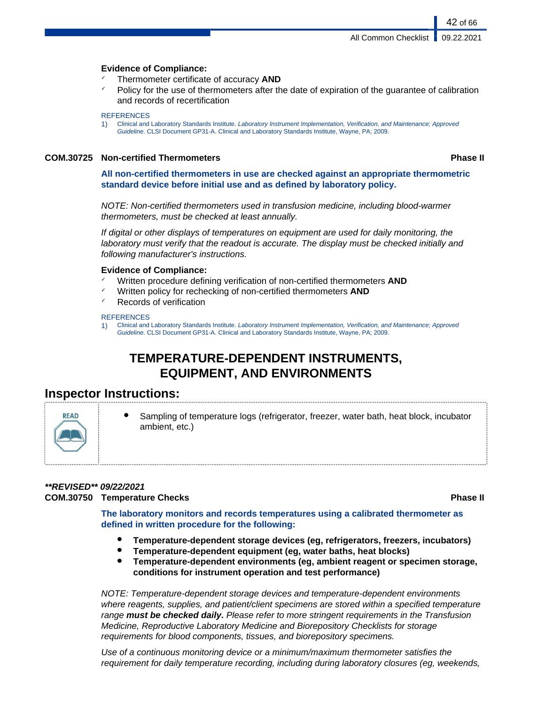# **Evidence of Compliance:**

- ✓ Thermometer certificate of accuracy **AND**
- Policy for the use of thermometers after the date of expiration of the quarantee of calibration and records of recertification

#### **REFERENCES**

1) Clinical and Laboratory Standards Institute. Laboratory Instrument Implementation, Verification, and Maintenance; Approved Guideline. CLSI Document GP31-A. Clinical and Laboratory Standards Institute, Wayne, PA; 2009.

# **COM.30725 Non-certified Thermometers Phase II**

42 of 66

**All non-certified thermometers in use are checked against an appropriate thermometric standard device before initial use and as defined by laboratory policy.**

NOTE: Non-certified thermometers used in transfusion medicine, including blood-warmer thermometers, must be checked at least annually.

If digital or other displays of temperatures on equipment are used for daily monitoring, the laboratory must verify that the readout is accurate. The display must be checked initially and following manufacturer's instructions.

# **Evidence of Compliance:**

- Written procedure defining verification of non-certified thermometers **AND**
- Written policy for rechecking of non-certified thermometers **AND**
- Records of verification

# **REFERENCES**

1) Clinical and Laboratory Standards Institute. Laboratory Instrument Implementation, Verification, and Maintenance; Approved Guideline. CLSI Document GP31-A. Clinical and Laboratory Standards Institute, Wayne, PA; 2009.

# **TEMPERATURE-DEPENDENT INSTRUMENTS, EQUIPMENT, AND ENVIRONMENTS**

# **Inspector Instructions:**



Sampling of temperature logs (refrigerator, freezer, water bath, heat block, incubator ambient, etc.)

# **\*\*REVISED\*\* 09/22/2021 COM.30750 Temperature Checks Phase II**

**The laboratory monitors and records temperatures using a calibrated thermometer as defined in written procedure for the following:**

- **Temperature-dependent storage devices (eg, refrigerators, freezers, incubators)**
- **Temperature-dependent equipment (eg, water baths, heat blocks)**
- **Temperature-dependent environments (eg, ambient reagent or specimen storage, conditions for instrument operation and test performance)**

NOTE: Temperature-dependent storage devices and temperature-dependent environments where reagents, supplies, and patient/client specimens are stored within a specified temperature range **must be checked daily.** Please refer to more stringent requirements in the Transfusion Medicine, Reproductive Laboratory Medicine and Biorepository Checklists for storage requirements for blood components, tissues, and biorepository specimens.

Use of a continuous monitoring device or a minimum/maximum thermometer satisfies the requirement for daily temperature recording, including during laboratory closures (eg, weekends,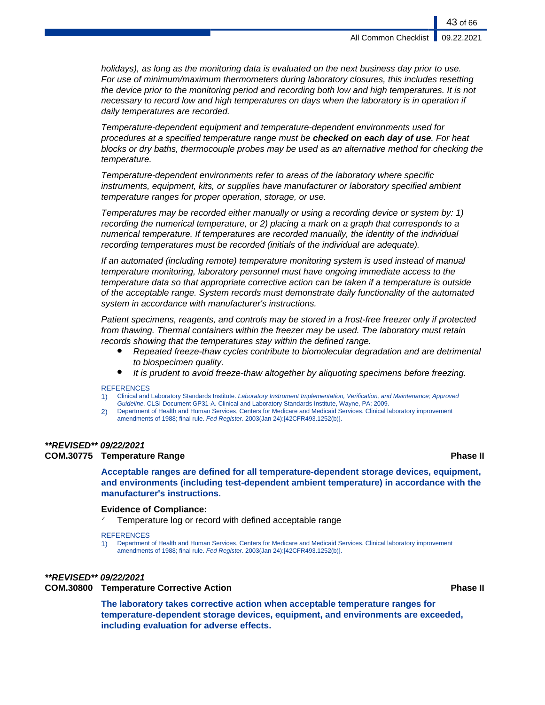holidays), as long as the monitoring data is evaluated on the next business day prior to use. For use of minimum/maximum thermometers during laboratory closures, this includes resetting the device prior to the monitoring period and recording both low and high temperatures. It is not necessary to record low and high temperatures on days when the laboratory is in operation if daily temperatures are recorded.

Temperature-dependent equipment and temperature-dependent environments used for procedures at a specified temperature range must be **checked on each day of use**. For heat blocks or dry baths, thermocouple probes may be used as an alternative method for checking the temperature.

Temperature-dependent environments refer to areas of the laboratory where specific instruments, equipment, kits, or supplies have manufacturer or laboratory specified ambient temperature ranges for proper operation, storage, or use.

Temperatures may be recorded either manually or using a recording device or system by: 1) recording the numerical temperature, or 2) placing a mark on a graph that corresponds to a numerical temperature. If temperatures are recorded manually, the identity of the individual recording temperatures must be recorded (initials of the individual are adequate).

If an automated (including remote) temperature monitoring system is used instead of manual temperature monitoring, laboratory personnel must have ongoing immediate access to the temperature data so that appropriate corrective action can be taken if a temperature is outside of the acceptable range. System records must demonstrate daily functionality of the automated system in accordance with manufacturer's instructions.

Patient specimens, reagents, and controls may be stored in a frost-free freezer only if protected from thawing. Thermal containers within the freezer may be used. The laboratory must retain records showing that the temperatures stay within the defined range.

- Repeated freeze-thaw cycles contribute to biomolecular degradation and are detrimental to biospecimen quality.
- It is prudent to avoid freeze-thaw altogether by aliquoting specimens before freezing.

#### **REFERENCES**

- 1) Clinical and Laboratory Standards Institute. Laboratory Instrument Implementation, Verification, and Maintenance; Approved Guideline. CLSI Document GP31-A. Clinical and Laboratory Standards Institute, Wayne, PA; 2009.
- 2) Department of Health and Human Services, Centers for Medicare and Medicaid Services. Clinical laboratory improvement amendments of 1988; final rule. Fed Register. 2003(Jan 24):[42CFR493.1252(b)].

# **\*\*REVISED\*\* 09/22/2021**

# **COM.30775 Temperature Range Phase II**

**Acceptable ranges are defined for all temperature-dependent storage devices, equipment, and environments (including test-dependent ambient temperature) in accordance with the manufacturer's instructions.**

#### **Evidence of Compliance:**

Temperature log or record with defined acceptable range

#### **REFERENCES**

1) Department of Health and Human Services, Centers for Medicare and Medicaid Services. Clinical laboratory improvement amendments of 1988; final rule. Fed Register. 2003(Jan 24):[42CFR493.1252(b)].

# **\*\*REVISED\*\* 09/22/2021**

# **COM.30800 Temperature Corrective Action Phase II**

**The laboratory takes corrective action when acceptable temperature ranges for temperature-dependent storage devices, equipment, and environments are exceeded, including evaluation for adverse effects.**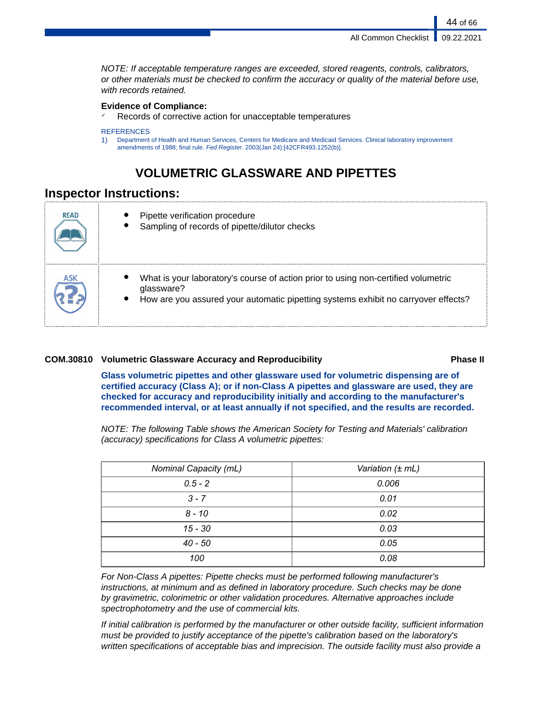44 of 66

NOTE: If acceptable temperature ranges are exceeded, stored reagents, controls, calibrators, or other materials must be checked to confirm the accuracy or quality of the material before use, with records retained.

# **Evidence of Compliance:**

Records of corrective action for unacceptable temperatures

#### **REFERENCES**

1) Department of Health and Human Services, Centers for Medicare and Medicaid Services. Clinical laboratory improvement amendments of 1988; final rule. Fed Register. 2003(Jan 24):[42CFR493.1252(b)].

# **VOLUMETRIC GLASSWARE AND PIPETTES**

# **Inspector Instructions:**

| <b>READ</b> | Pipette verification procedure<br>Sampling of records of pipette/dilutor checks                                                                                                        |
|-------------|----------------------------------------------------------------------------------------------------------------------------------------------------------------------------------------|
|             | What is your laboratory's course of action prior to using non-certified volumetric<br>glassware?<br>How are you assured your automatic pipetting systems exhibit no carryover effects? |

# **COM.30810 Volumetric Glassware Accuracy and Reproducibility Phase II**

**Glass volumetric pipettes and other glassware used for volumetric dispensing are of certified accuracy (Class A); or if non-Class A pipettes and glassware are used, they are checked for accuracy and reproducibility initially and according to the manufacturer's recommended interval, or at least annually if not specified, and the results are recorded.**

NOTE: The following Table shows the American Society for Testing and Materials' calibration (accuracy) specifications for Class A volumetric pipettes:

| Nominal Capacity (mL) | Variation (± mL) |
|-----------------------|------------------|
| $0.5 - 2$             | 0.006            |
| $3 - 7$               | 0.01             |
| $8 - 10$              | 0.02             |
| 15 - 30               | 0.03             |
| 40 - 50               | 0.05             |
| 100                   | 0.08             |

For Non-Class A pipettes: Pipette checks must be performed following manufacturer's instructions, at minimum and as defined in laboratory procedure. Such checks may be done by gravimetric, colorimetric or other validation procedures. Alternative approaches include spectrophotometry and the use of commercial kits.

If initial calibration is performed by the manufacturer or other outside facility, sufficient information must be provided to justify acceptance of the pipette's calibration based on the laboratory's written specifications of acceptable bias and imprecision. The outside facility must also provide a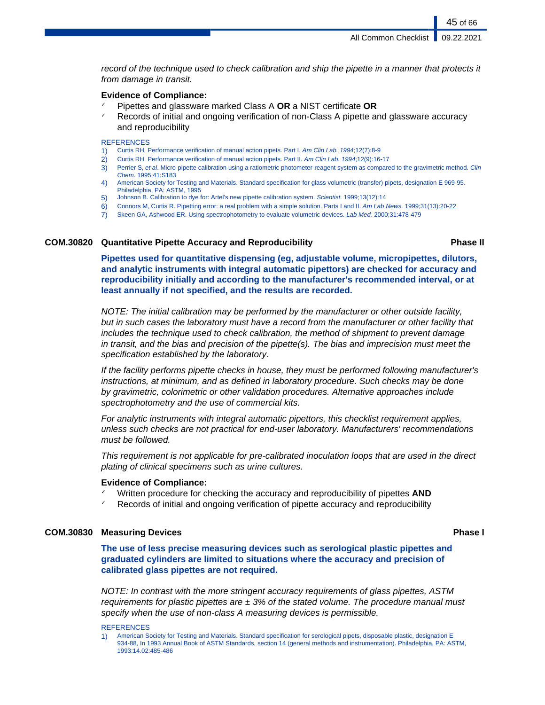record of the technique used to check calibration and ship the pipette in a manner that protects it from damage in transit.

### **Evidence of Compliance:**

- ✓ Pipettes and glassware marked Class A **OR** a NIST certificate **OR**
- Records of initial and ongoing verification of non-Class A pipette and glassware accuracy and reproducibility

### **REFERENCES**

- 1) Curtis RH. Performance verification of manual action pipets. Part I. Am Clin Lab. 1994;12(7):8-9
- 2) Curtis RH. Performance verification of manual action pipets. Part II. Am Clin Lab. 1994;12(9):16-17
- 3) Perrier S, et al. Micro-pipette calibration using a ratiometric photometer-reagent system as compared to the gravimetric method. Clin Chem. 1995;41:S183
- 4) American Society for Testing and Materials. Standard specification for glass volumetric (transfer) pipets, designation E 969-95. Philadelphia, PA: ASTM, 1995
- 5) Johnson B. Calibration to dye for: Artel's new pipette calibration system. Scientist. 1999;13(12):14
- 6) Connors M, Curtis R. Pipetting error: a real problem with a simple solution. Parts I and II. Am Lab News. 1999;31(13):20-22
- 7) Skeen GA, Ashwood ER. Using spectrophotometry to evaluate volumetric devices. Lab Med. 2000;31:478-479

### **COM.30820 Quantitative Pipette Accuracy and Reproducibility Phase II**

45 of 66

**Pipettes used for quantitative dispensing (eg, adjustable volume, micropipettes, dilutors, and analytic instruments with integral automatic pipettors) are checked for accuracy and reproducibility initially and according to the manufacturer's recommended interval, or at least annually if not specified, and the results are recorded.**

NOTE: The initial calibration may be performed by the manufacturer or other outside facility, but in such cases the laboratory must have a record from the manufacturer or other facility that includes the technique used to check calibration, the method of shipment to prevent damage in transit, and the bias and precision of the pipette(s). The bias and imprecision must meet the specification established by the laboratory.

If the facility performs pipette checks in house, they must be performed following manufacturer's instructions, at minimum, and as defined in laboratory procedure. Such checks may be done by gravimetric, colorimetric or other validation procedures. Alternative approaches include spectrophotometry and the use of commercial kits.

For analytic instruments with integral automatic pipettors, this checklist requirement applies, unless such checks are not practical for end-user laboratory. Manufacturers' recommendations must be followed.

This requirement is not applicable for pre-calibrated inoculation loops that are used in the direct plating of clinical specimens such as urine cultures.

#### **Evidence of Compliance:**

- Written procedure for checking the accuracy and reproducibility of pipettes **AND**
- Records of initial and ongoing verification of pipette accuracy and reproducibility

# **COM.30830 Measuring Devices Phase I**

**The use of less precise measuring devices such as serological plastic pipettes and graduated cylinders are limited to situations where the accuracy and precision of calibrated glass pipettes are not required.**

NOTE: In contrast with the more stringent accuracy requirements of glass pipettes, ASTM requirements for plastic pipettes are  $\pm$  3% of the stated volume. The procedure manual must specify when the use of non-class A measuring devices is permissible.

#### **REFERENCES**

1) American Society for Testing and Materials. Standard specification for serological pipets, disposable plastic, designation E 934-88, In 1993 Annual Book of ASTM Standards, section 14 (general methods and instrumentation). Philadelphia, PA: ASTM, 1993:14.02:485-486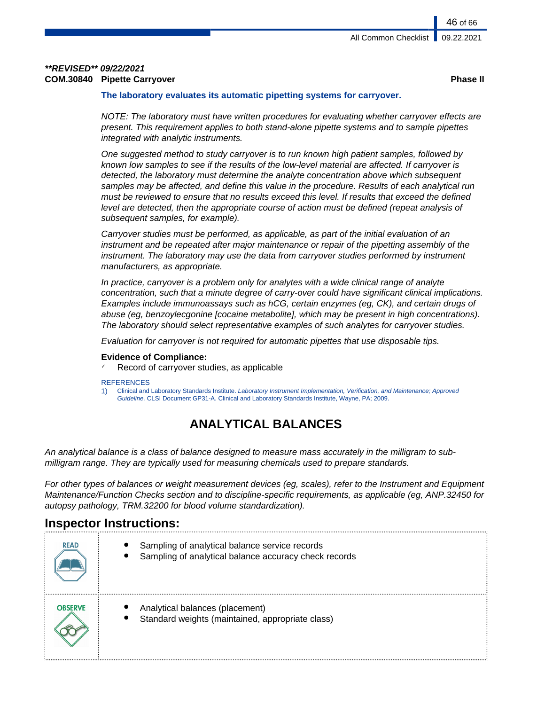# **\*\*REVISED\*\* 09/22/2021 COM.30840 Pipette Carryover Phase II**

# **The laboratory evaluates its automatic pipetting systems for carryover.**

NOTE: The laboratory must have written procedures for evaluating whether carryover effects are present. This requirement applies to both stand-alone pipette systems and to sample pipettes integrated with analytic instruments.

One suggested method to study carryover is to run known high patient samples, followed by known low samples to see if the results of the low-level material are affected. If carryover is detected, the laboratory must determine the analyte concentration above which subsequent samples may be affected, and define this value in the procedure. Results of each analytical run must be reviewed to ensure that no results exceed this level. If results that exceed the defined level are detected, then the appropriate course of action must be defined (repeat analysis of subsequent samples, for example).

Carryover studies must be performed, as applicable, as part of the initial evaluation of an instrument and be repeated after major maintenance or repair of the pipetting assembly of the instrument. The laboratory may use the data from carryover studies performed by instrument manufacturers, as appropriate.

In practice, carryover is a problem only for analytes with a wide clinical range of analyte concentration, such that a minute degree of carry-over could have significant clinical implications. Examples include immunoassays such as hCG, certain enzymes (eg, CK), and certain drugs of abuse (eg, benzoylecgonine [cocaine metabolite], which may be present in high concentrations). The laboratory should select representative examples of such analytes for carryover studies.

Evaluation for carryover is not required for automatic pipettes that use disposable tips.

# **Evidence of Compliance:**

Record of carryover studies, as applicable

#### **REFERENCES**

1) Clinical and Laboratory Standards Institute. Laboratory Instrument Implementation, Verification, and Maintenance; Approved Guideline. CLSI Document GP31-A. Clinical and Laboratory Standards Institute, Wayne, PA; 2009.

# **ANALYTICAL BALANCES**

An analytical balance is a class of balance designed to measure mass accurately in the milligram to submilligram range. They are typically used for measuring chemicals used to prepare standards.

For other types of balances or weight measurement devices (eg, scales), refer to the Instrument and Equipment Maintenance/Function Checks section and to discipline-specific requirements, as applicable (eg, ANP.32450 for autopsy pathology, TRM.32200 for blood volume standardization).

# **Inspector Instructions:**

| <b>READ</b>    | Sampling of analytical balance service records<br>Sampling of analytical balance accuracy check records |
|----------------|---------------------------------------------------------------------------------------------------------|
| <b>OBSERVE</b> | Analytical balances (placement)<br>Standard weights (maintained, appropriate class)                     |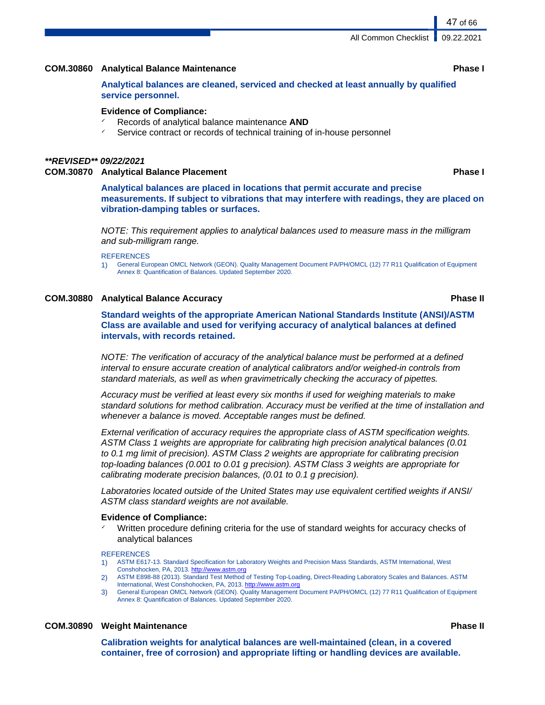# **COM.30860 Analytical Balance Maintenance Phase I**

**Analytical balances are cleaned, serviced and checked at least annually by qualified service personnel.**

### **Evidence of Compliance:**

- Records of analytical balance maintenance **AND**
- Service contract or records of technical training of in-house personnel

# **\*\*REVISED\*\* 09/22/2021**

**COM.30870 Analytical Balance Placement Phase I**

**Analytical balances are placed in locations that permit accurate and precise measurements. If subject to vibrations that may interfere with readings, they are placed on vibration-damping tables or surfaces.**

NOTE: This requirement applies to analytical balances used to measure mass in the milligram and sub-milligram range.

#### **REFERENCES**

1) General European OMCL Network (GEON). Quality Management Document PA/PH/OMCL (12) 77 R11 Qualification of Equipment Annex 8: Quantification of Balances. Updated September 2020.

# **COM.30880 Analytical Balance Accuracy Phase II**

**Standard weights of the appropriate American National Standards Institute (ANSI)/ASTM Class are available and used for verifying accuracy of analytical balances at defined intervals, with records retained.**

NOTE: The verification of accuracy of the analytical balance must be performed at a defined interval to ensure accurate creation of analytical calibrators and/or weighed-in controls from standard materials, as well as when gravimetrically checking the accuracy of pipettes.

Accuracy must be verified at least every six months if used for weighing materials to make standard solutions for method calibration. Accuracy must be verified at the time of installation and whenever a balance is moved. Acceptable ranges must be defined.

External verification of accuracy requires the appropriate class of ASTM specification weights. ASTM Class 1 weights are appropriate for calibrating high precision analytical balances (0.01 to 0.1 mg limit of precision). ASTM Class 2 weights are appropriate for calibrating precision top-loading balances (0.001 to 0.01 g precision). ASTM Class 3 weights are appropriate for calibrating moderate precision balances, (0.01 to 0.1 g precision).

Laboratories located outside of the United States may use equivalent certified weights if ANSI/ ASTM class standard weights are not available.

#### **Evidence of Compliance:**

Written procedure defining criteria for the use of standard weights for accuracy checks of analytical balances

#### **REFERENCES**

- 1) ASTM E617-13. Standard Specification for Laboratory Weights and Precision Mass Standards, ASTM International, West Conshohocken, PA, 2013.<http://www.astm.org>
- 2) ASTM E898-88 (2013). Standard Test Method of Testing Top-Loading, Direct-Reading Laboratory Scales and Balances. ASTM International, West Conshohocken, PA, 2013.<http://www.astm.org>
- 3) General European OMCL Network (GEON). Quality Management Document PA/PH/OMCL (12) 77 R11 Qualification of Equipment Annex 8: Quantification of Balances. Updated September 2020.

# **COM.30890 Weight Maintenance Phase II**

**Calibration weights for analytical balances are well-maintained (clean, in a covered container, free of corrosion) and appropriate lifting or handling devices are available.**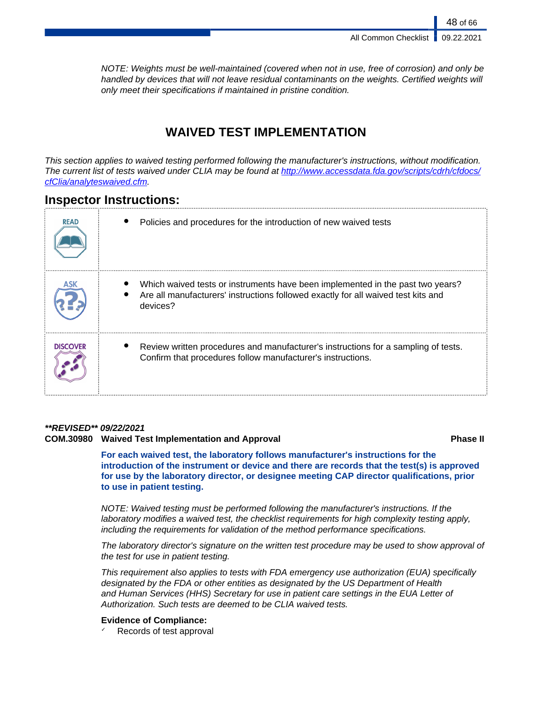NOTE: Weights must be well-maintained (covered when not in use, free of corrosion) and only be handled by devices that will not leave residual contaminants on the weights. Certified weights will only meet their specifications if maintained in pristine condition.

# **WAIVED TEST IMPLEMENTATION**

This section applies to waived testing performed following the manufacturer's instructions, without modification. The current list of tests waived under CLIA may be found at [http://www.accessdata.fda.gov/scripts/cdrh/cfdocs/](http://www.accessdata.fda.gov/scripts/cdrh/cfdocs/cfClia/analyteswaived.cfm) [cfClia/analyteswaived.cfm](http://www.accessdata.fda.gov/scripts/cdrh/cfdocs/cfClia/analyteswaived.cfm).

# **Inspector Instructions:**

| <b>READ</b>     | Policies and procedures for the introduction of new waived tests                                                                                                                |
|-----------------|---------------------------------------------------------------------------------------------------------------------------------------------------------------------------------|
|                 | Which waived tests or instruments have been implemented in the past two years?<br>Are all manufacturers' instructions followed exactly for all waived test kits and<br>devices? |
| <b>DISCOVER</b> | Review written procedures and manufacturer's instructions for a sampling of tests.<br>Confirm that procedures follow manufacturer's instructions.                               |

# **\*\*REVISED\*\* 09/22/2021**

# **COM.30980 Waived Test Implementation and Approval Phase II**

**For each waived test, the laboratory follows manufacturer's instructions for the introduction of the instrument or device and there are records that the test(s) is approved for use by the laboratory director, or designee meeting CAP director qualifications, prior to use in patient testing.**

NOTE: Waived testing must be performed following the manufacturer's instructions. If the laboratory modifies a waived test, the checklist requirements for high complexity testing apply, including the requirements for validation of the method performance specifications.

The laboratory director's signature on the written test procedure may be used to show approval of the test for use in patient testing.

This requirement also applies to tests with FDA emergency use authorization (EUA) specifically designated by the FDA or other entities as designated by the US Department of Health and Human Services (HHS) Secretary for use in patient care settings in the EUA Letter of Authorization. Such tests are deemed to be CLIA waived tests.

# **Evidence of Compliance:**

Records of test approval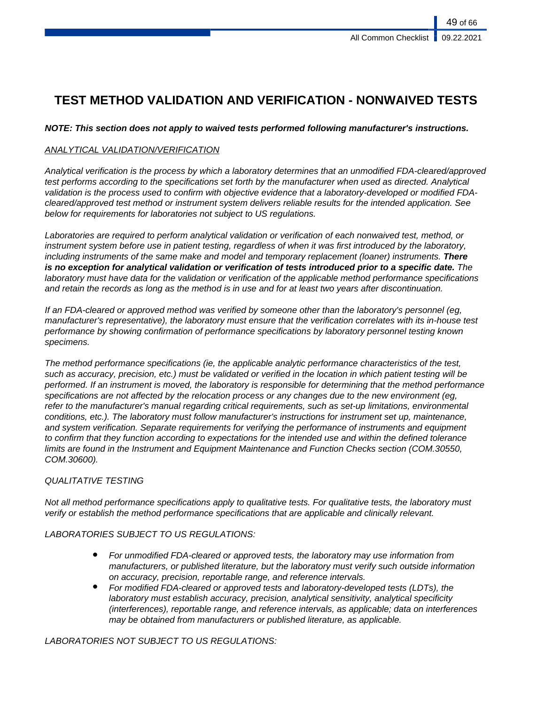# **TEST METHOD VALIDATION AND VERIFICATION - NONWAIVED TESTS**

# **NOTE: This section does not apply to waived tests performed following manufacturer's instructions.**

# ANALYTICAL VALIDATION/VERIFICATION

Analytical verification is the process by which a laboratory determines that an unmodified FDA-cleared/approved test performs according to the specifications set forth by the manufacturer when used as directed. Analytical validation is the process used to confirm with objective evidence that a laboratory-developed or modified FDAcleared/approved test method or instrument system delivers reliable results for the intended application. See below for requirements for laboratories not subject to US regulations.

Laboratories are required to perform analytical validation or verification of each nonwaived test, method, or instrument system before use in patient testing, regardless of when it was first introduced by the laboratory, including instruments of the same make and model and temporary replacement (loaner) instruments. **There is no exception for analytical validation or verification of tests introduced prior to a specific date.** The laboratory must have data for the validation or verification of the applicable method performance specifications and retain the records as long as the method is in use and for at least two years after discontinuation.

If an FDA-cleared or approved method was verified by someone other than the laboratory's personnel (eg, manufacturer's representative), the laboratory must ensure that the verification correlates with its in-house test performance by showing confirmation of performance specifications by laboratory personnel testing known specimens.

The method performance specifications (ie, the applicable analytic performance characteristics of the test, such as accuracy, precision, etc.) must be validated or verified in the location in which patient testing will be performed. If an instrument is moved, the laboratory is responsible for determining that the method performance specifications are not affected by the relocation process or any changes due to the new environment (eg, refer to the manufacturer's manual regarding critical requirements, such as set-up limitations, environmental conditions, etc.). The laboratory must follow manufacturer's instructions for instrument set up, maintenance, and system verification. Separate requirements for verifying the performance of instruments and equipment to confirm that they function according to expectations for the intended use and within the defined tolerance limits are found in the Instrument and Equipment Maintenance and Function Checks section (COM.30550, COM.30600).

# QUALITATIVE TESTING

Not all method performance specifications apply to qualitative tests. For qualitative tests, the laboratory must verify or establish the method performance specifications that are applicable and clinically relevant.

# LABORATORIES SUBJECT TO US REGULATIONS:

- For unmodified FDA-cleared or approved tests, the laboratory may use information from manufacturers, or published literature, but the laboratory must verify such outside information on accuracy, precision, reportable range, and reference intervals.
- For modified FDA-cleared or approved tests and laboratory-developed tests (LDTs), the laboratory must establish accuracy, precision, analytical sensitivity, analytical specificity (interferences), reportable range, and reference intervals, as applicable; data on interferences may be obtained from manufacturers or published literature, as applicable.

LABORATORIES NOT SUBJECT TO US REGULATIONS: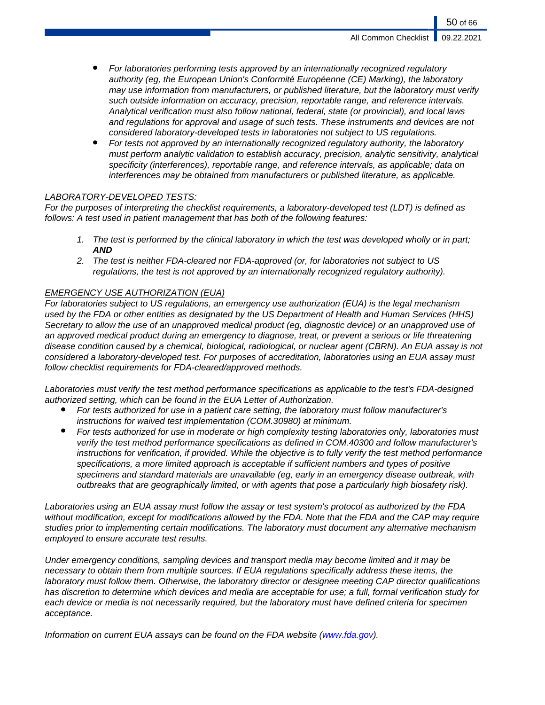- For laboratories performing tests approved by an internationally recognized regulatory authority (eg, the European Union's Conformité Européenne (CE) Marking), the laboratory may use information from manufacturers, or published literature, but the laboratory must verify such outside information on accuracy, precision, reportable range, and reference intervals. Analytical verification must also follow national, federal, state (or provincial), and local laws and regulations for approval and usage of such tests. These instruments and devices are not considered laboratory-developed tests in laboratories not subject to US regulations.
- For tests not approved by an internationally recognized regulatory authority, the laboratory must perform analytic validation to establish accuracy, precision, analytic sensitivity, analytical specificity (interferences), reportable range, and reference intervals, as applicable; data on interferences may be obtained from manufacturers or published literature, as applicable.

# LABORATORY-DEVELOPED TESTS:

For the purposes of interpreting the checklist requirements, a laboratory-developed test (LDT) is defined as follows: A test used in patient management that has both of the following features:

- 1. The test is performed by the clinical laboratory in which the test was developed wholly or in part; **AND**
- 2. The test is neither FDA-cleared nor FDA-approved (or, for laboratories not subject to US regulations, the test is not approved by an internationally recognized regulatory authority).

# EMERGENCY USE AUTHORIZATION (EUA)

For laboratories subject to US regulations, an emergency use authorization (EUA) is the legal mechanism used by the FDA or other entities as designated by the US Department of Health and Human Services (HHS) Secretary to allow the use of an unapproved medical product (eg, diagnostic device) or an unapproved use of an approved medical product during an emergency to diagnose, treat, or prevent a serious or life threatening disease condition caused by a chemical, biological, radiological, or nuclear agent (CBRN). An EUA assay is not considered a laboratory-developed test. For purposes of accreditation, laboratories using an EUA assay must follow checklist requirements for FDA-cleared/approved methods.

Laboratories must verify the test method performance specifications as applicable to the test's FDA-designed authorized setting, which can be found in the EUA Letter of Authorization.

- For tests authorized for use in a patient care setting, the laboratory must follow manufacturer's instructions for waived test implementation (COM.30980) at minimum.
- For tests authorized for use in moderate or high complexity testing laboratories only, laboratories must verify the test method performance specifications as defined in COM.40300 and follow manufacturer's instructions for verification, if provided. While the objective is to fully verify the test method performance specifications, a more limited approach is acceptable if sufficient numbers and types of positive specimens and standard materials are unavailable (eg, early in an emergency disease outbreak, with outbreaks that are geographically limited, or with agents that pose a particularly high biosafety risk).

Laboratories using an EUA assay must follow the assay or test system's protocol as authorized by the FDA without modification, except for modifications allowed by the FDA. Note that the FDA and the CAP may require studies prior to implementing certain modifications. The laboratory must document any alternative mechanism employed to ensure accurate test results.

Under emergency conditions, sampling devices and transport media may become limited and it may be necessary to obtain them from multiple sources. If EUA regulations specifically address these items, the laboratory must follow them. Otherwise, the laboratory director or designee meeting CAP director qualifications has discretion to determine which devices and media are acceptable for use; a full, formal verification study for each device or media is not necessarily required, but the laboratory must have defined criteria for specimen acceptance.

Information on current EUA assays can be found on the FDA website [\(www.fda.gov](www.fda.gov)).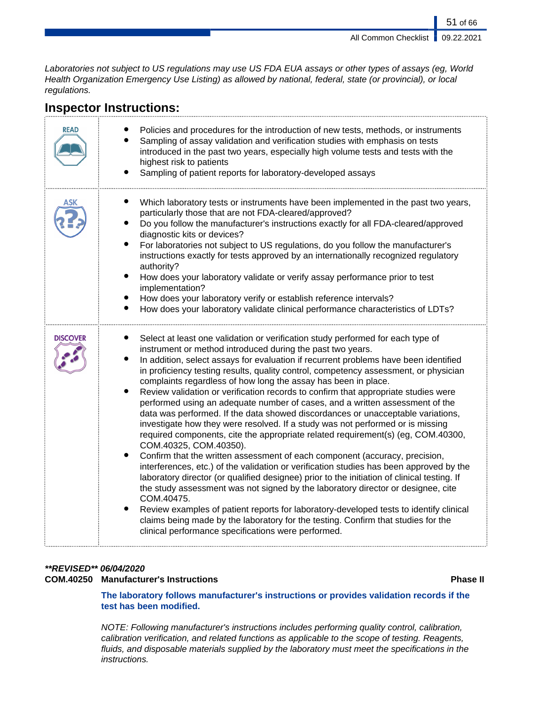51 of 66

Laboratories not subject to US regulations may use US FDA EUA assays or other types of assays (eg, World Health Organization Emergency Use Listing) as allowed by national, federal, state (or provincial), or local regulations.

| <b>READ</b>     | Policies and procedures for the introduction of new tests, methods, or instruments<br>Sampling of assay validation and verification studies with emphasis on tests<br>introduced in the past two years, especially high volume tests and tests with the<br>highest risk to patients<br>Sampling of patient reports for laboratory-developed assays                                                                                                                                                                                                                                                                                                                                                                                                                                                                                                                                                                                                                                                                                                                                                                                                                                                                                                                                                                                                                                                                                                                                                               |
|-----------------|------------------------------------------------------------------------------------------------------------------------------------------------------------------------------------------------------------------------------------------------------------------------------------------------------------------------------------------------------------------------------------------------------------------------------------------------------------------------------------------------------------------------------------------------------------------------------------------------------------------------------------------------------------------------------------------------------------------------------------------------------------------------------------------------------------------------------------------------------------------------------------------------------------------------------------------------------------------------------------------------------------------------------------------------------------------------------------------------------------------------------------------------------------------------------------------------------------------------------------------------------------------------------------------------------------------------------------------------------------------------------------------------------------------------------------------------------------------------------------------------------------------|
| ١SΚ             | Which laboratory tests or instruments have been implemented in the past two years,<br>particularly those that are not FDA-cleared/approved?<br>Do you follow the manufacturer's instructions exactly for all FDA-cleared/approved<br>diagnostic kits or devices?<br>$\bullet$<br>For laboratories not subject to US regulations, do you follow the manufacturer's<br>instructions exactly for tests approved by an internationally recognized regulatory<br>authority?<br>$\bullet$<br>How does your laboratory validate or verify assay performance prior to test<br>implementation?<br>How does your laboratory verify or establish reference intervals?<br>How does your laboratory validate clinical performance characteristics of LDTs?                                                                                                                                                                                                                                                                                                                                                                                                                                                                                                                                                                                                                                                                                                                                                                    |
| <b>DISCOVER</b> | Select at least one validation or verification study performed for each type of<br>instrument or method introduced during the past two years.<br>In addition, select assays for evaluation if recurrent problems have been identified<br>$\bullet$<br>in proficiency testing results, quality control, competency assessment, or physician<br>complaints regardless of how long the assay has been in place.<br>$\bullet$<br>Review validation or verification records to confirm that appropriate studies were<br>performed using an adequate number of cases, and a written assessment of the<br>data was performed. If the data showed discordances or unacceptable variations,<br>investigate how they were resolved. If a study was not performed or is missing<br>required components, cite the appropriate related requirement(s) (eg, COM.40300,<br>COM.40325, COM.40350).<br>Confirm that the written assessment of each component (accuracy, precision,<br>interferences, etc.) of the validation or verification studies has been approved by the<br>laboratory director (or qualified designee) prior to the initiation of clinical testing. If<br>the study assessment was not signed by the laboratory director or designee, cite<br>COM.40475.<br>$\bullet$<br>Review examples of patient reports for laboratory-developed tests to identify clinical<br>claims being made by the laboratory for the testing. Confirm that studies for the<br>clinical performance specifications were performed. |

# **Inspector Instructions:**

# **\*\*REVISED\*\* 06/04/2020**

# **COM.40250 Manufacturer's Instructions Phase II**

**The laboratory follows manufacturer's instructions or provides validation records if the test has been modified.**

NOTE: Following manufacturer's instructions includes performing quality control, calibration, calibration verification, and related functions as applicable to the scope of testing. Reagents, fluids, and disposable materials supplied by the laboratory must meet the specifications in the instructions.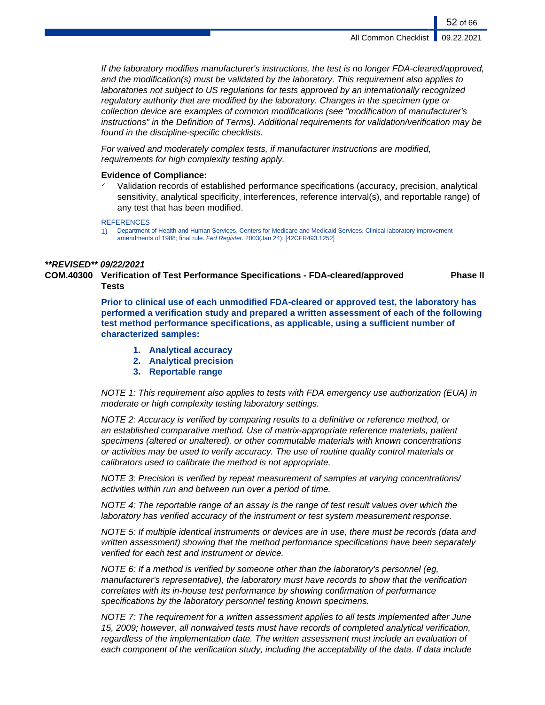If the laboratory modifies manufacturer's instructions, the test is no longer FDA-cleared/approved, and the modification(s) must be validated by the laboratory. This requirement also applies to laboratories not subject to US regulations for tests approved by an internationally recognized regulatory authority that are modified by the laboratory. Changes in the specimen type or collection device are examples of common modifications (see "modification of manufacturer's instructions" in the Definition of Terms). Additional requirements for validation/verification may be found in the discipline-specific checklists.

For waived and moderately complex tests, if manufacturer instructions are modified, requirements for high complexity testing apply.

# **Evidence of Compliance:**

✓ Validation records of established performance specifications (accuracy, precision, analytical sensitivity, analytical specificity, interferences, reference interval(s), and reportable range) of any test that has been modified.

#### **REFERENCES**

1) Department of Health and Human Services, Centers for Medicare and Medicaid Services. Clinical laboratory improvement amendments of 1988; final rule. Fed Register. 2003(Jan 24): [42CFR493.1252]

### **\*\*REVISED\*\* 09/22/2021**

**COM.40300 Verification of Test Performance Specifications - FDA-cleared/approved Tests Phase II**

> **Prior to clinical use of each unmodified FDA-cleared or approved test, the laboratory has performed a verification study and prepared a written assessment of each of the following test method performance specifications, as applicable, using a sufficient number of characterized samples:**

- **1. Analytical accuracy**
- **2. Analytical precision**
- **3. Reportable range**

NOTE 1: This requirement also applies to tests with FDA emergency use authorization (EUA) in moderate or high complexity testing laboratory settings.

NOTE 2: Accuracy is verified by comparing results to a definitive or reference method, or an established comparative method. Use of matrix-appropriate reference materials, patient specimens (altered or unaltered), or other commutable materials with known concentrations or activities may be used to verify accuracy. The use of routine quality control materials or calibrators used to calibrate the method is not appropriate.

NOTE 3: Precision is verified by repeat measurement of samples at varying concentrations/ activities within run and between run over a period of time.

NOTE 4: The reportable range of an assay is the range of test result values over which the laboratory has verified accuracy of the instrument or test system measurement response.

NOTE 5: If multiple identical instruments or devices are in use, there must be records (data and written assessment) showing that the method performance specifications have been separately verified for each test and instrument or device.

NOTE 6: If a method is verified by someone other than the laboratory's personnel (eg, manufacturer's representative), the laboratory must have records to show that the verification correlates with its in-house test performance by showing confirmation of performance specifications by the laboratory personnel testing known specimens.

NOTE 7: The requirement for a written assessment applies to all tests implemented after June 15, 2009; however, all nonwaived tests must have records of completed analytical verification, regardless of the implementation date. The written assessment must include an evaluation of each component of the verification study, including the acceptability of the data. If data include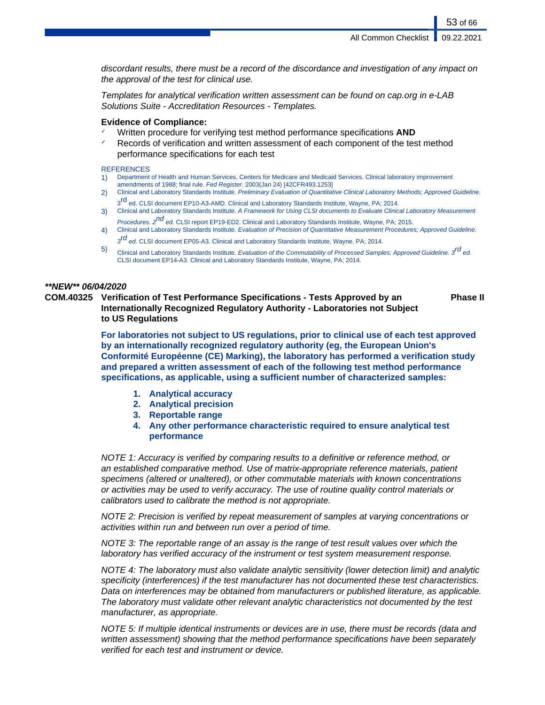discordant results, there must be a record of the discordance and investigation of any impact on the approval of the test for clinical use.

Templates for analytical verification written assessment can be found on cap.org in e-LAB Solutions Suite - Accreditation Resources - Templates.

# **Evidence of Compliance:**

- Written procedure for verifying test method performance specifications **AND**
- $\checkmark$  Records of verification and written assessment of each component of the test method performance specifications for each test

### **REFERENCES**

- 1) Department of Health and Human Services, Centers for Medicare and Medicaid Services. Clinical laboratory improvement amendments of 1988; final rule. Fed Register. 2003(Jan 24) [42CFR493.1253]
- 2) Clinical and Laboratory Standards Institute. Preliminary Evaluation of Quantitative Clinical Laboratory Methods; Approved Guideline. 3<sup>rd</sup> ed. CLSI document EP10-A3-AMD. Clinical and Laboratory Standards Institute, Wayne, PA; 2014.
- 3) Clinical and Laboratory Standards Institute. A Framework for Using CLSI documents to Evaluate Clinical Laboratory Measurement Procedures. 2<sup>nd</sup> ed. CLSI report EP19-ED2. Clinical and Laboratory Standards Institute, Wayne, PA; 2015.
- 4) Clinical and Laboratory Standards Institute. Evaluation of Precision of Quantitative Measurement Procedures; Approved Guideline.  $3^{rd}$  ed. CLSI document EP05-A3. Clinical and Laboratory Standards Institute, Wayne, PA; 2014.
- 
- 5) Clinical and Laboratory Standards Institute. Evaluation of the Commutability of Processed Samples; Approved Guideline. 3<sup>rd</sup> ed. CLSI document EP14-A3. Clinical and Laboratory Standards Institute, Wayne, PA; 2014.

# **\*\*NEW\*\* 06/04/2020**

**COM.40325 Verification of Test Performance Specifications - Tests Approved by an Internationally Recognized Regulatory Authority - Laboratories not Subject to US Regulations**

**Phase II**

**For laboratories not subject to US regulations, prior to clinical use of each test approved by an internationally recognized regulatory authority (eg, the European Union's Conformité Européenne (CE) Marking), the laboratory has performed a verification study and prepared a written assessment of each of the following test method performance specifications, as applicable, using a sufficient number of characterized samples:**

- **1. Analytical accuracy**
- **2. Analytical precision**
- **3. Reportable range**
- **4. Any other performance characteristic required to ensure analytical test performance**

NOTE 1: Accuracy is verified by comparing results to a definitive or reference method, or an established comparative method. Use of matrix-appropriate reference materials, patient specimens (altered or unaltered), or other commutable materials with known concentrations or activities may be used to verify accuracy. The use of routine quality control materials or calibrators used to calibrate the method is not appropriate.

NOTE 2: Precision is verified by repeat measurement of samples at varying concentrations or activities within run and between run over a period of time.

NOTE 3: The reportable range of an assay is the range of test result values over which the laboratory has verified accuracy of the instrument or test system measurement response.

NOTE 4: The laboratory must also validate analytic sensitivity (lower detection limit) and analytic specificity (interferences) if the test manufacturer has not documented these test characteristics. Data on interferences may be obtained from manufacturers or published literature, as applicable. The laboratory must validate other relevant analytic characteristics not documented by the test manufacturer, as appropriate.

NOTE 5: If multiple identical instruments or devices are in use, there must be records (data and written assessment) showing that the method performance specifications have been separately verified for each test and instrument or device.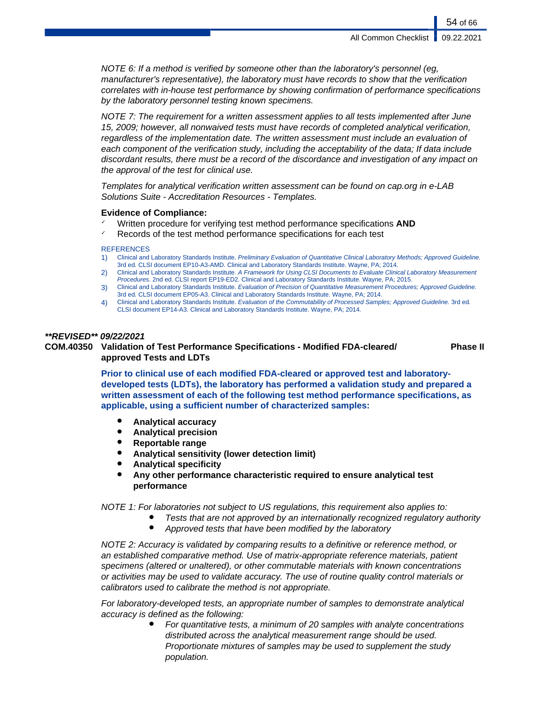NOTE 6: If a method is verified by someone other than the laboratory's personnel (eg, manufacturer's representative), the laboratory must have records to show that the verification correlates with in-house test performance by showing confirmation of performance specifications by the laboratory personnel testing known specimens.

NOTE 7: The requirement for a written assessment applies to all tests implemented after June 15, 2009; however, all nonwaived tests must have records of completed analytical verification, regardless of the implementation date. The written assessment must include an evaluation of each component of the verification study, including the acceptability of the data; If data include discordant results, there must be a record of the discordance and investigation of any impact on the approval of the test for clinical use.

Templates for analytical verification written assessment can be found on cap.org in e-LAB Solutions Suite - Accreditation Resources - Templates.

# **Evidence of Compliance:**

- ✓ Written procedure for verifying test method performance specifications **AND**
- Records of the test method performance specifications for each test

#### REFERENCES

- 1) Clinical and Laboratory Standards Institute. Preliminary Evaluation of Quantitative Clinical Laboratory Methods; Approved Guideline. 3rd ed. CLSI document EP10-A3-AMD. Clinical and Laboratory Standards Institute. Wayne, PA; 2014.
- 2) Clinical and Laboratory Standards Institute. A Framework for Using CLSI Documents to Evaluate Clinical Laboratory Measurement Procedures. 2nd ed. CLSI report EP19-ED2. Clinical and Laboratory Standards Institute. Wayne, PA; 2015.
- 3) Clinical and Laboratory Standards Institute. Evaluation of Precision of Quantitative Measurement Procedures; Approved Guideline. 3rd ed. CLSI document EP05-A3. Clinical and Laboratory Standards Institute. Wayne, PA; 2014.
- 4) Clinical and Laboratory Standards Institute. Evaluation of the Commutability of Processed Samples; Approved Guideline. 3rd ed. CLSI document EP14-A3. Clinical and Laboratory Standards Institute. Wayne, PA; 2014.

# **\*\*REVISED\*\* 09/22/2021**

#### **COM.40350 Validation of Test Performance Specifications - Modified FDA-cleared/ approved Tests and LDTs Phase II**

**Prior to clinical use of each modified FDA-cleared or approved test and laboratorydeveloped tests (LDTs), the laboratory has performed a validation study and prepared a written assessment of each of the following test method performance specifications, as applicable, using a sufficient number of characterized samples:**

- **Analytical accuracy**
- **Analytical precision**
- **Reportable range**
- **Analytical sensitivity (lower detection limit)**
- **Analytical specificity**
- Any other performance characteristic required to ensure analytical test **performance**

NOTE 1: For laboratories not subject to US regulations, this requirement also applies to:

- Tests that are not approved by an internationally recognized regulatory authority
	- Approved tests that have been modified by the laboratory

NOTE 2: Accuracy is validated by comparing results to a definitive or reference method, or an established comparative method. Use of matrix-appropriate reference materials, patient specimens (altered or unaltered), or other commutable materials with known concentrations or activities may be used to validate accuracy. The use of routine quality control materials or calibrators used to calibrate the method is not appropriate.

For laboratory-developed tests, an appropriate number of samples to demonstrate analytical accuracy is defined as the following:

> For quantitative tests, a minimum of 20 samples with analyte concentrations distributed across the analytical measurement range should be used. Proportionate mixtures of samples may be used to supplement the study population.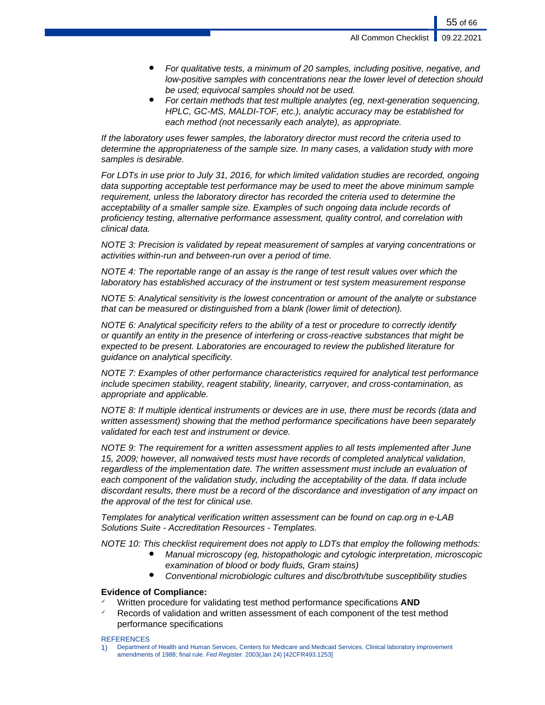- For qualitative tests, a minimum of 20 samples, including positive, negative, and low-positive samples with concentrations near the lower level of detection should be used; equivocal samples should not be used.
- For certain methods that test multiple analytes (eq, next-generation sequencing, HPLC, GC-MS, MALDI-TOF, etc.), analytic accuracy may be established for each method (not necessarily each analyte), as appropriate.

If the laboratory uses fewer samples, the laboratory director must record the criteria used to determine the appropriateness of the sample size. In many cases, a validation study with more samples is desirable.

For LDTs in use prior to July 31, 2016, for which limited validation studies are recorded, ongoing data supporting acceptable test performance may be used to meet the above minimum sample requirement, unless the laboratory director has recorded the criteria used to determine the acceptability of a smaller sample size. Examples of such ongoing data include records of proficiency testing, alternative performance assessment, quality control, and correlation with clinical data.

NOTE 3: Precision is validated by repeat measurement of samples at varying concentrations or activities within-run and between-run over a period of time.

NOTE 4: The reportable range of an assay is the range of test result values over which the laboratory has established accuracy of the instrument or test system measurement response

NOTE 5: Analytical sensitivity is the lowest concentration or amount of the analyte or substance that can be measured or distinguished from a blank (lower limit of detection).

NOTE 6: Analytical specificity refers to the ability of a test or procedure to correctly identify or quantify an entity in the presence of interfering or cross-reactive substances that might be expected to be present. Laboratories are encouraged to review the published literature for guidance on analytical specificity.

NOTE 7: Examples of other performance characteristics required for analytical test performance include specimen stability, reagent stability, linearity, carryover, and cross-contamination, as appropriate and applicable.

NOTE 8: If multiple identical instruments or devices are in use, there must be records (data and written assessment) showing that the method performance specifications have been separately validated for each test and instrument or device.

NOTE 9: The requirement for a written assessment applies to all tests implemented after June 15, 2009; however, all nonwaived tests must have records of completed analytical validation, regardless of the implementation date. The written assessment must include an evaluation of each component of the validation study, including the acceptability of the data. If data include discordant results, there must be a record of the discordance and investigation of any impact on the approval of the test for clinical use.

Templates for analytical verification written assessment can be found on cap.org in e-LAB Solutions Suite - Accreditation Resources - Templates.

NOTE 10: This checklist requirement does not apply to LDTs that employ the following methods:

- Manual microscopy (eg, histopathologic and cytologic interpretation, microscopic examination of blood or body fluids, Gram stains)
- Conventional microbiologic cultures and disc/broth/tube susceptibility studies

# **Evidence of Compliance:**

- ✓ Written procedure for validating test method performance specifications **AND**
- Records of validation and written assessment of each component of the test method performance specifications

#### **REFERENCES**

1) Department of Health and Human Services, Centers for Medicare and Medicaid Services. Clinical laboratory improvement amendments of 1988; final rule. Fed Register. 2003(Jan 24) [42CFR493.1253]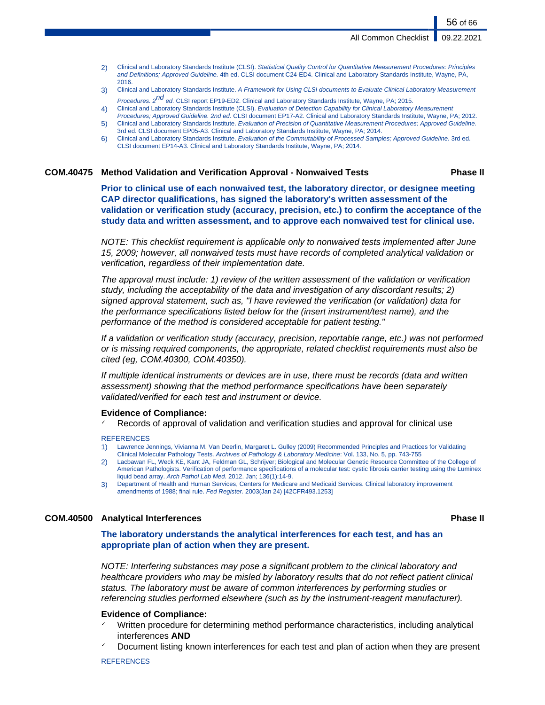- 2) Clinical and Laboratory Standards Institute (CLSI). Statistical Quality Control for Quantitative Measurement Procedures: Principles and Definitions; Approved Guideline. 4th ed. CLSI document C24-ED4. Clinical and Laboratory Standards Institute, Wayne, PA, 2016.
- 3) Clinical and Laboratory Standards Institute. A Framework for Using CLSI documents to Evaluate Clinical Laboratory Measurement Procedures. 2<sup>nd</sup> ed. CLSI report EP19-ED2. Clinical and Laboratory Standards Institute, Wayne, PA; 2015.
- 4) Clinical and Laboratory Standards Institute (CLSI). Evaluation of Detection Capability for Clinical Laboratory Measurement
- Procedures; Approved Guideline. 2nd ed. CLSI document EP17-A2. Clinical and Laboratory Standards Institute, Wayne, PA; 2012. 5) Clinical and Laboratory Standards Institute. Evaluation of Precision of Quantitative Measurement Procedures; Approved Guideline.
- 3rd ed. CLSI document EP05-A3. Clinical and Laboratory Standards Institute, Wayne, PA; 2014. 6) Clinical and Laboratory Standards Institute. Evaluation of the Commutability of Processed Samples; Approved Guideline. 3rd ed.
- CLSI document EP14-A3. Clinical and Laboratory Standards Institute, Wayne, PA; 2014.

# **COM.40475 Method Validation and Verification Approval - Nonwaived Tests Phase II**

**Prior to clinical use of each nonwaived test, the laboratory director, or designee meeting CAP director qualifications, has signed the laboratory's written assessment of the validation or verification study (accuracy, precision, etc.) to confirm the acceptance of the study data and written assessment, and to approve each nonwaived test for clinical use.**

NOTE: This checklist requirement is applicable only to nonwaived tests implemented after June 15, 2009; however, all nonwaived tests must have records of completed analytical validation or verification, regardless of their implementation date.

The approval must include: 1) review of the written assessment of the validation or verification study, including the acceptability of the data and investigation of any discordant results; 2) signed approval statement, such as, "I have reviewed the verification (or validation) data for the performance specifications listed below for the (insert instrument/test name), and the performance of the method is considered acceptable for patient testing."

If a validation or verification study (accuracy, precision, reportable range, etc.) was not performed or is missing required components, the appropriate, related checklist requirements must also be cited (eg, COM.40300, COM.40350).

If multiple identical instruments or devices are in use, there must be records (data and written assessment) showing that the method performance specifications have been separately validated/verified for each test and instrument or device.

# **Evidence of Compliance:**

Records of approval of validation and verification studies and approval for clinical use

#### **REFERENCES**

- 1) Lawrence Jennings, Vivianna M. Van Deerlin, Margaret L. Gulley (2009) Recommended Principles and Practices for Validating Clinical Molecular Pathology Tests. Archives of Pathology & Laboratory Medicine: Vol. 133, No. 5, pp. 743-755
- 2) Lacbawan FL, Weck KE, Kant JA, Feldman GL, Schrijver; Biological and Molecular Genetic Resource Committee of the College of American Pathologists. Verification of performance specifications of a molecular test: cystic fibrosis carrier testing using the Luminex liquid bead array. Arch Pathol Lab Med. 2012. Jan; 136(1):14-9.
- 3) Department of Health and Human Services, Centers for Medicare and Medicaid Services. Clinical laboratory improvement amendments of 1988; final rule. Fed Register. 2003(Jan 24) [42CFR493.1253]

# **COM.40500 Analytical Interferences Phase II**

**The laboratory understands the analytical interferences for each test, and has an appropriate plan of action when they are present.**

NOTE: Interfering substances may pose a significant problem to the clinical laboratory and healthcare providers who may be misled by laboratory results that do not reflect patient clinical status. The laboratory must be aware of common interferences by performing studies or referencing studies performed elsewhere (such as by the instrument-reagent manufacturer).

# **Evidence of Compliance:**

- Written procedure for determining method performance characteristics, including analytical interferences **AND**
- Document listing known interferences for each test and plan of action when they are present

#### **REFERENCES**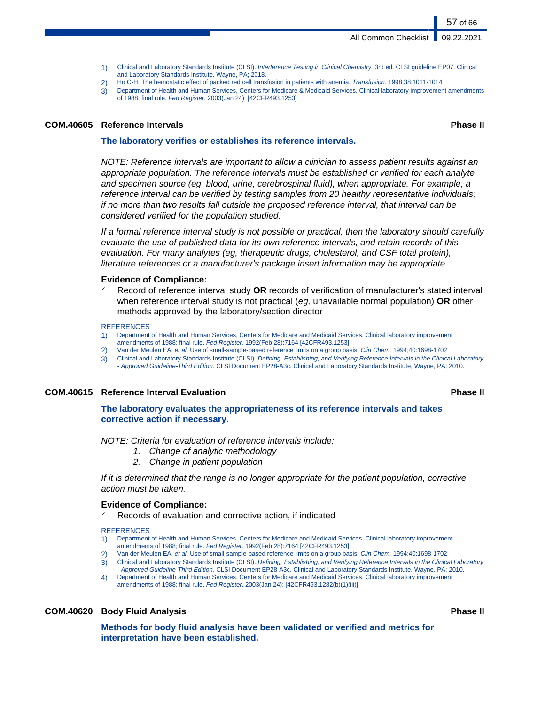- 1) Clinical and Laboratory Standards Institute (CLSI). Interference Testing in Clinical Chemistry. 3rd ed. CLSI guideline EP07. Clinical and Laboratory Standards Institute. Wayne, PA; 2018.
- 2) Ho C-H. The hemostatic effect of packed red cell transfusion in patients with anemia. Transfusion. 1998;38:1011-1014
- 3) Department of Health and Human Services, Centers for Medicare & Medicaid Services. Clinical laboratory improvement amendments of 1988; final rule. Fed Register. 2003(Jan 24): [42CFR493.1253]

### **COM.40605 Reference Intervals Phase II**

**The laboratory verifies or establishes its reference intervals.**

NOTE: Reference intervals are important to allow a clinician to assess patient results against an appropriate population. The reference intervals must be established or verified for each analyte and specimen source (eg, blood, urine, cerebrospinal fluid), when appropriate. For example, a reference interval can be verified by testing samples from 20 healthy representative individuals; if no more than two results fall outside the proposed reference interval, that interval can be considered verified for the population studied.

If a formal reference interval study is not possible or practical, then the laboratory should carefully evaluate the use of published data for its own reference intervals, and retain records of this evaluation. For many analytes (eg, therapeutic drugs, cholesterol, and CSF total protein), literature references or a manufacturer's package insert information may be appropriate.

### **Evidence of Compliance:**

Record of reference interval study **OR** records of verification of manufacturer's stated interval when reference interval study is not practical (eg, unavailable normal population) **OR** other methods approved by the laboratory/section director

#### **REFERENCES**

- 1) Department of Health and Human Services, Centers for Medicare and Medicaid Services. Clinical laboratory improvement
- amendments of 1988; final rule. Fed Register. 1992(Feb 28):7164 [42CFR493.1253]
- 2) Van der Meulen EA, et al. Use of small-sample-based reference limits on a group basis. Clin Chem. 1994;40:1698-1702 3) Clinical and Laboratory Standards Institute (CLSI). Defining, Establishing, and Verifying Reference Intervals in the Clinical Laboratory - Approved Guideline-Third Edition. CLSI Document EP28-A3c. Clinical and Laboratory Standards Institute, Wayne, PA; 2010.

# **COM.40615 Reference Interval Evaluation Phase II**

**The laboratory evaluates the appropriateness of its reference intervals and takes corrective action if necessary.**

NOTE: Criteria for evaluation of reference intervals include:

- 1. Change of analytic methodology
- 2. Change in patient population

If it is determined that the range is no longer appropriate for the patient population, corrective action must be taken.

# **Evidence of Compliance:**

Records of evaluation and corrective action, if indicated

**REFERENCES** 

- 1) Department of Health and Human Services, Centers for Medicare and Medicaid Services. Clinical laboratory improvement amendments of 1988; final rule. Fed Register. 1992(Feb 28):7164 [42CFR493.1253]
	- 2) Van der Meulen EA, et al. Use of small-sample-based reference limits on a group basis. Clin Chem. 1994;40:1698-1702
- 3) Clinical and Laboratory Standards Institute (CLSI). Defining, Establishing, and Verifying Reference Intervals in the Clinical Laboratory - Approved Guideline-Third Edition. CLSI Document EP28-A3c. Clinical and Laboratory Standards Institute, Wayne, PA; 2010.
- 4) Department of Health and Human Services, Centers for Medicare and Medicaid Services. Clinical laboratory improvement amendments of 1988; final rule. Fed Register. 2003(Jan 24): [42CFR493.1282(b)(1)(iii)]

# **COM.40620 Body Fluid Analysis Phase II**

**Methods for body fluid analysis have been validated or verified and metrics for interpretation have been established.**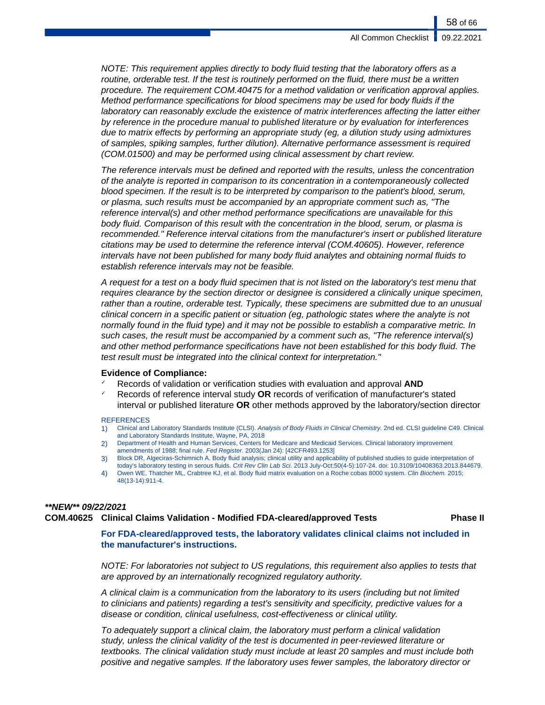NOTE: This requirement applies directly to body fluid testing that the laboratory offers as a routine, orderable test. If the test is routinely performed on the fluid, there must be a written procedure. The requirement COM.40475 for a method validation or verification approval applies. Method performance specifications for blood specimens may be used for body fluids if the laboratory can reasonably exclude the existence of matrix interferences affecting the latter either by reference in the procedure manual to published literature or by evaluation for interferences due to matrix effects by performing an appropriate study (eg, a dilution study using admixtures of samples, spiking samples, further dilution). Alternative performance assessment is required (COM.01500) and may be performed using clinical assessment by chart review.

The reference intervals must be defined and reported with the results, unless the concentration of the analyte is reported in comparison to its concentration in a contemporaneously collected blood specimen. If the result is to be interpreted by comparison to the patient's blood, serum, or plasma, such results must be accompanied by an appropriate comment such as, "The reference interval(s) and other method performance specifications are unavailable for this body fluid. Comparison of this result with the concentration in the blood, serum, or plasma is recommended." Reference interval citations from the manufacturer's insert or published literature citations may be used to determine the reference interval (COM.40605). However, reference intervals have not been published for many body fluid analytes and obtaining normal fluids to establish reference intervals may not be feasible.

A request for a test on a body fluid specimen that is not listed on the laboratory's test menu that requires clearance by the section director or designee is considered a clinically unique specimen, rather than a routine, orderable test. Typically, these specimens are submitted due to an unusual clinical concern in a specific patient or situation (eg, pathologic states where the analyte is not normally found in the fluid type) and it may not be possible to establish a comparative metric. In such cases, the result must be accompanied by a comment such as, "The reference interval(s) and other method performance specifications have not been established for this body fluid. The test result must be integrated into the clinical context for interpretation."

#### **Evidence of Compliance:**

- ✓ Records of validation or verification studies with evaluation and approval **AND**
- ✓ Records of reference interval study **OR** records of verification of manufacturer's stated interval or published literature **OR** other methods approved by the laboratory/section director

#### **REFERENCES**

- 1) Clinical and Laboratory Standards Institute (CLSI). Analysis of Body Fluids in Clinical Chemistry. 2nd ed. CLSI guideline C49. Clinical and Laboratory Standards Institute, Wayne, PA, 2018
- 2) Department of Health and Human Services, Centers for Medicare and Medicaid Services. Clinical laboratory improvement amendments of 1988; final rule. Fed Register. 2003(Jan 24): [42CFR493.1253]
- 3) Block DR, Algeciras-Schimnich A. Body fluid analysis; clinical utility and applicability of published studies to guide interpretation of today's laboratory testing in serous fluids. Crit Rev Clin Lab Sci. 2013 July-Oct;50(4-5):107-24. doi: 10.3109/10408363.2013.844679.
- 4) Owen WE, Thatcher ML, Crabtree KJ, et al. Body fluid matrix evaluation on a Roche cobas 8000 system. Clin Biochem. 2015; 48(13-14):911-4.

# **\*\*NEW\*\* 09/22/2021**

# **COM.40625 Clinical Claims Validation - Modified FDA-cleared/approved Tests Phase II**

**For FDA-cleared/approved tests, the laboratory validates clinical claims not included in the manufacturer's instructions.**

NOTE: For laboratories not subject to US regulations, this requirement also applies to tests that are approved by an internationally recognized regulatory authority.

A clinical claim is a communication from the laboratory to its users (including but not limited to clinicians and patients) regarding a test's sensitivity and specificity, predictive values for a disease or condition, clinical usefulness, cost-effectiveness or clinical utility.

To adequately support a clinical claim, the laboratory must perform a clinical validation study, unless the clinical validity of the test is documented in peer-reviewed literature or textbooks. The clinical validation study must include at least 20 samples and must include both positive and negative samples. If the laboratory uses fewer samples, the laboratory director or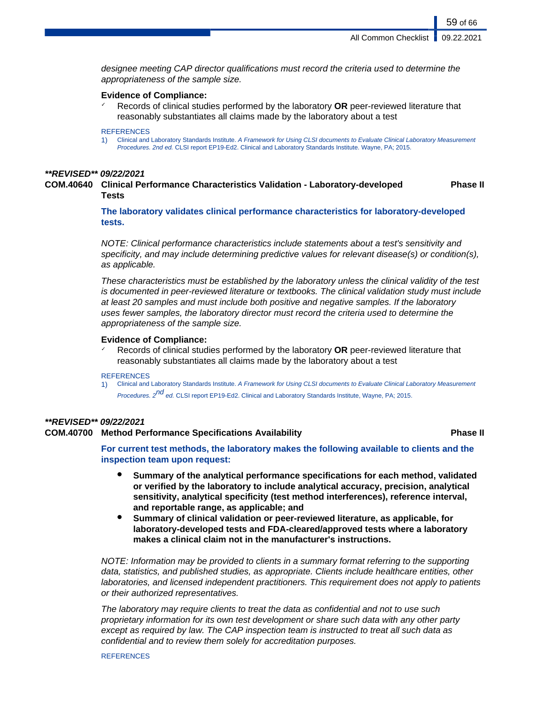designee meeting CAP director qualifications must record the criteria used to determine the appropriateness of the sample size.

# **Evidence of Compliance:**

Records of clinical studies performed by the laboratory **OR** peer-reviewed literature that reasonably substantiates all claims made by the laboratory about a test

#### **REFERENCES**

1) Clinical and Laboratory Standards Institute. A Framework for Using CLSI documents to Evaluate Clinical Laboratory Measurement Procedures. 2nd ed. CLSI report EP19-Ed2. Clinical and Laboratory Standards Institute. Wayne, PA; 2015.

### **\*\*REVISED\*\* 09/22/2021**

**COM.40640 Clinical Performance Characteristics Validation - Laboratory-developed Tests Phase II**

> **The laboratory validates clinical performance characteristics for laboratory-developed tests.**

NOTE: Clinical performance characteristics include statements about a test's sensitivity and specificity, and may include determining predictive values for relevant disease(s) or condition(s), as applicable.

These characteristics must be established by the laboratory unless the clinical validity of the test is documented in peer-reviewed literature or textbooks. The clinical validation study must include at least 20 samples and must include both positive and negative samples. If the laboratory uses fewer samples, the laboratory director must record the criteria used to determine the appropriateness of the sample size.

### **Evidence of Compliance:**

Records of clinical studies performed by the laboratory **OR** peer-reviewed literature that reasonably substantiates all claims made by the laboratory about a test

#### **REFERENCES**

1) Clinical and Laboratory Standards Institute. A Framework for Using CLSI documents to Evaluate Clinical Laboratory Measurement Procedures. 2<sup>nd</sup> ed. CLSI report EP19-Ed2. Clinical and Laboratory Standards Institute, Wayne, PA; 2015.

# **\*\*REVISED\*\* 09/22/2021**

# **COM.40700 Method Performance Specifications Availability Phase II**

**For current test methods, the laboratory makes the following available to clients and the inspection team upon request:**

- **Summary of the analytical performance specifications for each method, validated or verified by the laboratory to include analytical accuracy, precision, analytical sensitivity, analytical specificity (test method interferences), reference interval, and reportable range, as applicable; and**
- **Summary of clinical validation or peer-reviewed literature, as applicable, for laboratory-developed tests and FDA-cleared/approved tests where a laboratory makes a clinical claim not in the manufacturer's instructions.**

NOTE: Information may be provided to clients in a summary format referring to the supporting data, statistics, and published studies, as appropriate. Clients include healthcare entities, other laboratories, and licensed independent practitioners. This requirement does not apply to patients or their authorized representatives.

The laboratory may require clients to treat the data as confidential and not to use such proprietary information for its own test development or share such data with any other party except as required by law. The CAP inspection team is instructed to treat all such data as confidential and to review them solely for accreditation purposes.

#### **REFERENCES**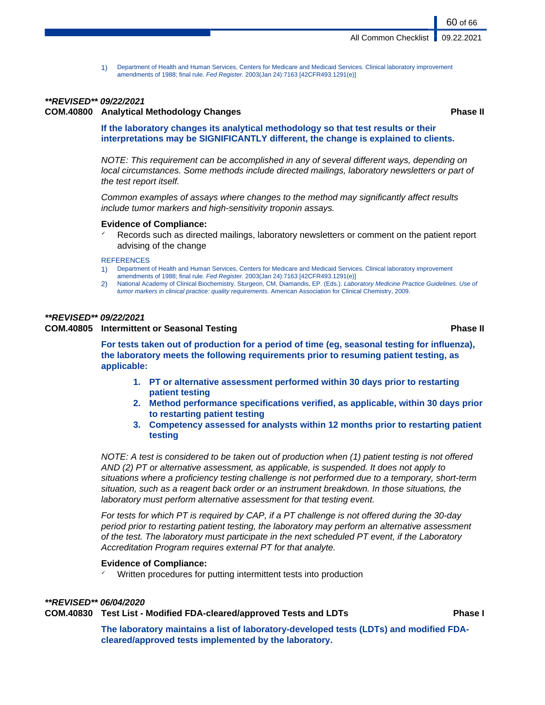1) Department of Health and Human Services, Centers for Medicare and Medicaid Services. Clinical laboratory improvement amendments of 1988; final rule. Fed Register. 2003(Jan 24):7163 [42CFR493.1291(e)]

# **\*\*REVISED\*\* 09/22/2021**

# **COM.40800 Analytical Methodology Changes Phase II**

60 of 66

# **If the laboratory changes its analytical methodology so that test results or their interpretations may be SIGNIFICANTLY different, the change is explained to clients.**

NOTE: This requirement can be accomplished in any of several different ways, depending on local circumstances. Some methods include directed mailings, laboratory newsletters or part of the test report itself.

Common examples of assays where changes to the method may significantly affect results include tumor markers and high-sensitivity troponin assays.

### **Evidence of Compliance:**

Records such as directed mailings, laboratory newsletters or comment on the patient report advising of the change

#### **REFERENCES**

- 1) Department of Health and Human Services, Centers for Medicare and Medicaid Services. Clinical laboratory improvement amendments of 1988; final rule. Fed Register. 2003(Jan 24):7163 [42CFR493.1291(e)]
- 2) National Academy of Clinical Biochemistry. Sturgeon, CM, Diamandis, EP. (Eds.). Laboratory Medicine Practice Guidelines. Use of tumor markers in clinical practice: quality requirements. American Association for Clinical Chemistry, 2009.

# **\*\*REVISED\*\* 09/22/2021**

# **COM.40805 Intermittent or Seasonal Testing Phase II**

**For tests taken out of production for a period of time (eg, seasonal testing for influenza), the laboratory meets the following requirements prior to resuming patient testing, as applicable:**

- **1. PT or alternative assessment performed within 30 days prior to restarting patient testing**
- **2. Method performance specifications verified, as applicable, within 30 days prior to restarting patient testing**
- **3. Competency assessed for analysts within 12 months prior to restarting patient testing**

NOTE: A test is considered to be taken out of production when (1) patient testing is not offered AND (2) PT or alternative assessment, as applicable, is suspended. It does not apply to situations where a proficiency testing challenge is not performed due to a temporary, short-term situation, such as a reagent back order or an instrument breakdown. In those situations, the laboratory must perform alternative assessment for that testing event.

For tests for which PT is required by CAP, if a PT challenge is not offered during the 30-day period prior to restarting patient testing, the laboratory may perform an alternative assessment of the test. The laboratory must participate in the next scheduled PT event, if the Laboratory Accreditation Program requires external PT for that analyte.

# **Evidence of Compliance:**

Written procedures for putting intermittent tests into production

# **\*\*REVISED\*\* 06/04/2020**

### **COM.40830 Test List - Modified FDA-cleared/approved Tests and LDTs Phase I**

**The laboratory maintains a list of laboratory-developed tests (LDTs) and modified FDAcleared/approved tests implemented by the laboratory.**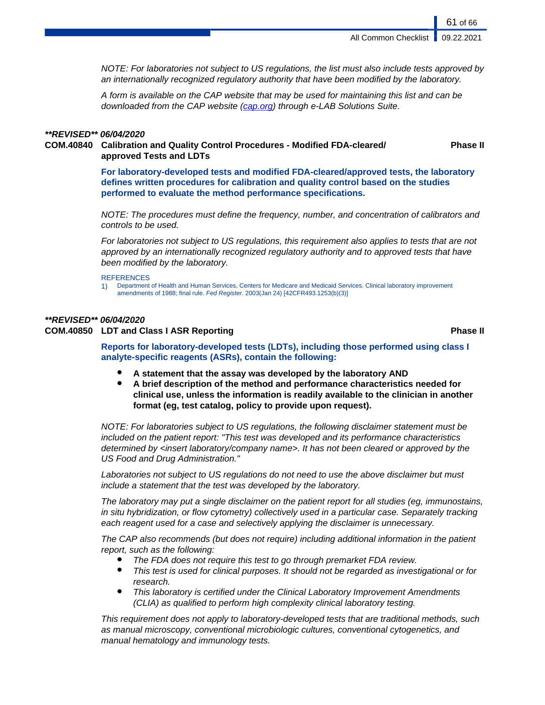61 of 66

**Phase II**

NOTE: For laboratories not subject to US regulations, the list must also include tests approved by an internationally recognized regulatory authority that have been modified by the laboratory.

A form is available on the CAP website that may be used for maintaining this list and can be downloaded from the CAP website [\(cap.org\)](http://www.cap.org) through e-LAB Solutions Suite.

# **\*\*REVISED\*\* 06/04/2020**

# **COM.40840 Calibration and Quality Control Procedures - Modified FDA-cleared/ approved Tests and LDTs**

**For laboratory-developed tests and modified FDA-cleared/approved tests, the laboratory defines written procedures for calibration and quality control based on the studies performed to evaluate the method performance specifications.**

NOTE: The procedures must define the frequency, number, and concentration of calibrators and controls to be used.

For laboratories not subject to US regulations, this requirement also applies to tests that are not approved by an internationally recognized regulatory authority and to approved tests that have been modified by the laboratory.

#### **REFERENCES**

1) Department of Health and Human Services, Centers for Medicare and Medicaid Services. Clinical laboratory improvement amendments of 1988; final rule. Fed Register. 2003(Jan 24) [42CFR493.1253(b)(3)]

# **\*\*REVISED\*\* 06/04/2020**

# **COM.40850 LDT and Class I ASR Reporting Phase II**

**Reports for laboratory-developed tests (LDTs), including those performed using class I analyte-specific reagents (ASRs), contain the following:**

- A statement that the assay was developed by the laboratory AND
- **A brief description of the method and performance characteristics needed for clinical use, unless the information is readily available to the clinician in another format (eg, test catalog, policy to provide upon request).**

NOTE: For laboratories subject to US regulations, the following disclaimer statement must be included on the patient report: "This test was developed and its performance characteristics determined by <insert laboratory/company name>. It has not been cleared or approved by the US Food and Drug Administration."

Laboratories not subject to US regulations do not need to use the above disclaimer but must include a statement that the test was developed by the laboratory.

The laboratory may put a single disclaimer on the patient report for all studies (eg, immunostains, in situ hybridization, or flow cytometry) collectively used in a particular case. Separately tracking each reagent used for a case and selectively applying the disclaimer is unnecessary.

The CAP also recommends (but does not require) including additional information in the patient report, such as the following:

- The FDA does not require this test to go through premarket FDA review.
- This test is used for clinical purposes. It should not be regarded as investigational or for research.
- This laboratory is certified under the Clinical Laboratory Improvement Amendments (CLIA) as qualified to perform high complexity clinical laboratory testing.

This requirement does not apply to laboratory-developed tests that are traditional methods, such as manual microscopy, conventional microbiologic cultures, conventional cytogenetics, and manual hematology and immunology tests.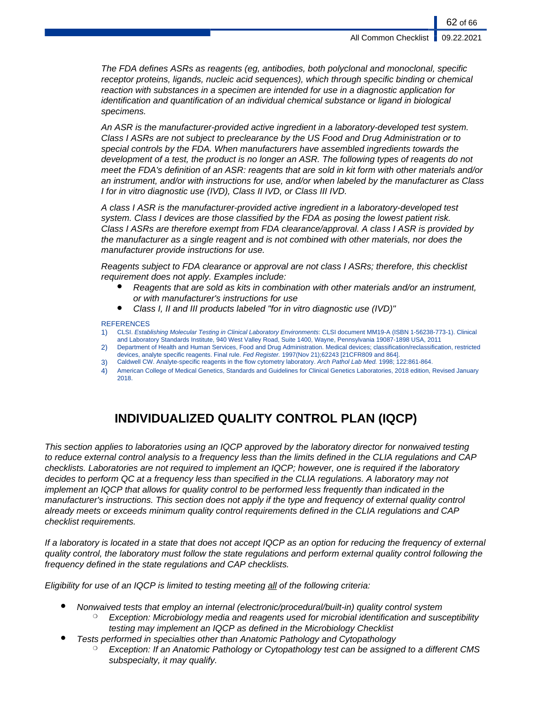The FDA defines ASRs as reagents (eg, antibodies, both polyclonal and monoclonal, specific receptor proteins, ligands, nucleic acid sequences), which through specific binding or chemical reaction with substances in a specimen are intended for use in a diagnostic application for identification and quantification of an individual chemical substance or ligand in biological specimens.

An ASR is the manufacturer-provided active ingredient in a laboratory-developed test system. Class I ASRs are not subject to preclearance by the US Food and Drug Administration or to special controls by the FDA. When manufacturers have assembled ingredients towards the development of a test, the product is no longer an ASR. The following types of reagents do not meet the FDA's definition of an ASR: reagents that are sold in kit form with other materials and/or an instrument, and/or with instructions for use, and/or when labeled by the manufacturer as Class I for in vitro diagnostic use (IVD), Class II IVD, or Class III IVD.

A class I ASR is the manufacturer-provided active ingredient in a laboratory-developed test system. Class I devices are those classified by the FDA as posing the lowest patient risk. Class I ASRs are therefore exempt from FDA clearance/approval. A class I ASR is provided by the manufacturer as a single reagent and is not combined with other materials, nor does the manufacturer provide instructions for use.

Reagents subject to FDA clearance or approval are not class I ASRs; therefore, this checklist requirement does not apply. Examples include:

- Reagents that are sold as kits in combination with other materials and/or an instrument, or with manufacturer's instructions for use
- Class I, II and III products labeled "for in vitro diagnostic use (IVD)"

### REFERENCES

- 1) CLSI. Establishing Molecular Testing in Clinical Laboratory Environments: CLSI document MM19-A (ISBN 1-56238-773-1). Clinical and Laboratory Standards Institute, 940 West Valley Road, Suite 1400, Wayne, Pennsylvania 19087-1898 USA, 2011
- 2) Department of Health and Human Services, Food and Drug Administration. Medical devices; classification/reclassification, restricted devices, analyte specific reagents. Final rule. Fed Register. 1997(Nov 21);62243 [21CFR809 and 864].
- 3) Caldwell CW. Analyte-specific reagents in the flow cytometry laboratory. Arch Pathol Lab Med. 1998; 122:861-864.
- 4) American College of Medical Genetics, Standards and Guidelines for Clinical Genetics Laboratories, 2018 edition, Revised January 2018.

# **INDIVIDUALIZED QUALITY CONTROL PLAN (IQCP)**

This section applies to laboratories using an IQCP approved by the laboratory director for nonwaived testing to reduce external control analysis to a frequency less than the limits defined in the CLIA regulations and CAP checklists. Laboratories are not required to implement an IQCP; however, one is required if the laboratory decides to perform QC at a frequency less than specified in the CLIA regulations. A laboratory may not implement an IQCP that allows for quality control to be performed less frequently than indicated in the manufacturer's instructions. This section does not apply if the type and frequency of external quality control already meets or exceeds minimum quality control requirements defined in the CLIA regulations and CAP checklist requirements.

If a laboratory is located in a state that does not accept IQCP as an option for reducing the frequency of external quality control, the laboratory must follow the state regulations and perform external quality control following the frequency defined in the state regulations and CAP checklists.

Eligibility for use of an IQCP is limited to testing meeting all of the following criteria:

- Nonwaived tests that employ an internal (electronic/procedural/built-in) quality control system
	- Exception: Microbiology media and reagents used for microbial identification and susceptibility testing may implement an IQCP as defined in the Microbiology Checklist
- Tests performed in specialties other than Anatomic Pathology and Cytopathology
	- Exception: If an Anatomic Pathology or Cytopathology test can be assigned to a different CMS subspecialty, it may qualify.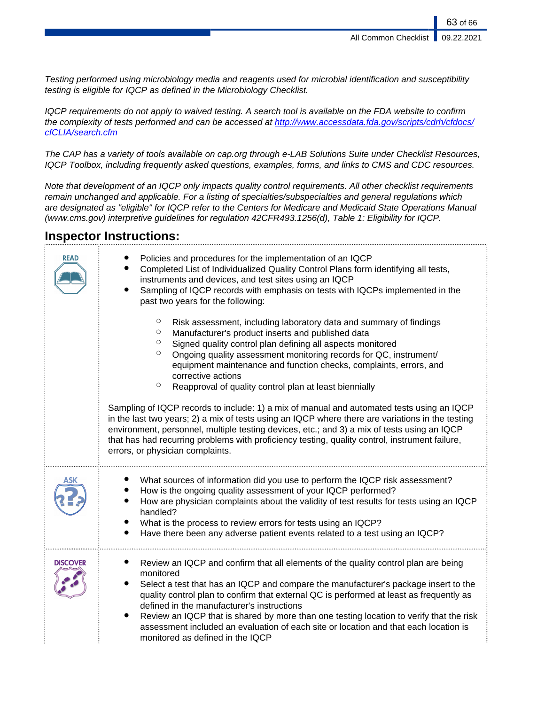Testing performed using microbiology media and reagents used for microbial identification and susceptibility testing is eligible for IQCP as defined in the Microbiology Checklist.

IQCP requirements do not apply to waived testing. A search tool is available on the FDA website to confirm the complexity of tests performed and can be accessed at [http://www.accessdata.fda.gov/scripts/cdrh/cfdocs/](http://www.accessdata.fda.gov/scripts/cdrh/cfdocs/cfCLIA/search.cfm) [cfCLIA/search.cfm](http://www.accessdata.fda.gov/scripts/cdrh/cfdocs/cfCLIA/search.cfm)

The CAP has a variety of tools available on cap.org through e-LAB Solutions Suite under Checklist Resources, IQCP Toolbox, including frequently asked questions, examples, forms, and links to CMS and CDC resources.

Note that development of an IQCP only impacts quality control requirements. All other checklist requirements remain unchanged and applicable. For a listing of specialties/subspecialties and general regulations which are designated as "eligible" for IQCP refer to the Centers for Medicare and Medicaid State Operations Manual (www.cms.gov) interpretive guidelines for regulation 42CFR493.1256(d), Table 1: Eligibility for IQCP.

# **Inspector Instructions:**

| <b>READ</b>     | Policies and procedures for the implementation of an IQCP<br>Completed List of Individualized Quality Control Plans form identifying all tests,<br>instruments and devices, and test sites using an IQCP<br>Sampling of IQCP records with emphasis on tests with IQCPs implemented in the<br>past two years for the following:                                                                                                                                                                                                                                                                                                                                                                                                                                                                                                                                                                                |
|-----------------|---------------------------------------------------------------------------------------------------------------------------------------------------------------------------------------------------------------------------------------------------------------------------------------------------------------------------------------------------------------------------------------------------------------------------------------------------------------------------------------------------------------------------------------------------------------------------------------------------------------------------------------------------------------------------------------------------------------------------------------------------------------------------------------------------------------------------------------------------------------------------------------------------------------|
|                 | $\circ$<br>Risk assessment, including laboratory data and summary of findings<br>$\circ$<br>Manufacturer's product inserts and published data<br>Signed quality control plan defining all aspects monitored<br>$\circ$<br>Ongoing quality assessment monitoring records for QC, instrument/<br>$\circ$<br>equipment maintenance and function checks, complaints, errors, and<br>corrective actions<br>$\circ$<br>Reapproval of quality control plan at least biennially<br>Sampling of IQCP records to include: 1) a mix of manual and automated tests using an IQCP<br>in the last two years; 2) a mix of tests using an IQCP where there are variations in the testing<br>environment, personnel, multiple testing devices, etc.; and 3) a mix of tests using an IQCP<br>that has had recurring problems with proficiency testing, quality control, instrument failure,<br>errors, or physician complaints. |
|                 |                                                                                                                                                                                                                                                                                                                                                                                                                                                                                                                                                                                                                                                                                                                                                                                                                                                                                                               |
|                 | What sources of information did you use to perform the IQCP risk assessment?<br>How is the ongoing quality assessment of your IQCP performed?<br>How are physician complaints about the validity of test results for tests using an IQCP<br>handled?<br>What is the process to review errors for tests using an IQCP?<br>Have there been any adverse patient events related to a test using an IQCP?                                                                                                                                                                                                                                                                                                                                                                                                                                                                                                          |
| <b>DISCOVER</b> | Review an IQCP and confirm that all elements of the quality control plan are being<br>monitored<br>$\bullet$<br>Select a test that has an IQCP and compare the manufacturer's package insert to the<br>quality control plan to confirm that external QC is performed at least as frequently as<br>defined in the manufacturer's instructions<br>Review an IQCP that is shared by more than one testing location to verify that the risk<br>assessment included an evaluation of each site or location and that each location is<br>monitored as defined in the IQCP                                                                                                                                                                                                                                                                                                                                           |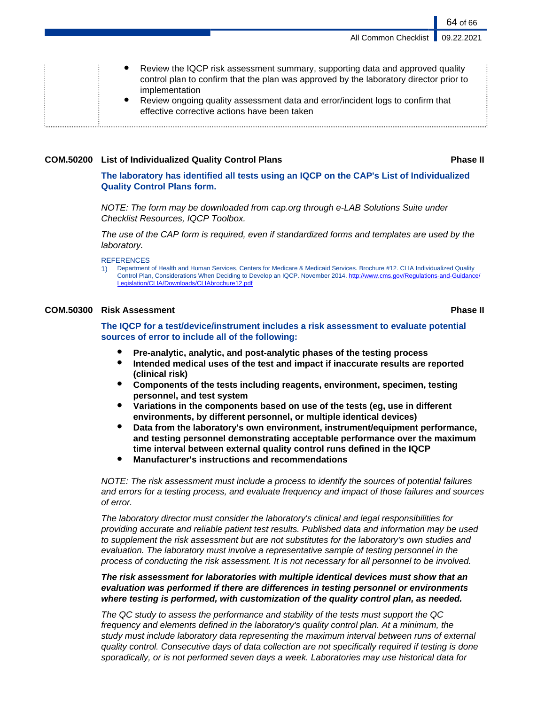64 of 66

Review the IQCP risk assessment summary, supporting data and approved quality control plan to confirm that the plan was approved by the laboratory director prior to implementation Review ongoing quality assessment data and error/incident logs to confirm that effective corrective actions have been taken

# **COM.50200 List of Individualized Quality Control Plans Phase II**

**The laboratory has identified all tests using an IQCP on the CAP's List of Individualized Quality Control Plans form.**

NOTE: The form may be downloaded from cap.org through e-LAB Solutions Suite under Checklist Resources, IQCP Toolbox.

The use of the CAP form is required, even if standardized forms and templates are used by the laboratory.

**REFERENCES** 

1) Department of Health and Human Services, Centers for Medicare & Medicaid Services. Brochure #12. CLIA Individualized Quality Control Plan, Considerations When Deciding to Develop an IQCP. November 2014. http://www.cms.gov/Regulations-and-Gu [Legislation/CLIA/Downloads/CLIAbrochure12.pdf](http://www.cms.gov/Regulations-and-Guidance/Legislation/CLIA/Downloads/CLIAbrochure12.pdf)

# **COM.50300 Risk Assessment Phase II**

**The IQCP for a test/device/instrument includes a risk assessment to evaluate potential sources of error to include all of the following:**

- **Pre-analytic, analytic, and post-analytic phases of the testing process**
- **Intended medical uses of the test and impact if inaccurate results are reported (clinical risk)**
- **Components of the tests including reagents, environment, specimen, testing personnel, and test system**
- **Variations in the components based on use of the tests (eg, use in different environments, by different personnel, or multiple identical devices)**
- **Data from the laboratory's own environment, instrument/equipment performance, and testing personnel demonstrating acceptable performance over the maximum time interval between external quality control runs defined in the IQCP**
- **Manufacturer's instructions and recommendations**

NOTE: The risk assessment must include a process to identify the sources of potential failures and errors for a testing process, and evaluate frequency and impact of those failures and sources of error.

The laboratory director must consider the laboratory's clinical and legal responsibilities for providing accurate and reliable patient test results. Published data and information may be used to supplement the risk assessment but are not substitutes for the laboratory's own studies and evaluation. The laboratory must involve a representative sample of testing personnel in the process of conducting the risk assessment. It is not necessary for all personnel to be involved.

**The risk assessment for laboratories with multiple identical devices must show that an evaluation was performed if there are differences in testing personnel or environments where testing is performed, with customization of the quality control plan, as needed.**

The QC study to assess the performance and stability of the tests must support the QC frequency and elements defined in the laboratory's quality control plan. At a minimum, the study must include laboratory data representing the maximum interval between runs of external quality control. Consecutive days of data collection are not specifically required if testing is done sporadically, or is not performed seven days a week. Laboratories may use historical data for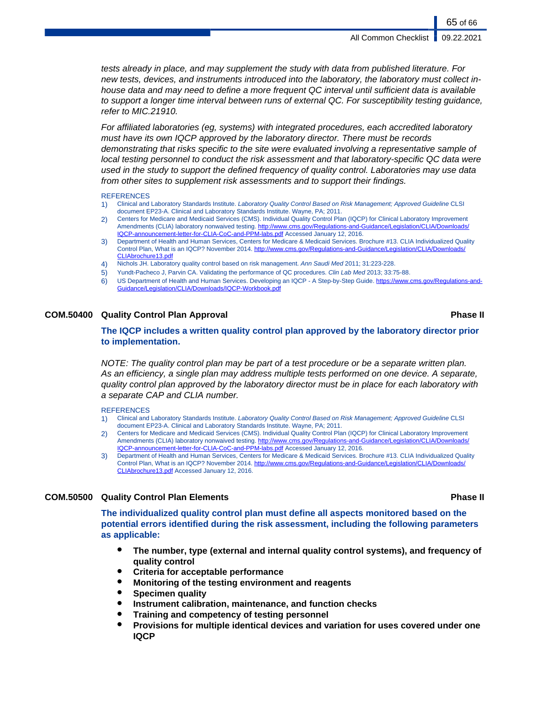tests already in place, and may supplement the study with data from published literature. For new tests, devices, and instruments introduced into the laboratory, the laboratory must collect inhouse data and may need to define a more frequent QC interval until sufficient data is available to support a longer time interval between runs of external QC. For susceptibility testing guidance, refer to MIC.21910.

For affiliated laboratories (eg, systems) with integrated procedures, each accredited laboratory must have its own IQCP approved by the laboratory director. There must be records demonstrating that risks specific to the site were evaluated involving a representative sample of local testing personnel to conduct the risk assessment and that laboratory-specific QC data were used in the study to support the defined frequency of quality control. Laboratories may use data from other sites to supplement risk assessments and to support their findings.

#### **REFERENCES**

- 1) Clinical and Laboratory Standards Institute. Laboratory Quality Control Based on Risk Management; Approved Guideline CLSI document EP23-A. Clinical and Laboratory Standards Institute. Wayne, PA; 2011.
- 2) Centers for Medicare and Medicaid Services (CMS). Individual Quality Control Plan (IQCP) for Clinical Laboratory Improvement Amendments (CLIA) laboratory nonwaived testing. http://www.cms.gov/Regulations-and-Guidance/Legislation/CLIA/L [IQCP-announcement-letter-for-CLIA-CoC-and-PPM-labs.pdf](http://www.cms.gov/Regulations-and-Guidance/Legislation/CLIA/Downloads/IQCP-announcement-letter-for-CLIA-CoC-and-PPM-labs.pdf) Accessed January 12, 2016.
- 3) Department of Health and Human Services, Centers for Medicare & Medicaid Services. Brochure #13. CLIA Individualized Quality Control Plan, What is an IQCP? November 2014. http://www.cms.gov/Regulations-and-Guidance/Legislation/CLIA/Downloads [CLIAbrochure13.pdf](http://www.cms.gov/Regulations-and-Guidance/Legislation/CLIA/Downloads/CLIAbrochure13.pdf)
- 4) Nichols JH. Laboratory quality control based on risk management. Ann Saudi Med 2011; 31:223-228.
- 5) Yundt-Pacheco J, Parvin CA. Validating the performance of QC procedures. Clin Lab Med 2013; 33:75-88.
- 6) US Department of Health and Human Services. Developing an IQCP A Step-by-Step Guide. [https://www.cms.gov/Regulations-and-](#page-0-0)[Guidance/Legislation/CLIA/Downloads/IQCP-Workbook.pdf](#page-0-0)

# **COM.50400 Quality Control Plan Approval Phase II**

# **The IQCP includes a written quality control plan approved by the laboratory director prior to implementation.**

NOTE: The quality control plan may be part of a test procedure or be a separate written plan. As an efficiency, a single plan may address multiple tests performed on one device. A separate, quality control plan approved by the laboratory director must be in place for each laboratory with a separate CAP and CLIA number.

#### **REFERENCES**

- 1) Clinical and Laboratory Standards Institute. Laboratory Quality Control Based on Risk Management; Approved Guideline CLSI document EP23-A. Clinical and Laboratory Standards Institute. Wayne, PA; 2011.
- 2) Centers for Medicare and Medicaid Services (CMS). Individual Quality Control Plan (IQCP) for Clinical Laboratory Improvement Amendments (CLIA) laboratory nonwaived testing. [http://www.cms.gov/Regulations-and-Guidance/Legislation/CLIA/Downloads/](http://www.cms.gov/Regulations-and-Guidance/Legislation/CLIA/Downloads/IQCP-announcement-letter-for-CLIA-CoC-and-PPM-labs.pdf) [IQCP-announcement-letter-for-CLIA-CoC-and-PPM-labs.pdf](http://www.cms.gov/Regulations-and-Guidance/Legislation/CLIA/Downloads/IQCP-announcement-letter-for-CLIA-CoC-and-PPM-labs.pdf) Accessed January 12, 2016.
- 3) Department of Health and Human Services, Centers for Medicare & Medicaid Services. Brochure #13. CLIA Individualized Quality Control Plan, What is an IQCP? November 2014. [http://www.cms.gov/Regulations-and-Guidance/Legislation/CLIA/Downloads/](http://www.cms.gov/Regulations-and-Guidance/Legislation/CLIA/Downloads/CLIAbrochure13.pdf) [CLIAbrochure13.pdf](http://www.cms.gov/Regulations-and-Guidance/Legislation/CLIA/Downloads/CLIAbrochure13.pdf) Accessed January 12, 2016.

# **COM.50500 Quality Control Plan Elements Phase II**

**The individualized quality control plan must define all aspects monitored based on the potential errors identified during the risk assessment, including the following parameters as applicable:**

- **The number, type (external and internal quality control systems), and frequency of quality control**
- **Criteria for acceptable performance**
- **Monitoring of the testing environment and reagents**
- **Specimen quality**
- **Instrument calibration, maintenance, and function checks**
- **Training and competency of testing personnel**
- **Provisions for multiple identical devices and variation for uses covered under one IQCP**